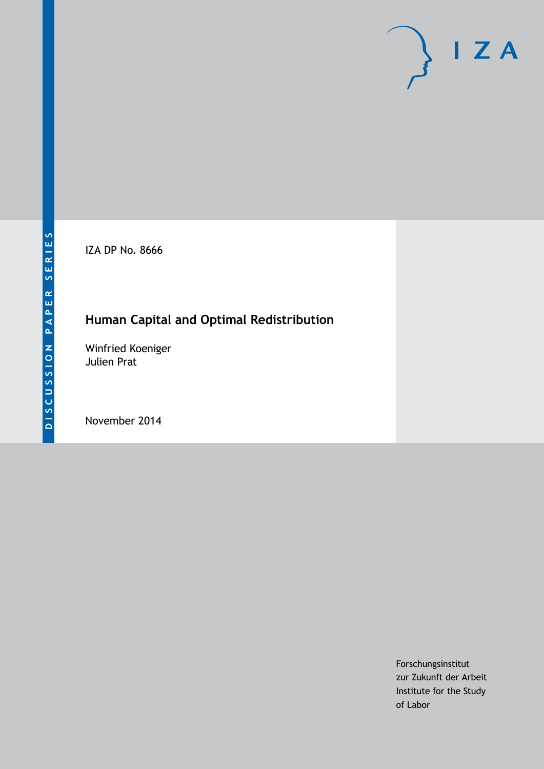IZA DP No. 8666

## **Human Capital and Optimal Redistribution**

Winfried Koeniger Julien Prat

November 2014

Forschungsinstitut zur Zukunft der Arbeit Institute for the Study of Labor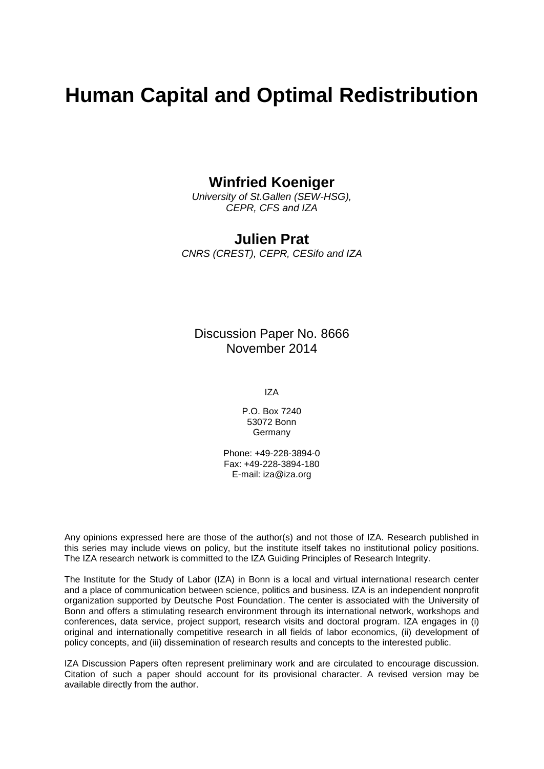# **Human Capital and Optimal Redistribution**

### **Winfried Koeniger**

*University of St.Gallen (SEW-HSG), CEPR, CFS and IZA*

### **Julien Prat**

*CNRS (CREST), CEPR, CESifo and IZA*

### Discussion Paper No. 8666 November 2014

IZA

P.O. Box 7240 53072 Bonn Germany

Phone: +49-228-3894-0 Fax: +49-228-3894-180 E-mail: [iza@iza.org](mailto:iza@iza.org)

Any opinions expressed here are those of the author(s) and not those of IZA. Research published in this series may include views on policy, but the institute itself takes no institutional policy positions. The IZA research network is committed to the IZA Guiding Principles of Research Integrity.

The Institute for the Study of Labor (IZA) in Bonn is a local and virtual international research center and a place of communication between science, politics and business. IZA is an independent nonprofit organization supported by Deutsche Post Foundation. The center is associated with the University of Bonn and offers a stimulating research environment through its international network, workshops and conferences, data service, project support, research visits and doctoral program. IZA engages in (i) original and internationally competitive research in all fields of labor economics, (ii) development of policy concepts, and (iii) dissemination of research results and concepts to the interested public.

<span id="page-1-0"></span>IZA Discussion Papers often represent preliminary work and are circulated to encourage discussion. Citation of such a paper should account for its provisional character. A revised version may be available directly from the author.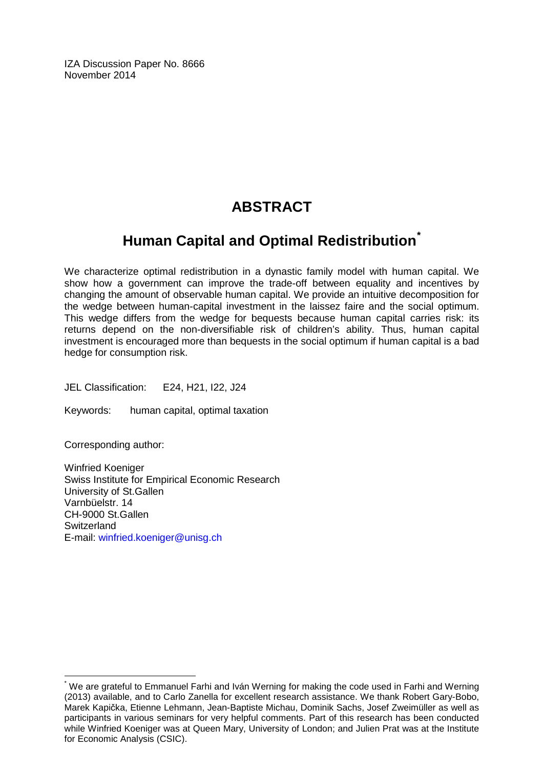IZA Discussion Paper No. 8666 November 2014

## **ABSTRACT**

## **Human Capital and Optimal Redistribution[\\*](#page-1-0)**

We characterize optimal redistribution in a dynastic family model with human capital. We show how a government can improve the trade-off between equality and incentives by changing the amount of observable human capital. We provide an intuitive decomposition for the wedge between human-capital investment in the laissez faire and the social optimum. This wedge differs from the wedge for bequests because human capital carries risk: its returns depend on the non-diversifiable risk of children's ability. Thus, human capital investment is encouraged more than bequests in the social optimum if human capital is a bad hedge for consumption risk.

JEL Classification: E24, H21, I22, J24

Keywords: human capital, optimal taxation

Corresponding author:

Winfried Koeniger Swiss Institute for Empirical Economic Research University of St.Gallen Varnbüelstr. 14 CH-9000 St.Gallen **Switzerland** E-mail: [winfried.koeniger@unisg.ch](mailto:winfried.koeniger@unisg.ch)

\* We are grateful to Emmanuel Farhi and Iván Werning for making the code used in Farhi and Werning (2013) available, and to Carlo Zanella for excellent research assistance. We thank Robert Gary-Bobo, Marek Kapička, Etienne Lehmann, Jean-Baptiste Michau, Dominik Sachs, Josef Zweimüller as well as participants in various seminars for very helpful comments. Part of this research has been conducted while Winfried Koeniger was at Queen Mary, University of London; and Julien Prat was at the Institute for Economic Analysis (CSIC).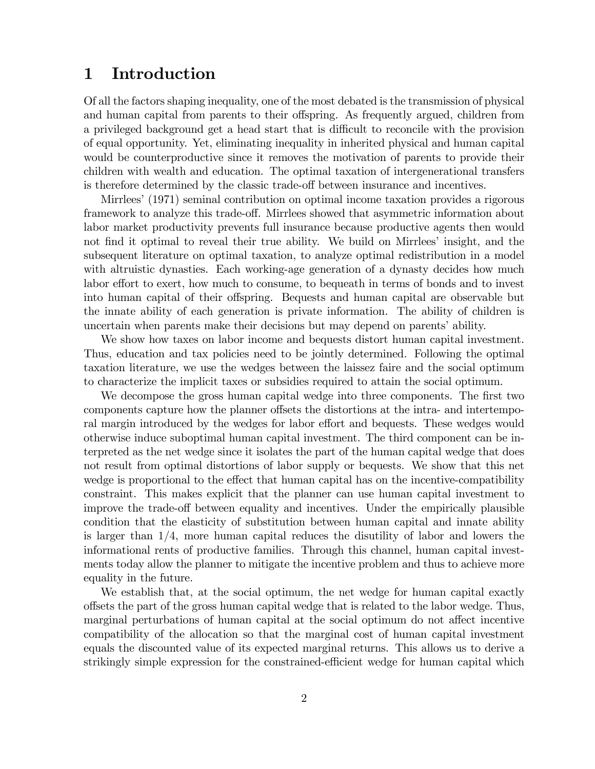### 1 Introduction

Of all the factors shaping inequality, one of the most debated is the transmission of physical and human capital from parents to their offspring. As frequently argued, children from a privileged background get a head start that is difficult to reconcile with the provision of equal opportunity. Yet, eliminating inequality in inherited physical and human capital would be counterproductive since it removes the motivation of parents to provide their children with wealth and education. The optimal taxation of intergenerational transfers is therefore determined by the classic trade-off between insurance and incentives.

Mirrlees' (1971) seminal contribution on optimal income taxation provides a rigorous framework to analyze this trade-off. Mirrlees showed that asymmetric information about labor market productivity prevents full insurance because productive agents then would not find it optimal to reveal their true ability. We build on Mirrlees' insight, and the subsequent literature on optimal taxation, to analyze optimal redistribution in a model with altruistic dynasties. Each working-age generation of a dynasty decides how much labor effort to exert, how much to consume, to bequeath in terms of bonds and to invest into human capital of their offspring. Bequests and human capital are observable but the innate ability of each generation is private information. The ability of children is uncertain when parents make their decisions but may depend on parents' ability.

We show how taxes on labor income and bequests distort human capital investment. Thus, education and tax policies need to be jointly determined. Following the optimal taxation literature, we use the wedges between the laissez faire and the social optimum to characterize the implicit taxes or subsidies required to attain the social optimum.

We decompose the gross human capital wedge into three components. The first two components capture how the planner offsets the distortions at the intra- and intertemporal margin introduced by the wedges for labor effort and bequests. These wedges would otherwise induce suboptimal human capital investment. The third component can be interpreted as the net wedge since it isolates the part of the human capital wedge that does not result from optimal distortions of labor supply or bequests. We show that this net wedge is proportional to the effect that human capital has on the incentive-compatibility constraint. This makes explicit that the planner can use human capital investment to improve the trade-off between equality and incentives. Under the empirically plausible condition that the elasticity of substitution between human capital and innate ability is larger than  $1/4$ , more human capital reduces the disutility of labor and lowers the informational rents of productive families. Through this channel, human capital investments today allow the planner to mitigate the incentive problem and thus to achieve more equality in the future.

We establish that, at the social optimum, the net wedge for human capital exactly o§sets the part of the gross human capital wedge that is related to the labor wedge. Thus, marginal perturbations of human capital at the social optimum do not affect incentive compatibility of the allocation so that the marginal cost of human capital investment equals the discounted value of its expected marginal returns. This allows us to derive a strikingly simple expression for the constrained-efficient wedge for human capital which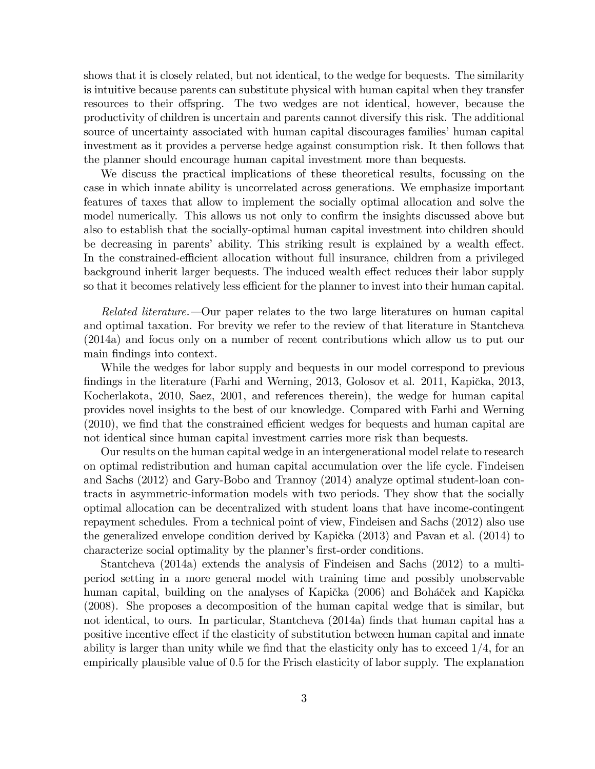shows that it is closely related, but not identical, to the wedge for bequests. The similarity is intuitive because parents can substitute physical with human capital when they transfer resources to their offspring. The two wedges are not identical, however, because the productivity of children is uncertain and parents cannot diversify this risk. The additional source of uncertainty associated with human capital discourages families' human capital investment as it provides a perverse hedge against consumption risk. It then follows that the planner should encourage human capital investment more than bequests.

We discuss the practical implications of these theoretical results, focussing on the case in which innate ability is uncorrelated across generations. We emphasize important features of taxes that allow to implement the socially optimal allocation and solve the model numerically. This allows us not only to confirm the insights discussed above but also to establish that the socially-optimal human capital investment into children should be decreasing in parents' ability. This striking result is explained by a wealth effect. In the constrained-efficient allocation without full insurance, children from a privileged background inherit larger bequests. The induced wealth effect reduces their labor supply so that it becomes relatively less efficient for the planner to invest into their human capital.

*Related literature.* Our paper relates to the two large literatures on human capital and optimal taxation. For brevity we refer to the review of that literature in Stantcheva (2014a) and focus only on a number of recent contributions which allow us to put our main findings into context.

While the wedges for labor supply and bequests in our model correspond to previous findings in the literature (Farhi and Werning,  $2013$ , Golosov et al.  $2011$ , Kapička,  $2013$ , Kocherlakota, 2010, Saez, 2001, and references therein), the wedge for human capital provides novel insights to the best of our knowledge. Compared with Farhi and Werning  $(2010)$ , we find that the constrained efficient wedges for bequests and human capital are not identical since human capital investment carries more risk than bequests.

Our results on the human capital wedge in an intergenerational model relate to research on optimal redistribution and human capital accumulation over the life cycle. Findeisen and Sachs (2012) and Gary-Bobo and Trannoy (2014) analyze optimal student-loan contracts in asymmetric-information models with two periods. They show that the socially optimal allocation can be decentralized with student loans that have income-contingent repayment schedules. From a technical point of view, Findeisen and Sachs (2012) also use the generalized envelope condition derived by Kapička  $(2013)$  and Pavan et al.  $(2014)$  to characterize social optimality by the planner's first-order conditions.

Stantcheva (2014a) extends the analysis of Findeisen and Sachs (2012) to a multiperiod setting in a more general model with training time and possibly unobservable human capital, building on the analyses of Kapička (2006) and Boháček and Kapička (2008). She proposes a decomposition of the human capital wedge that is similar, but not identical, to ours. In particular, Stantcheva (2014a) finds that human capital has a positive incentive effect if the elasticity of substitution between human capital and innate ability is larger than unity while we find that the elasticity only has to exceed  $1/4$ , for an empirically plausible value of 0:5 for the Frisch elasticity of labor supply. The explanation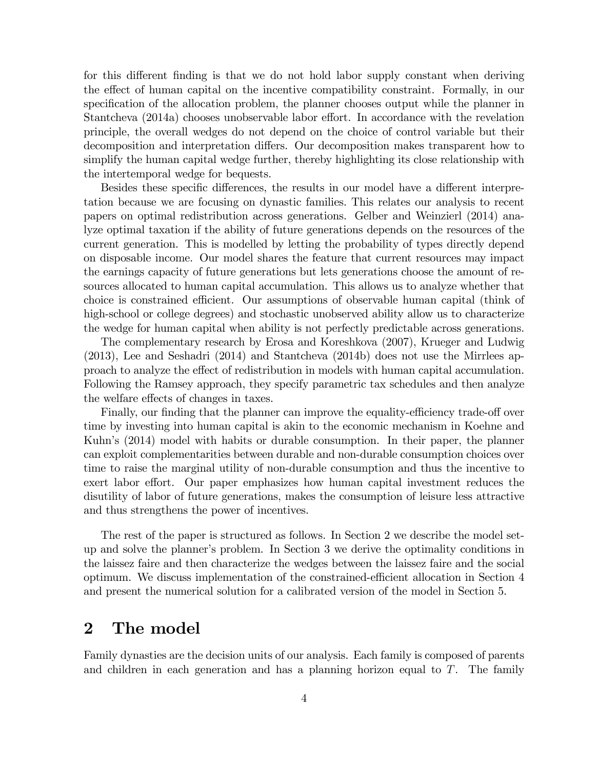for this different finding is that we do not hold labor supply constant when deriving the effect of human capital on the incentive compatibility constraint. Formally, in our specification of the allocation problem, the planner chooses output while the planner in Stantcheva  $(2014a)$  chooses unobservable labor effort. In accordance with the revelation principle, the overall wedges do not depend on the choice of control variable but their decomposition and interpretation differs. Our decomposition makes transparent how to simplify the human capital wedge further, thereby highlighting its close relationship with the intertemporal wedge for bequests.

Besides these specific differences, the results in our model have a different interpretation because we are focusing on dynastic families. This relates our analysis to recent papers on optimal redistribution across generations. Gelber and Weinzierl (2014) analyze optimal taxation if the ability of future generations depends on the resources of the current generation. This is modelled by letting the probability of types directly depend on disposable income. Our model shares the feature that current resources may impact the earnings capacity of future generations but lets generations choose the amount of resources allocated to human capital accumulation. This allows us to analyze whether that choice is constrained efficient. Our assumptions of observable human capital (think of high-school or college degrees) and stochastic unobserved ability allow us to characterize the wedge for human capital when ability is not perfectly predictable across generations.

The complementary research by Erosa and Koreshkova (2007), Krueger and Ludwig (2013), Lee and Seshadri (2014) and Stantcheva (2014b) does not use the Mirrlees approach to analyze the effect of redistribution in models with human capital accumulation. Following the Ramsey approach, they specify parametric tax schedules and then analyze the welfare effects of changes in taxes.

Finally, our finding that the planner can improve the equality-efficiency trade-off over time by investing into human capital is akin to the economic mechanism in Koehne and Kuhn's (2014) model with habits or durable consumption. In their paper, the planner can exploit complementarities between durable and non-durable consumption choices over time to raise the marginal utility of non-durable consumption and thus the incentive to exert labor effort. Our paper emphasizes how human capital investment reduces the disutility of labor of future generations, makes the consumption of leisure less attractive and thus strengthens the power of incentives.

The rest of the paper is structured as follows. In Section 2 we describe the model setup and solve the planner's problem. In Section 3 we derive the optimality conditions in the laissez faire and then characterize the wedges between the laissez faire and the social optimum. We discuss implementation of the constrained-efficient allocation in Section 4 and present the numerical solution for a calibrated version of the model in Section 5.

## 2 The model

Family dynasties are the decision units of our analysis. Each family is composed of parents and children in each generation and has a planning horizon equal to  $T$ . The family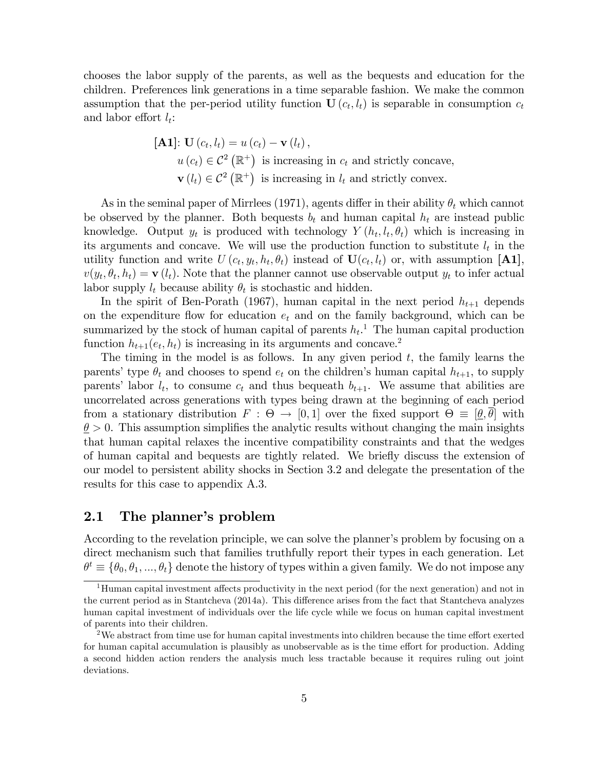chooses the labor supply of the parents, as well as the bequests and education for the children. Preferences link generations in a time separable fashion. We make the common assumption that the per-period utility function  $\mathbf{U}(c_t, l_t)$  is separable in consumption  $c_t$ and labor effort  $l_t$ :

> [**A1**]: **U**  $(c_t, l_t) = u(c_t) - \mathbf{v}(l_t),$  $u(c_t) \in C^2 (\mathbb{R}^+)$  is increasing in  $c_t$  and strictly concave,  $\mathbf{v}(l_t) \in \mathcal{C}^2(\mathbb{R}^+)$  is increasing in  $l_t$  and strictly convex.

As in the seminal paper of Mirrlees (1971), agents differ in their ability  $\theta_t$  which cannot be observed by the planner. Both bequests  $b_t$  and human capital  $h_t$  are instead public knowledge. Output  $y_t$  is produced with technology  $Y(h_t, l_t, \theta_t)$  which is increasing in its arguments and concave. We will use the production function to substitute  $l_t$  in the utility function and write  $U(c_t, y_t, h_t, \theta_t)$  instead of  $\mathbf{U}(c_t, l_t)$  or, with assumption [A1],  $v(y_t, \theta_t, h_t) = \mathbf{v}(l_t)$ . Note that the planner cannot use observable output  $y_t$  to infer actual labor supply  $l_t$  because ability  $\theta_t$  is stochastic and hidden.

In the spirit of Ben-Porath (1967), human capital in the next period  $h_{t+1}$  depends on the expenditure flow for education  $e_t$  and on the family background, which can be summarized by the stock of human capital of parents  $h_t$ <sup>1</sup>. The human capital production function  $h_{t+1}(e_t, h_t)$  is increasing in its arguments and concave.<sup>2</sup>

The timing in the model is as follows. In any given period  $t$ , the family learns the parents' type  $\theta_t$  and chooses to spend  $e_t$  on the children's human capital  $h_{t+1}$ , to supply parents' labor  $l_t$ , to consume  $c_t$  and thus bequeath  $b_{t+1}$ . We assume that abilities are uncorrelated across generations with types being drawn at the beginning of each period from a stationary distribution  $F : \Theta \to [0, 1]$  over the fixed support  $\Theta \equiv [\underline{\theta}, \theta]$  with  $\theta > 0$ . This assumption simplifies the analytic results without changing the main insights that human capital relaxes the incentive compatibility constraints and that the wedges of human capital and bequests are tightly related. We brieáy discuss the extension of our model to persistent ability shocks in Section 3.2 and delegate the presentation of the results for this case to appendix A.3.

#### 2.1 The planner's problem

According to the revelation principle, we can solve the planner's problem by focusing on a direct mechanism such that families truthfully report their types in each generation. Let  $\theta^t \equiv \{\theta_0, \theta_1, ..., \theta_t\}$  denote the history of types within a given family. We do not impose any

 $1$ Human capital investment affects productivity in the next period (for the next generation) and not in the current period as in Stantcheva (2014a). This difference arises from the fact that Stantcheva analyzes human capital investment of individuals over the life cycle while we focus on human capital investment of parents into their children.

<sup>&</sup>lt;sup>2</sup>We abstract from time use for human capital investments into children because the time effort exerted for human capital accumulation is plausibly as unobservable as is the time effort for production. Adding a second hidden action renders the analysis much less tractable because it requires ruling out joint deviations.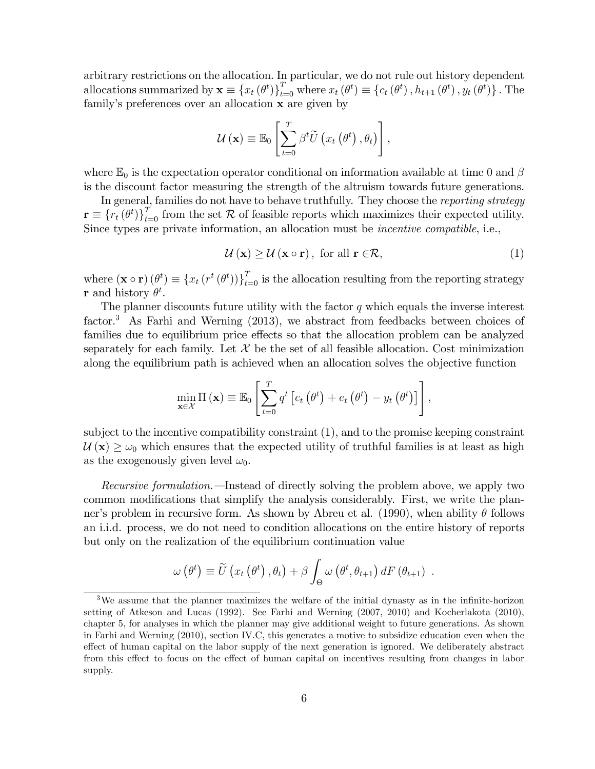arbitrary restrictions on the allocation. In particular, we do not rule out history dependent allocations summarized by  $\mathbf{x} \equiv \{x_t (\theta^t)\}_{t=0}^T$  where  $x_t (\theta^t) \equiv \{c_t (\theta^t), h_{t+1} (\theta^t), y_t (\theta^t)\}\.$  The family's preferences over an allocation **x** are given by

$$
\mathcal{U}(\mathbf{x}) \equiv \mathbb{E}_0 \left[ \sum_{t=0}^T \beta^t \widetilde{U} \left( x_t \left( \theta^t \right), \theta_t \right) \right],
$$

where  $\mathbb{E}_0$  is the expectation operator conditional on information available at time 0 and  $\beta$ is the discount factor measuring the strength of the altruism towards future generations.

In general, families do not have to behave truthfully. They choose the *reporting strategy*  $\mathbf{r} \equiv \{r_t (\theta^t)\}_{t=0}^T$  from the set R of feasible reports which maximizes their expected utility. Since types are private information, an allocation must be incentive compatible, i.e.,

$$
\mathcal{U}\left(\mathbf{x}\right) \geq \mathcal{U}\left(\mathbf{x} \circ \mathbf{r}\right), \text{ for all } \mathbf{r} \in \mathcal{R},\tag{1}
$$

where  $(\mathbf{x} \circ \mathbf{r}) (\theta^t) \equiv \{x_t (r^t (\theta^t))\}_{t=0}^T$  is the allocation resulting from the reporting strategy **r** and history  $\theta^t$ .

The planner discounts future utility with the factor  $q$  which equals the inverse interest factor.<sup>3</sup> As Farhi and Werning (2013), we abstract from feedbacks between choices of families due to equilibrium price effects so that the allocation problem can be analyzed separately for each family. Let  $\mathcal X$  be the set of all feasible allocation. Cost minimization along the equilibrium path is achieved when an allocation solves the objective function

$$
\min_{\mathbf{x}\in\mathcal{X}}\Pi\left(\mathbf{x}\right)\equiv\mathbb{E}_0\left[\sum_{t=0}^T q^t\left[c_t\left(\theta^t\right)+e_t\left(\theta^t\right)-y_t\left(\theta^t\right)\right]\right],
$$

subject to the incentive compatibility constraint (1), and to the promise keeping constraint  $U(\mathbf{x}) \geq \omega_0$  which ensures that the expected utility of truthful families is at least as high as the exogenously given level  $\omega_0$ .

Recursive formulation. —Instead of directly solving the problem above, we apply two common modifications that simplify the analysis considerably. First, we write the planner's problem in recursive form. As shown by Abreu et al. (1990), when ability  $\theta$  follows an i.i.d. process, we do not need to condition allocations on the entire history of reports but only on the realization of the equilibrium continuation value

$$
\omega(\theta^t) \equiv \widetilde{U}\left(x_t\left(\theta^t\right), \theta_t\right) + \beta \int_{\Theta} \omega\left(\theta^t, \theta_{t+1}\right) dF\left(\theta_{t+1}\right) .
$$

 $3$ We assume that the planner maximizes the welfare of the initial dynasty as in the infinite-horizon setting of Atkeson and Lucas (1992). See Farhi and Werning (2007, 2010) and Kocherlakota (2010), chapter 5, for analyses in which the planner may give additional weight to future generations. As shown in Farhi and Werning (2010), section IV.C, this generates a motive to subsidize education even when the effect of human capital on the labor supply of the next generation is ignored. We deliberately abstract from this effect to focus on the effect of human capital on incentives resulting from changes in labor supply.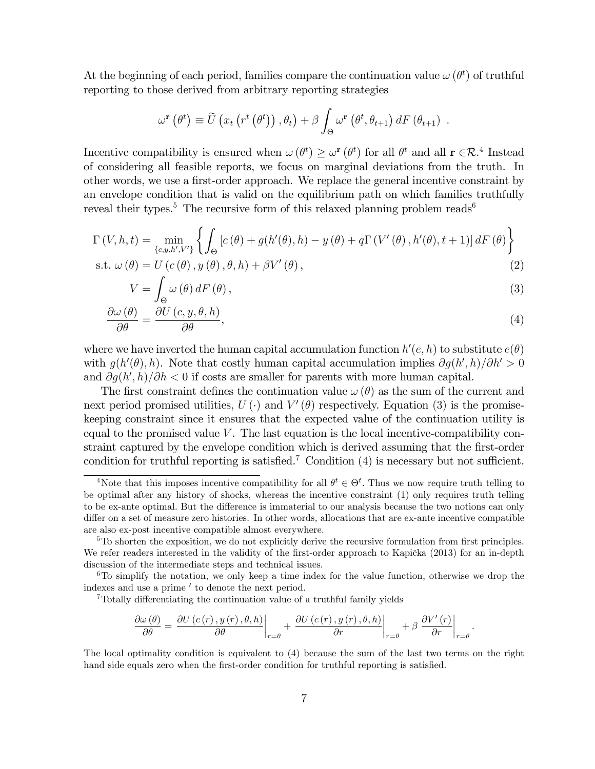At the beginning of each period, families compare the continuation value  $\omega(\theta^t)$  of truthful reporting to those derived from arbitrary reporting strategies

$$
\omega^{\mathbf{r}}(\theta^t) \equiv \widetilde{U}\left(x_t\left(r^t\left(\theta^t\right)\right),\theta_t\right) + \beta \int_{\Theta} \omega^{\mathbf{r}}\left(\theta^t,\theta_{t+1}\right) dF\left(\theta_{t+1}\right) .
$$

Incentive compatibility is ensured when  $\omega(\theta^t) \geq \omega^r(\theta^t)$  for all  $\theta^t$  and all  $r \in \mathcal{R}^4$ . Instead of considering all feasible reports, we focus on marginal deviations from the truth. In other words, we use a first-order approach. We replace the general incentive constraint by an envelope condition that is valid on the equilibrium path on which families truthfully reveal their types.<sup>5</sup> The recursive form of this relaxed planning problem reads<sup>6</sup>

$$
\Gamma(V, h, t) = \min_{\{c, y, h', V'\}} \left\{ \int_{\Theta} \left[ c(\theta) + g(h'(\theta), h) - y(\theta) + q \Gamma(V'(\theta), h'(\theta), t + 1) \right] dF(\theta) \right\}
$$
  
s.t.  $\omega(\theta) = U(c(\theta), y(\theta), \theta, h) + \beta V'(\theta)$ , (2)

$$
V = \int_{\Theta} \omega(\theta) dF(\theta), \qquad (3)
$$

$$
\frac{\partial \omega(\theta)}{\partial \theta} = \frac{\partial U(c, y, \theta, h)}{\partial \theta},\tag{4}
$$

where we have inverted the human capital accumulation function  $h'(e, h)$  to substitute  $e(\theta)$ with  $g(h'(\theta), h)$ . Note that costly human capital accumulation implies  $\partial g(h', h)/\partial h' > 0$ and  $\partial g(h',h)/\partial h$  < 0 if costs are smaller for parents with more human capital.

The first constraint defines the continuation value  $\omega(\theta)$  as the sum of the current and next period promised utilities,  $U(\cdot)$  and  $V'(\theta)$  respectively. Equation (3) is the promisekeeping constraint since it ensures that the expected value of the continuation utility is equal to the promised value  $V$ . The last equation is the local incentive-compatibility constraint captured by the envelope condition which is derived assuming that the first-order condition for truthful reporting is satisfied.<sup>7</sup> Condition  $(4)$  is necessary but not sufficient.

 $7$ Totally differentiating the continuation value of a truthful family yields

$$
\frac{\partial \omega(\theta)}{\partial \theta} = \left. \frac{\partial U(c(r), y(r), \theta, h)}{\partial \theta} \right|_{r = \theta} + \left. \frac{\partial U(c(r), y(r), \theta, h)}{\partial r} \right|_{r = \theta} + \beta \left. \frac{\partial V'(r)}{\partial r} \right|_{r = \theta}.
$$

The local optimality condition is equivalent to (4) because the sum of the last two terms on the right hand side equals zero when the first-order condition for truthful reporting is satisfied.

<sup>&</sup>lt;sup>4</sup>Note that this imposes incentive compatibility for all  $\theta^t \in \Theta^t$ . Thus we now require truth telling to be optimal after any history of shocks, whereas the incentive constraint (1) only requires truth telling to be ex-ante optimal. But the difference is immaterial to our analysis because the two notions can only differ on a set of measure zero histories. In other words, allocations that are ex-ante incentive compatible are also ex-post incentive compatible almost everywhere.

 $5T<sub>5</sub>$  shorten the exposition, we do not explicitly derive the recursive formulation from first principles. We refer readers interested in the validity of the first-order approach to Kapička (2013) for an in-depth discussion of the intermediate steps and technical issues.

 $6T<sub>0</sub>$  simplify the notation, we only keep a time index for the value function, otherwise we drop the indexes and use a prime ' to denote the next period.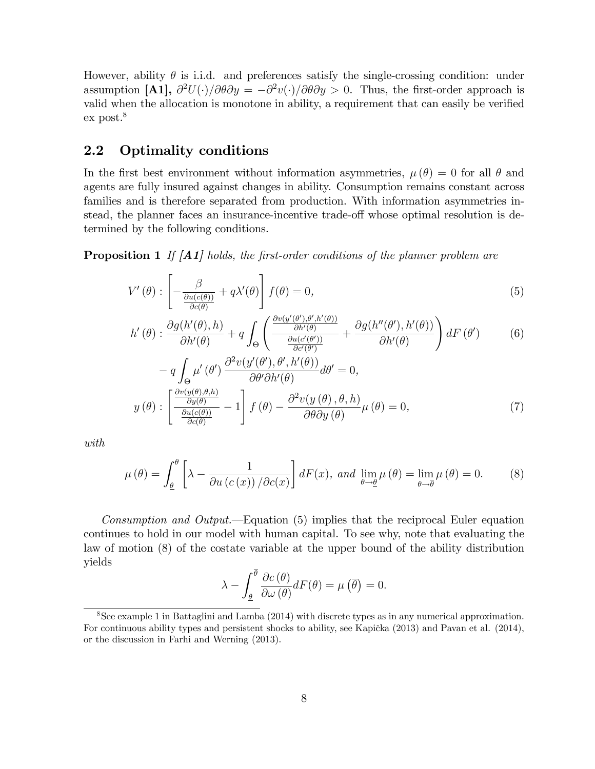However, ability  $\theta$  is i.i.d. and preferences satisfy the single-crossing condition: under assumption [A1],  $\partial^2 U(\cdot)/\partial \theta \partial y = -\partial^2 v(\cdot)/\partial \theta \partial y > 0$ . Thus, the first-order approach is valid when the allocation is monotone in ability, a requirement that can easily be verified  $ex$  post. $8$ 

#### 2.2 Optimality conditions

In the first best environment without information asymmetries,  $\mu(\theta) = 0$  for all  $\theta$  and agents are fully insured against changes in ability. Consumption remains constant across families and is therefore separated from production. With information asymmetries instead, the planner faces an insurance-incentive trade-off whose optimal resolution is determined by the following conditions.

**Proposition 1** If  $[AA]$  holds, the first-order conditions of the planner problem are

$$
V'(\theta) : \left[ -\frac{\beta}{\frac{\partial u(c(\theta))}{\partial c(\theta)}} + q\lambda'(\theta) \right] f(\theta) = 0,
$$
\n(5)

$$
h'(\theta) : \frac{\partial g(h'(\theta), h)}{\partial h'(\theta)} + q \int_{\Theta} \left( \frac{\frac{\partial v(y'(\theta'), \theta', h'(\theta))}{\partial h'(\theta)}}{\frac{\partial u(c'(\theta'))}{\partial c'(\theta')}} + \frac{\partial g(h''(\theta'), h'(\theta))}{\partial h'(\theta)} \right) dF(\theta') \tag{6}
$$

$$
- q \int_{\Theta} \mu'(\theta') \frac{\partial^2 v(y(\theta), \theta, h(\theta))}{\partial \theta' \partial h'(\theta)} d\theta' = 0,
$$
  

$$
y(\theta) : \left[ \frac{\frac{\partial v(y(\theta), \theta, h)}{\partial y(\theta)}}{\frac{\partial u(c(\theta))}{\partial c(\theta)}} - 1 \right] f(\theta) - \frac{\partial^2 v(y(\theta), \theta, h)}{\partial \theta \partial y(\theta)} \mu(\theta) = 0,
$$
 (7)

with

$$
\mu(\theta) = \int_{\underline{\theta}}^{\theta} \left[ \lambda - \frac{1}{\partial u(c(x)) / \partial c(x)} \right] dF(x), \text{ and } \lim_{\theta \to \underline{\theta}} \mu(\theta) = \lim_{\theta \to \overline{\theta}} \mu(\theta) = 0. \tag{8}
$$

*Consumption and Output.*—Equation (5) implies that the reciprocal Euler equation continues to hold in our model with human capital. To see why, note that evaluating the law of motion (8) of the costate variable at the upper bound of the ability distribution yields

$$
\lambda - \int_{\underline{\theta}}^{\overline{\theta}} \frac{\partial c(\theta)}{\partial \omega(\theta)} dF(\theta) = \mu(\overline{\theta}) = 0.
$$

<sup>8</sup>See example 1 in Battaglini and Lamba (2014) with discrete types as in any numerical approximation. For continuous ability types and persistent shocks to ability, see Kapička (2013) and Pavan et al. (2014), or the discussion in Farhi and Werning (2013).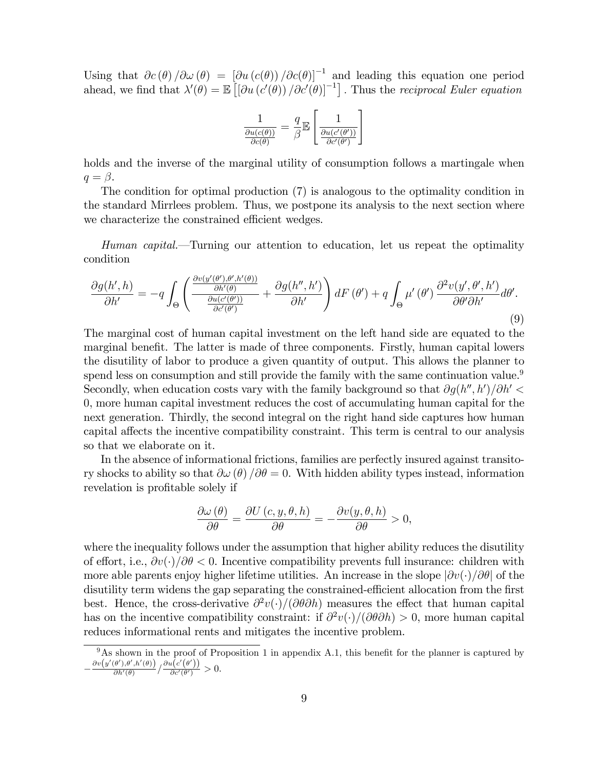Using that  $\partial c(\theta)/\partial \omega(\theta) = [\partial u(c(\theta)) / \partial c(\theta)]^{-1}$  and leading this equation one period ahead, we find that  $\lambda'(\theta) = \mathbb{E}\left[\left[\partial u\left(c'(\theta)\right)/\partial c'(\theta)\right]^{-1}\right]$ . Thus the *reciprocal Euler equation* 

$$
\frac{1}{\frac{\partial u(c(\theta))}{\partial c(\theta)}} = \frac{q}{\beta} \mathbb{E} \left[ \frac{1}{\frac{\partial u(c'(\theta'))}{\partial c'(\theta')}} \right]
$$

holds and the inverse of the marginal utility of consumption follows a martingale when  $q = \beta$ .

The condition for optimal production (7) is analogous to the optimality condition in the standard Mirrlees problem. Thus, we postpone its analysis to the next section where we characterize the constrained efficient wedges.

Human capital.—Turning our attention to education, let us repeat the optimality condition

$$
\frac{\partial g(h',h)}{\partial h'} = -q \int_{\Theta} \left( \frac{\frac{\partial v(y'(\theta'),\theta',h'(\theta))}{\partial h'(\theta')}}{\frac{\partial u(c'(\theta'))}{\partial c'(\theta')}} + \frac{\partial g(h'',h')}{\partial h'} \right) dF(\theta') + q \int_{\Theta} \mu'(\theta') \frac{\partial^2 v(y',\theta',h')}{\partial \theta' \partial h'} d\theta'.
$$
\n(9)

The marginal cost of human capital investment on the left hand side are equated to the marginal benefit. The latter is made of three components. Firstly, human capital lowers the disutility of labor to produce a given quantity of output. This allows the planner to spend less on consumption and still provide the family with the same continuation value.<sup>9</sup> Secondly, when education costs vary with the family background so that  $\partial g(h'',h')/\partial h'$ 0, more human capital investment reduces the cost of accumulating human capital for the next generation. Thirdly, the second integral on the right hand side captures how human capital affects the incentive compatibility constraint. This term is central to our analysis so that we elaborate on it.

In the absence of informational frictions, families are perfectly insured against transitory shocks to ability so that  $\partial \omega (\theta) / \partial \theta = 0$ . With hidden ability types instead, information revelation is profitable solely if

$$
\frac{\partial \omega(\theta)}{\partial \theta} = \frac{\partial U(c, y, \theta, h)}{\partial \theta} = -\frac{\partial v(y, \theta, h)}{\partial \theta} > 0,
$$

where the inequality follows under the assumption that higher ability reduces the disutility of effort, i.e.,  $\partial v(\cdot)/\partial \theta < 0$ . Incentive compatibility prevents full insurance: children with more able parents enjoy higher lifetime utilities. An increase in the slope  $\left|\partial v(\cdot)/\partial\theta\right|$  of the disutility term widens the gap separating the constrained-efficient allocation from the first best. Hence, the cross-derivative  $\partial^2 v(\cdot)/(\partial \theta \partial h)$  measures the effect that human capital has on the incentive compatibility constraint: if  $\partial^2 v(\cdot)/(\partial \theta \partial h) > 0$ , more human capital reduces informational rents and mitigates the incentive problem.

 $9As$  shown in the proof of Proposition 1 in appendix A.1, this benefit for the planner is captured by Ξ  $\partial v\bigl(y'(\theta'),\theta',h'(\theta)\bigr)$  $\frac{\partial \theta^{\prime}(\theta^{\prime},h^{\prime}(\theta))}{\partial h^{\prime}(\theta)} / \frac{\partial u\big(c^{\prime}\big(\theta^{\prime}\big)\big)}{\partial c^{\prime}(\theta^{\prime})}$  $\frac{\partial c'(\theta')}{\partial c'(\theta')} > 0.$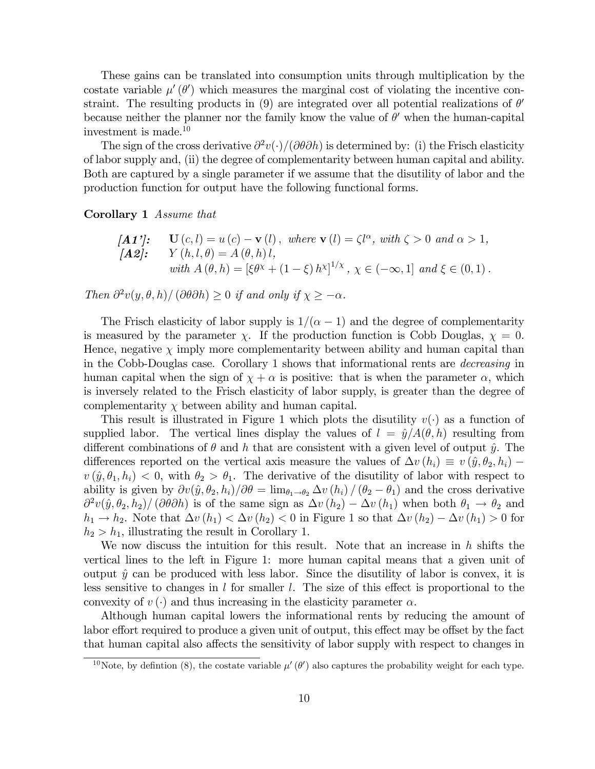These gains can be translated into consumption units through multiplication by the costate variable  $\mu'(\theta')$  which measures the marginal cost of violating the incentive constraint. The resulting products in (9) are integrated over all potential realizations of  $\theta'$ because neither the planner nor the family know the value of  $\theta'$  when the human-capital investment is made.<sup>10</sup>

The sign of the cross derivative  $\partial^2 v(\cdot)/(\partial \theta \partial h)$  is determined by: (i) the Frisch elasticity of labor supply and, (ii) the degree of complementarity between human capital and ability. Both are captured by a single parameter if we assume that the disutility of labor and the production function for output have the following functional forms.

Corollary 1 Assume that

$$
\begin{array}{ll}\n[\mathbf{A1'}]: \quad \mathbf{U}(c,l) = u(c) - \mathbf{v}(l), \text{ where } \mathbf{v}(l) = \zeta l^{\alpha}, \text{ with } \zeta > 0 \text{ and } \alpha > 1, \\
[\mathbf{A2}]: \quad Y(h,l,\theta) = A(\theta,h) \, l, \\
\text{with } A(\theta,h) = [\xi \theta^{\chi} + (1-\xi) \, h^{\chi}]^{1/\chi}, \chi \in (-\infty,1] \text{ and } \xi \in (0,1).\n\end{array}
$$

Then  $\partial^2 v(y, \theta, h) / (\partial \theta \partial h) \ge 0$  if and only if  $\chi \ge -\alpha$ .

The Frisch elasticity of labor supply is  $1/(\alpha - 1)$  and the degree of complementarity is measured by the parameter  $\chi$ . If the production function is Cobb Douglas,  $\chi = 0$ . Hence, negative  $\chi$  imply more complementarity between ability and human capital than in the Cobb-Douglas case. Corollary 1 shows that informational rents are decreasing in human capital when the sign of  $\chi + \alpha$  is positive: that is when the parameter  $\alpha$ , which is inversely related to the Frisch elasticity of labor supply, is greater than the degree of complementarity  $\chi$  between ability and human capital.

This result is illustrated in Figure 1 which plots the disutility  $v(\cdot)$  as a function of supplied labor. The vertical lines display the values of  $l = \hat{y}/A(\theta, h)$  resulting from different combinations of  $\theta$  and h that are consistent with a given level of output  $\hat{y}$ . The differences reported on the vertical axis measure the values of  $\Delta v (h_i) \equiv v (\hat{y}, \theta_2, h_i)$  $v(\hat{y}, \theta_1, h_i) < 0$ , with  $\theta_2 > \theta_1$ . The derivative of the disutility of labor with respect to ability is given by  $\partial v(\hat{y}, \theta_2, h_i)/\partial \theta = \lim_{\theta_1 \to \theta_2} \Delta v (h_i) / (\theta_2 - \theta_1)$  and the cross derivative  $\frac{\partial^2 v(\hat{y}, \theta_2, h_2)}{\partial h_2}$  ( $\frac{\partial \theta}{\partial h}$ ) is of the same sign as  $\Delta v (h_2) - \Delta v (h_1)$  when both  $\theta_1 \rightarrow \theta_2$  and  $h_1 \to h_2$ . Note that  $\Delta v (h_1) < \Delta v (h_2) < 0$  in Figure 1 so that  $\Delta v (h_2) - \Delta v (h_1) > 0$  for  $h_2 > h_1$ , illustrating the result in Corollary 1.

We now discuss the intuition for this result. Note that an increase in  $h$  shifts the vertical lines to the left in Figure 1: more human capital means that a given unit of output  $\hat{y}$  can be produced with less labor. Since the disutility of labor is convex, it is less sensitive to changes in l for smaller l. The size of this effect is proportional to the convexity of  $v(\cdot)$  and thus increasing in the elasticity parameter  $\alpha$ .

Although human capital lowers the informational rents by reducing the amount of labor effort required to produce a given unit of output, this effect may be offset by the fact that human capital also affects the sensitivity of labor supply with respect to changes in

<sup>&</sup>lt;sup>10</sup>Note, by defintion (8), the costate variable  $\mu'(\theta')$  also captures the probability weight for each type.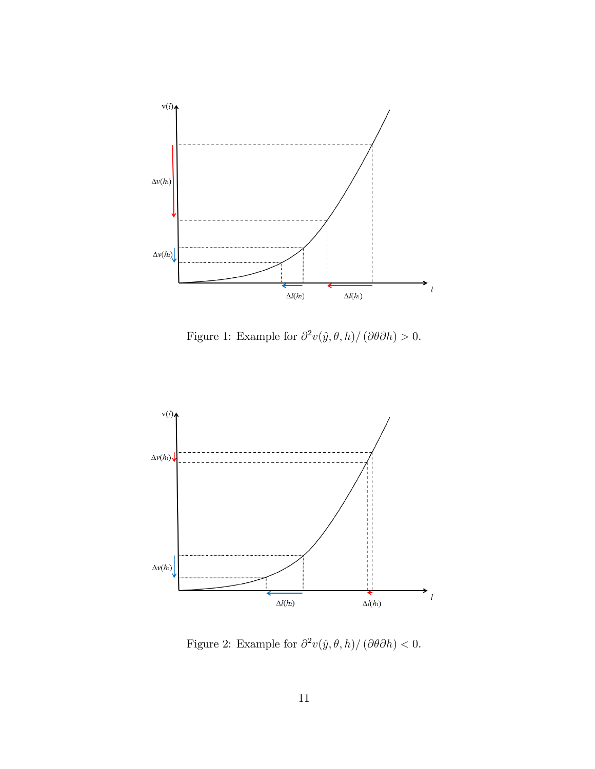

Figure 1: Example for  $\partial^2 v(\hat{y}, \theta, h)/(\partial \theta \partial h) > 0$ .



Figure 2: Example for  $\partial^2 v(\hat{y}, \theta, h)/(\partial \theta \partial h) < 0$ .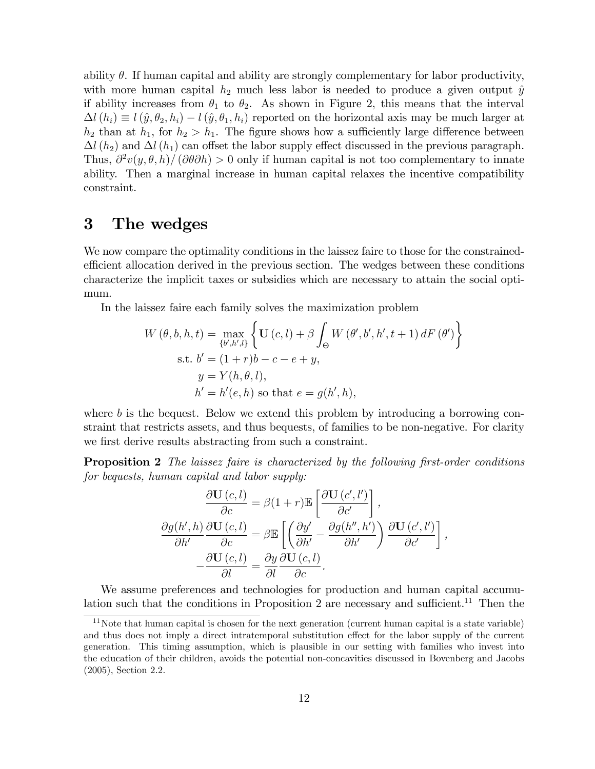ability  $\theta$ . If human capital and ability are strongly complementary for labor productivity, with more human capital  $h_2$  much less labor is needed to produce a given output  $\hat{y}$ if ability increases from  $\theta_1$  to  $\theta_2$ . As shown in Figure 2, this means that the interval  $\Delta l(h_i) \equiv l(\hat{y}, \theta_2, h_i) - l(\hat{y}, \theta_1, h_i)$  reported on the horizontal axis may be much larger at  $h_2$  than at  $h_1$ , for  $h_2 > h_1$ . The figure shows how a sufficiently large difference between  $\Delta l(h_2)$  and  $\Delta l(h_1)$  can offset the labor supply effect discussed in the previous paragraph. Thus,  $\frac{\partial^2 v(y, \theta, h)}{\partial \theta} > 0$  only if human capital is not too complementary to innate ability. Then a marginal increase in human capital relaxes the incentive compatibility constraint.

## 3 The wedges

We now compare the optimality conditions in the laissez faire to those for the constrainedefficient allocation derived in the previous section. The wedges between these conditions characterize the implicit taxes or subsidies which are necessary to attain the social optimum.

In the laissez faire each family solves the maximization problem

$$
W(\theta, b, h, t) = \max_{\{b', h', l\}} \left\{ \mathbf{U}(c, l) + \beta \int_{\Theta} W(\theta', b', h', t + 1) dF(\theta') \right\}
$$
  
s.t.  $b' = (1 + r)b - c - e + y$ ,  
 $y = Y(h, \theta, l)$ ,  
 $h' = h'(e, h)$  so that  $e = g(h', h)$ ,

where  $b$  is the bequest. Below we extend this problem by introducing a borrowing constraint that restricts assets, and thus bequests, of families to be non-negative. For clarity we first derive results abstracting from such a constraint.

**Proposition 2** The laissez faire is characterized by the following first-order conditions for bequests, human capital and labor supply:

$$
\frac{\partial \mathbf{U}(c,l)}{\partial c} = \beta(1+r)\mathbb{E}\left[\frac{\partial \mathbf{U}(c',l')}{\partial c'}\right],
$$

$$
\frac{\partial g(h',h)}{\partial h'}\frac{\partial \mathbf{U}(c,l)}{\partial c} = \beta \mathbb{E}\left[\left(\frac{\partial y'}{\partial h'} - \frac{\partial g(h'',h')}{\partial h'}\right)\frac{\partial \mathbf{U}(c',l')}{\partial c'}\right],
$$

$$
-\frac{\partial \mathbf{U}(c,l)}{\partial l} = \frac{\partial y}{\partial l}\frac{\partial \mathbf{U}(c,l)}{\partial c}.
$$

We assume preferences and technologies for production and human capital accumulation such that the conditions in Proposition 2 are necessary and sufficient.<sup>11</sup> Then the

<sup>&</sup>lt;sup>11</sup>Note that human capital is chosen for the next generation (current human capital is a state variable) and thus does not imply a direct intratemporal substitution effect for the labor supply of the current generation. This timing assumption, which is plausible in our setting with families who invest into the education of their children, avoids the potential non-concavities discussed in Bovenberg and Jacobs (2005), Section 2.2.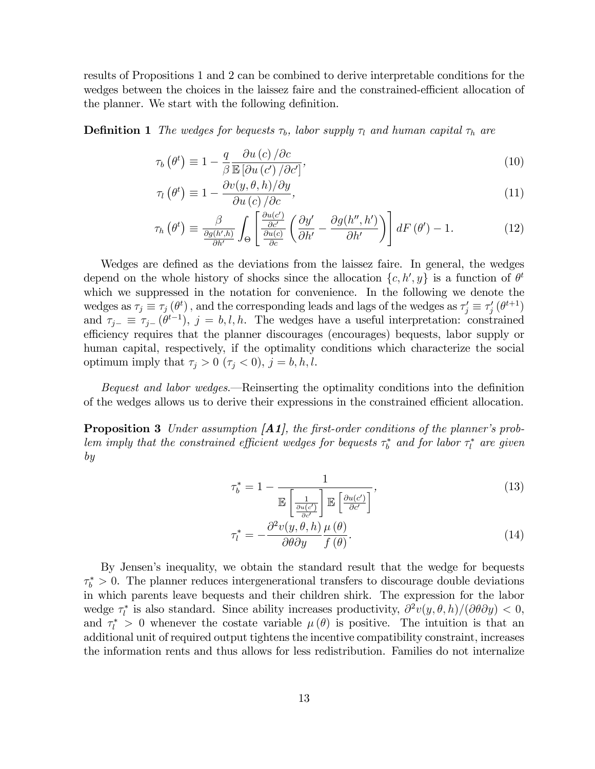results of Propositions 1 and 2 can be combined to derive interpretable conditions for the wedges between the choices in the laissez faire and the constrained-efficient allocation of the planner. We start with the following definition.

**Definition 1** The wedges for bequests  $\tau_b$ , labor supply  $\tau_l$  and human capital  $\tau_h$  are

$$
\tau_b(\theta^t) \equiv 1 - \frac{q}{\beta} \frac{\partial u(c)}{\mathbb{E} \left[ \partial u(c') / \partial c' \right]},\tag{10}
$$

$$
\tau_l(\theta^t) \equiv 1 - \frac{\partial v(y, \theta, h)/\partial y}{\partial u(c)/\partial c},\tag{11}
$$

$$
\tau_h\left(\theta^t\right) \equiv \frac{\beta}{\frac{\partial g(h',h)}{\partial h'}} \int_{\Theta} \left[ \frac{\frac{\partial u(c')}{\partial c'}}{\frac{\partial u(c)}{\partial c}} \left( \frac{\partial y'}{\partial h'} - \frac{\partial g(h'',h')}{\partial h'} \right) \right] dF\left(\theta'\right) - 1. \tag{12}
$$

Wedges are defined as the deviations from the laissez faire. In general, the wedges depend on the whole history of shocks since the allocation  $\{c, h', y\}$  is a function of  $\theta^t$ which we suppressed in the notation for convenience. In the following we denote the wedges as  $\tau_j \equiv \tau_j(\theta^t)$ , and the corresponding leads and lags of the wedges as  $\tau'_j \equiv \tau'_j(\theta^{t+1})$ and  $\tau_{j-} \equiv \tau_{j-}(\theta^{t-1}), j = b, l, h$ . The wedges have a useful interpretation: constrained efficiency requires that the planner discourages (encourages) bequests, labor supply or human capital, respectively, if the optimality conditions which characterize the social optimum imply that  $\tau_j > 0$  ( $\tau_j < 0$ ),  $j = b, h, l$ .

Bequest and labor wedges.—Reinserting the optimality conditions into the definition of the wedges allows us to derive their expressions in the constrained efficient allocation.

**Proposition 3** Under assumption  $\begin{bmatrix} A1 \end{bmatrix}$ , the first-order conditions of the planner's problem imply that the constrained efficient wedges for bequests  $\tau_b^*$  and for labor  $\tau_l^*$  are given by

$$
\tau_b^* = 1 - \frac{1}{\mathbb{E}\left[\frac{1}{\frac{\partial u(c')}{\partial c'}}\right] \mathbb{E}\left[\frac{\partial u(c')}{\partial c'}\right]},\tag{13}
$$

$$
\tau_l^* = -\frac{\partial^2 v(y, \theta, h)}{\partial \theta \partial y} \frac{\mu(\theta)}{f(\theta)}.
$$
\n(14)

By Jensenís inequality, we obtain the standard result that the wedge for bequests  $\tau_b^* > 0$ . The planner reduces intergenerational transfers to discourage double deviations in which parents leave bequests and their children shirk. The expression for the labor wedge  $\tau_l^*$  is also standard. Since ability increases productivity,  $\partial^2 v(y, \theta, h)/(\partial \theta \partial y) < 0$ , and  $\tau_l^* > 0$  whenever the costate variable  $\mu(\theta)$  is positive. The intuition is that an additional unit of required output tightens the incentive compatibility constraint, increases the information rents and thus allows for less redistribution. Families do not internalize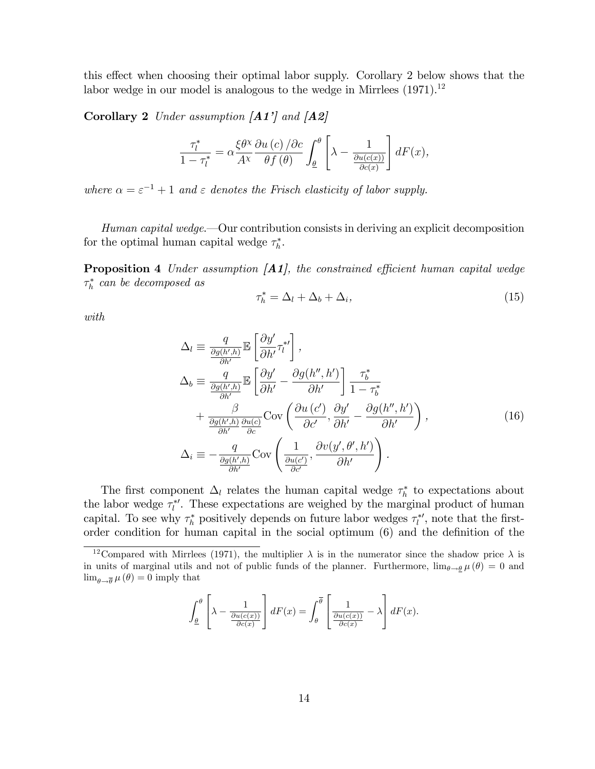this effect when choosing their optimal labor supply. Corollary 2 below shows that the labor wedge in our model is analogous to the wedge in Mirrlees  $(1971).<sup>12</sup>$ 

Corollary 2 Under assumption  $[A1']$  and  $[A2]$ 

$$
\frac{\tau_l^*}{1 - \tau_l^*} = \alpha \frac{\xi \theta^{\chi}}{A^{\chi}} \frac{\partial u(c)}{\partial f(\theta)} \int_{\underline{\theta}}^{\theta} \left[ \lambda - \frac{1}{\frac{\partial u(c(x))}{\partial c(x)}} \right] dF(x),
$$

where  $\alpha = \varepsilon^{-1} + 1$  and  $\varepsilon$  denotes the Frisch elasticity of labor supply.

Human capital wedge. Our contribution consists in deriving an explicit decomposition for the optimal human capital wedge  $\tau_h^*$ .

**Proposition 4** Under assumption  $\begin{bmatrix} A1 \end{bmatrix}$ , the constrained efficient human capital wedge  $\tau_h^*$  can be decomposed as

$$
\tau_h^* = \Delta_l + \Delta_b + \Delta_i,\tag{15}
$$

with

$$
\Delta_{l} \equiv \frac{q}{\frac{\partial g(h',h)}{\partial h'}} \mathbb{E} \left[ \frac{\partial y'}{\partial h'} \tau_{l}^{*l} \right],
$$
\n
$$
\Delta_{b} \equiv \frac{q}{\frac{\partial g(h',h)}{\partial h'}} \mathbb{E} \left[ \frac{\partial y'}{\partial h'} - \frac{\partial g(h'',h')}{\partial h'} \right] \frac{\tau_{b}^{*}}{1 - \tau_{b}^{*}}
$$
\n
$$
+ \frac{\beta}{\frac{\partial g(h',h)}{\partial h'}} \frac{\partial u(c)}{\partial c} \text{Cov} \left( \frac{\partial u(c')}{\partial c'}, \frac{\partial y'}{\partial h'} - \frac{\partial g(h'',h')}{\partial h'} \right),
$$
\n
$$
\Delta_{i} \equiv -\frac{q}{\frac{\partial g(h',h)}{\partial h'}} \text{Cov} \left( \frac{1}{\frac{\partial u(c')}{\partial c'}}, \frac{\partial v(y', \theta', h')}{\partial h'} \right).
$$
\n(16)

The first component  $\Delta_l$  relates the human capital wedge  $\tau_h^*$  to expectations about the labor wedge  $\tau_l^*$ . These expectations are weighed by the marginal product of human capital. To see why  $\tau_h^*$  positively depends on future labor wedges  $\tau_l^*$ , note that the firstorder condition for human capital in the social optimum  $(6)$  and the definition of the

$$
\int_{\underline{\theta}}^{\theta} \left[ \lambda - \frac{1}{\frac{\partial u(c(x))}{\partial c(x)}} \right] dF(x) = \int_{\theta}^{\overline{\theta}} \left[ \frac{1}{\frac{\partial u(c(x))}{\partial c(x)}} - \lambda \right] dF(x).
$$

<sup>&</sup>lt;sup>12</sup>Compared with Mirrlees (1971), the multiplier  $\lambda$  is in the numerator since the shadow price  $\lambda$  is in units of marginal utils and not of public funds of the planner. Furthermore,  $\lim_{\theta \to \theta} \mu(\theta) = 0$  and  $\lim_{\theta \to \overline{\theta}} \mu(\theta) = 0$  imply that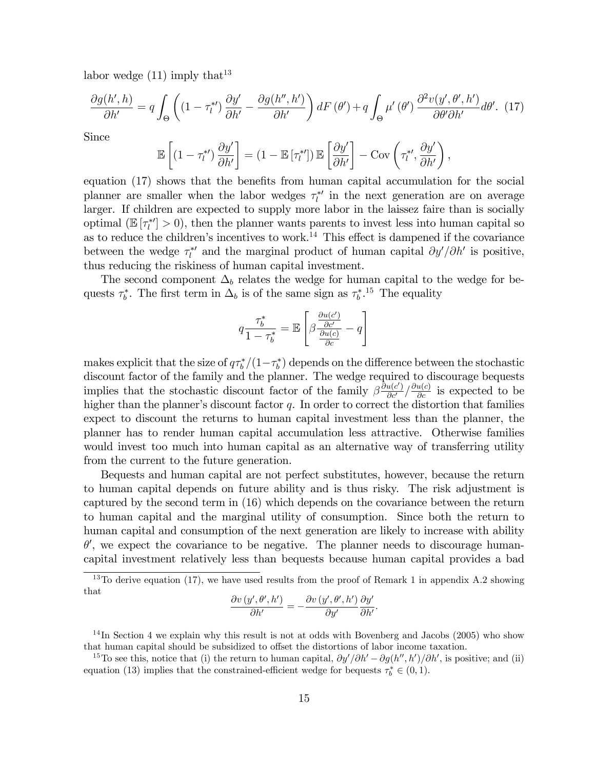labor wedge  $(11)$  imply that<sup>13</sup>

$$
\frac{\partial g(h',h)}{\partial h'} = q \int_{\Theta} \left( (1 - \tau_l^{*}) \frac{\partial y'}{\partial h'} - \frac{\partial g(h'',h')}{\partial h'} \right) dF(\theta') + q \int_{\Theta} \mu'(\theta') \frac{\partial^2 v(y', \theta', h')}{\partial \theta' \partial h'} d\theta'. \tag{17}
$$

Since

$$
\mathbb{E}\left[\left(1-\tau_l^{*\prime}\right)\frac{\partial y'}{\partial h'}\right] = \left(1-\mathbb{E}\left[\tau_l^{*\prime}\right]\right)\mathbb{E}\left[\frac{\partial y'}{\partial h'}\right] - \text{Cov}\left(\tau_l^{*\prime},\frac{\partial y'}{\partial h'}\right),\,
$$

equation  $(17)$  shows that the benefits from human capital accumulation for the social planner are smaller when the labor wedges  $\tau_l^{*'}$  in the next generation are on average larger. If children are expected to supply more labor in the laissez faire than is socially optimal ( $\mathbb{E}[\tau_l^{*'}] > 0$ ), then the planner wants parents to invest less into human capital so as to reduce the children's incentives to work.<sup>14</sup> This effect is dampened if the covariance between the wedge  $\tau_l^{*'}$  and the marginal product of human capital  $\partial y'/\partial h'$  is positive, thus reducing the riskiness of human capital investment.

The second component  $\Delta_b$  relates the wedge for human capital to the wedge for bequests  $\tau_b^*$ . The first term in  $\Delta_b$  is of the same sign as  $\tau_b^{*,15}$  The equality

$$
q\frac{\tau_b^*}{1-\tau_b^*} = \mathbb{E}\left[\beta \frac{\frac{\partial u(c')}{\partial c'}}{\frac{\partial u(c)}{\partial c}} - q\right]
$$

makes explicit that the size of  $q\tau_b^*/(1-\tau_b^*)$  depends on the difference between the stochastic discount factor of the family and the planner. The wedge required to discourage bequests implies that the stochastic discount factor of the family  $\beta \frac{\partial u(c')}{\partial c'} / \frac{\partial u(c)}{\partial c}$  is expected to be higher than the planner's discount factor  $q$ . In order to correct the distortion that families expect to discount the returns to human capital investment less than the planner, the planner has to render human capital accumulation less attractive. Otherwise families would invest too much into human capital as an alternative way of transferring utility from the current to the future generation.

Bequests and human capital are not perfect substitutes, however, because the return to human capital depends on future ability and is thus risky. The risk adjustment is captured by the second term in (16) which depends on the covariance between the return to human capital and the marginal utility of consumption. Since both the return to human capital and consumption of the next generation are likely to increase with ability  $\theta'$ , we expect the covariance to be negative. The planner needs to discourage humancapital investment relatively less than bequests because human capital provides a bad

$$
\frac{\partial v\left(y',\theta',h'\right)}{\partial h'} = -\frac{\partial v\left(y',\theta',h'\right)}{\partial y'}\frac{\partial y'}{\partial h'}.
$$

<sup>14</sup>In Section 4 we explain why this result is not at odds with Bovenberg and Jacobs (2005) who show that human capital should be subsidized to offset the distortions of labor income taxation.

<sup>&</sup>lt;sup>13</sup>To derive equation (17), we have used results from the proof of Remark 1 in appendix A.2 showing that

<sup>&</sup>lt;sup>15</sup>To see this, notice that (i) the return to human capital,  $\partial y'/\partial h' - \partial g(h'', h')/\partial h'$ , is positive; and (ii) equation (13) implies that the constrained-efficient wedge for bequests  $\tau_b^* \in (0,1)$ .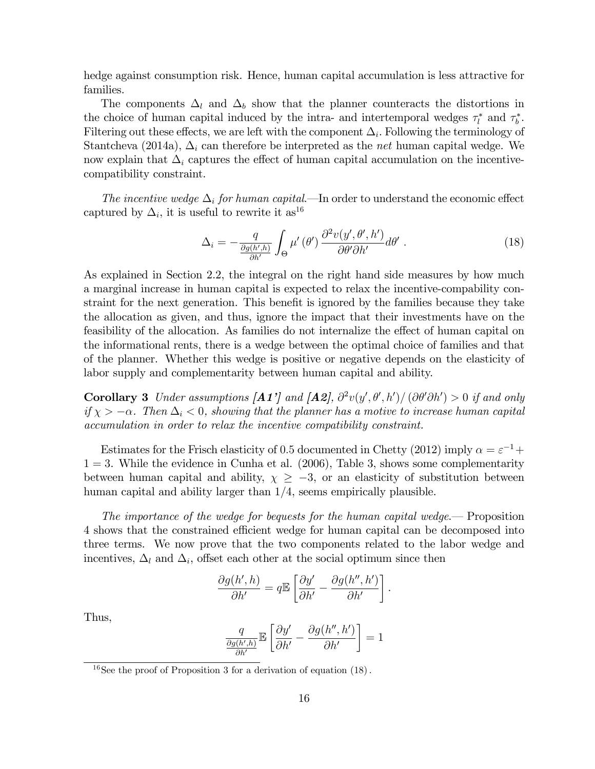hedge against consumption risk. Hence, human capital accumulation is less attractive for families.

The components  $\Delta_l$  and  $\Delta_b$  show that the planner counteracts the distortions in the choice of human capital induced by the intra- and intertemporal wedges  $\tau_l^*$  and  $\tau_b^*$ . Filtering out these effects, we are left with the component  $\Delta_i$ . Following the terminology of Stantcheva (2014a),  $\Delta_i$  can therefore be interpreted as the *net* human capital wedge. We now explain that  $\Delta_i$  captures the effect of human capital accumulation on the incentivecompatibility constraint.

The incentive wedge  $\Delta_i$  for human capital.—In order to understand the economic effect captured by  $\Delta_i$ , it is useful to rewrite it as<sup>16</sup>

$$
\Delta_i = -\frac{q}{\frac{\partial g(h',h)}{\partial h'}} \int_{\Theta} \mu'(\theta') \frac{\partial^2 v(y', \theta', h')}{\partial \theta' \partial h'} d\theta' . \tag{18}
$$

As explained in Section 2.2, the integral on the right hand side measures by how much a marginal increase in human capital is expected to relax the incentive-compability constraint for the next generation. This benefit is ignored by the families because they take the allocation as given, and thus, ignore the impact that their investments have on the feasibility of the allocation. As families do not internalize the effect of human capital on the informational rents, there is a wedge between the optimal choice of families and that of the planner. Whether this wedge is positive or negative depends on the elasticity of labor supply and complementarity between human capital and ability.

**Corollary 3** Under assumptions  $\begin{bmatrix} A1' \end{bmatrix}$  and  $\begin{bmatrix} A2 \end{bmatrix}$ ,  $\frac{\partial^2 v(y', \theta', h')}{\partial \theta' \partial h'} > 0$  if and only if  $\chi > -\alpha$ . Then  $\Delta_i < 0$ , showing that the planner has a motive to increase human capital accumulation in order to relax the incentive compatibility constraint.

Estimates for the Frisch elasticity of 0.5 documented in Chetty (2012) imply  $\alpha = \varepsilon^{-1} +$  $1 = 3$ . While the evidence in Cunha et al. (2006), Table 3, shows some complementarity between human capital and ability,  $\chi \geq -3$ , or an elasticity of substitution between human capital and ability larger than  $1/4$ , seems empirically plausible.

The importance of the wedge for bequests for the human capital wedge. Proposition 4 shows that the constrained efficient wedge for human capital can be decomposed into three terms. We now prove that the two components related to the labor wedge and incentives,  $\Delta_l$  and  $\Delta_i$ , offset each other at the social optimum since then

$$
\frac{\partial g(h',h)}{\partial h'} = q \mathbb{E} \left[ \frac{\partial y'}{\partial h'} - \frac{\partial g(h'',h')}{\partial h'} \right].
$$

Thus,

$$
\frac{q}{\frac{\partial g(h',h)}{\partial h'}}\mathbb{E}\left[\frac{\partial y'}{\partial h'}-\frac{\partial g(h'',h')}{\partial h'}\right]=1
$$

<sup>&</sup>lt;sup>16</sup>See the proof of Proposition 3 for a derivation of equation  $(18)$ .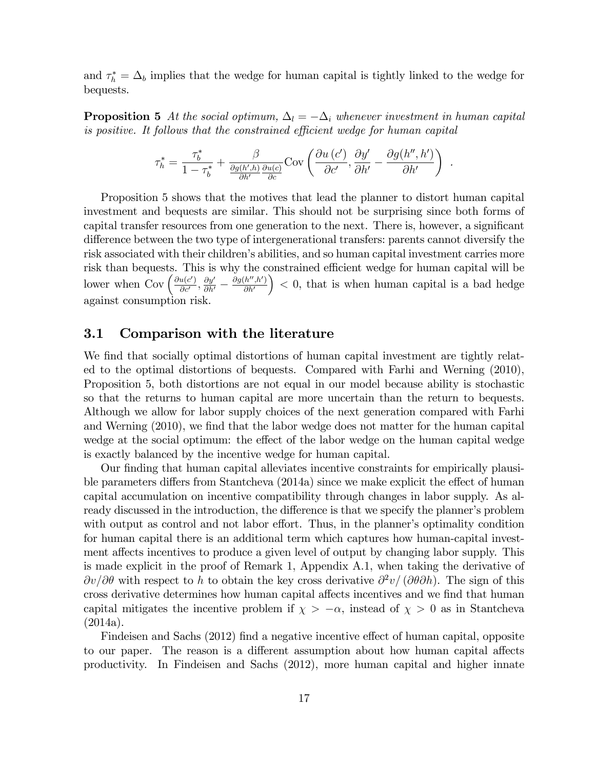and  $\tau_h^* = \Delta_b$  implies that the wedge for human capital is tightly linked to the wedge for bequests.

**Proposition 5** At the social optimum,  $\Delta_l = -\Delta_i$  whenever investment in human capital is positive. It follows that the constrained efficient wedge for human capital

$$
\tau_h^* = \frac{\tau_b^*}{1 - \tau_b^*} + \frac{\beta}{\frac{\partial g(h',h)}{\partial h'}\frac{\partial u(c)}{\partial c}} \text{Cov}\left(\frac{\partial u(c')}{\partial c'}, \frac{\partial y'}{\partial h'} - \frac{\partial g(h'',h')}{\partial h'}\right) .
$$

Proposition 5 shows that the motives that lead the planner to distort human capital investment and bequests are similar. This should not be surprising since both forms of capital transfer resources from one generation to the next. There is, however, a significant difference between the two type of intergenerational transfers: parents cannot diversify the risk associated with their children's abilities, and so human capital investment carries more risk than bequests. This is why the constrained efficient wedge for human capital will be lower when  $Cov\left(\frac{\partial u(c')}{\partial c'}\right)$  $\frac{u(c')}{\partial c'}, \frac{\partial y'}{\partial h'} - \frac{\partial g(h'',h')}{\partial h'}$  $\partial h'$  $( ) < 0$ , that is when human capital is a bad hedge against consumption risk.

#### 3.1 Comparison with the literature

We find that socially optimal distortions of human capital investment are tightly related to the optimal distortions of bequests. Compared with Farhi and Werning (2010), Proposition 5, both distortions are not equal in our model because ability is stochastic so that the returns to human capital are more uncertain than the return to bequests. Although we allow for labor supply choices of the next generation compared with Farhi and Werning (2010), we find that the labor wedge does not matter for the human capital wedge at the social optimum: the effect of the labor wedge on the human capital wedge is exactly balanced by the incentive wedge for human capital.

Our finding that human capital alleviates incentive constraints for empirically plausible parameters differs from Stantcheva  $(2014a)$  since we make explicit the effect of human capital accumulation on incentive compatibility through changes in labor supply. As already discussed in the introduction, the difference is that we specify the planner's problem with output as control and not labor effort. Thus, in the planner's optimality condition for human capital there is an additional term which captures how human-capital investment affects incentives to produce a given level of output by changing labor supply. This is made explicit in the proof of Remark 1, Appendix A.1, when taking the derivative of  $\partial v/\partial \theta$  with respect to h to obtain the key cross derivative  $\partial^2 v/(\partial \theta \partial h)$ . The sign of this cross derivative determines how human capital affects incentives and we find that human capital mitigates the incentive problem if  $\chi > -\alpha$ , instead of  $\chi > 0$  as in Stantcheva (2014a).

Findeisen and Sachs (2012) find a negative incentive effect of human capital, opposite to our paper. The reason is a different assumption about how human capital affects productivity. In Findeisen and Sachs (2012), more human capital and higher innate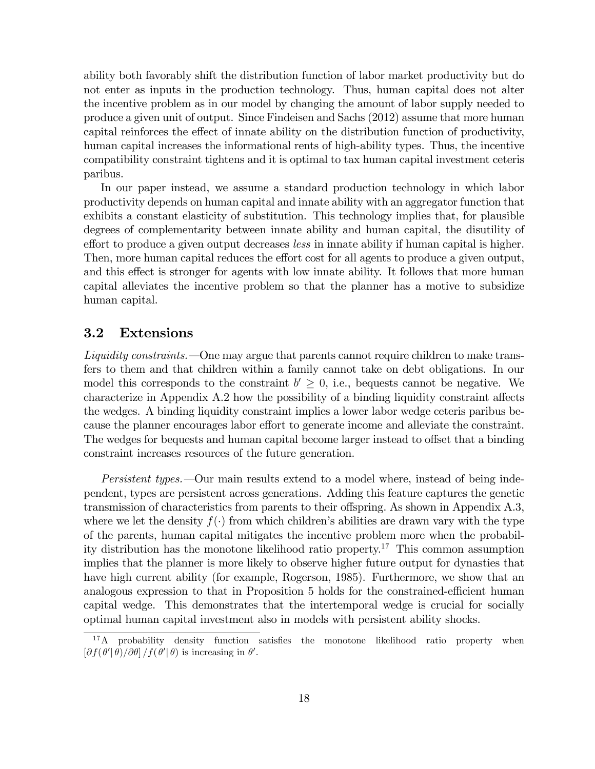ability both favorably shift the distribution function of labor market productivity but do not enter as inputs in the production technology. Thus, human capital does not alter the incentive problem as in our model by changing the amount of labor supply needed to produce a given unit of output. Since Findeisen and Sachs (2012) assume that more human capital reinforces the effect of innate ability on the distribution function of productivity, human capital increases the informational rents of high-ability types. Thus, the incentive compatibility constraint tightens and it is optimal to tax human capital investment ceteris paribus.

In our paper instead, we assume a standard production technology in which labor productivity depends on human capital and innate ability with an aggregator function that exhibits a constant elasticity of substitution. This technology implies that, for plausible degrees of complementarity between innate ability and human capital, the disutility of effort to produce a given output decreases less in innate ability if human capital is higher. Then, more human capital reduces the effort cost for all agents to produce a given output, and this effect is stronger for agents with low innate ability. It follows that more human capital alleviates the incentive problem so that the planner has a motive to subsidize human capital.

#### 3.2 Extensions

Liquidity constraints.  $\Box$  One may argue that parents cannot require children to make transfers to them and that children within a family cannot take on debt obligations. In our model this corresponds to the constraint  $b' \geq 0$ , i.e., bequests cannot be negative. characterize in Appendix  $A.2$  how the possibility of a binding liquidity constraint affects the wedges. A binding liquidity constraint implies a lower labor wedge ceteris paribus because the planner encourages labor effort to generate income and alleviate the constraint. The wedges for bequests and human capital become larger instead to offset that a binding constraint increases resources of the future generation.

Persistent types. Our main results extend to a model where, instead of being independent, types are persistent across generations. Adding this feature captures the genetic transmission of characteristics from parents to their offspring. As shown in Appendix  $A.3$ , where we let the density  $f(\cdot)$  from which children's abilities are drawn vary with the type of the parents, human capital mitigates the incentive problem more when the probability distribution has the monotone likelihood ratio property.<sup>17</sup> This common assumption implies that the planner is more likely to observe higher future output for dynasties that have high current ability (for example, Rogerson, 1985). Furthermore, we show that an analogous expression to that in Proposition 5 holds for the constrained-efficient human capital wedge. This demonstrates that the intertemporal wedge is crucial for socially optimal human capital investment also in models with persistent ability shocks.

<sup>&</sup>lt;sup>17</sup>A probability density function satisfies the monotone likelihood ratio property when  $[\partial f(\theta' | \theta) / \partial \theta] / f(\theta' | \theta)$  is increasing in  $\theta'$ .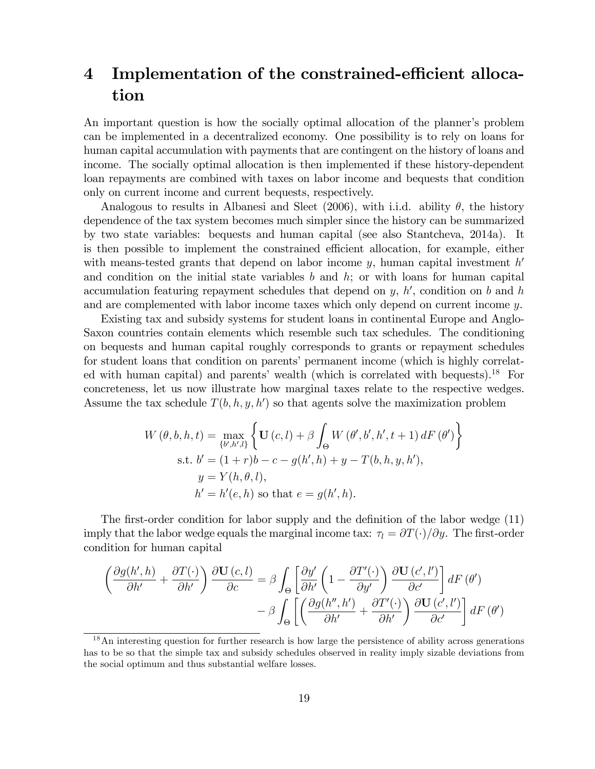## 4 Implementation of the constrained-efficient allocation

An important question is how the socially optimal allocation of the planner's problem can be implemented in a decentralized economy. One possibility is to rely on loans for human capital accumulation with payments that are contingent on the history of loans and income. The socially optimal allocation is then implemented if these history-dependent loan repayments are combined with taxes on labor income and bequests that condition only on current income and current bequests, respectively.

Analogous to results in Albanesi and Sleet (2006), with i.i.d. ability  $\theta$ , the history dependence of the tax system becomes much simpler since the history can be summarized by two state variables: bequests and human capital (see also Stantcheva, 2014a). It is then possible to implement the constrained efficient allocation, for example, either with means-tested grants that depend on labor income  $y$ , human capital investment  $h'$ and condition on the initial state variables  $b$  and  $h$ ; or with loans for human capital accumulation featuring repayment schedules that depend on  $y$ ,  $h'$ , condition on  $b$  and  $h$ and are complemented with labor income taxes which only depend on current income y.

Existing tax and subsidy systems for student loans in continental Europe and Anglo-Saxon countries contain elements which resemble such tax schedules. The conditioning on bequests and human capital roughly corresponds to grants or repayment schedules for student loans that condition on parents' permanent income (which is highly correlated with human capital) and parents' wealth (which is correlated with bequests).<sup>18</sup> For concreteness, let us now illustrate how marginal taxes relate to the respective wedges. Assume the tax schedule  $T(b, h, y, h')$  so that agents solve the maximization problem

$$
W(\theta, b, h, t) = \max_{\{b', h', l\}} \left\{ \mathbf{U}(c, l) + \beta \int_{\Theta} W(\theta', b', h', t + 1) dF(\theta') \right\}
$$
  
s.t.  $b' = (1 + r)b - c - g(h', h) + y - T(b, h, y, h'),$   
 $y = Y(h, \theta, l),$   
 $h' = h'(e, h)$  so that  $e = g(h', h).$ 

The first-order condition for labor supply and the definition of the labor wedge (11) imply that the labor wedge equals the marginal income tax:  $\tau_l = \frac{\partial T(\cdot)}{\partial y}$ . The first-order condition for human capital

$$
\left(\frac{\partial g(h',h)}{\partial h'} + \frac{\partial T(\cdot)}{\partial h'}\right) \frac{\partial \mathbf{U}(c,l)}{\partial c} = \beta \int_{\Theta} \left[ \frac{\partial y'}{\partial h'} \left(1 - \frac{\partial T'(\cdot)}{\partial y'}\right) \frac{\partial \mathbf{U}(c',l')}{\partial c'}\right] dF(\theta') - \beta \int_{\Theta} \left[ \left(\frac{\partial g(h'',h')}{\partial h'} + \frac{\partial T'(\cdot)}{\partial h'}\right) \frac{\partial \mathbf{U}(c',l')}{\partial c'}\right] dF(\theta')
$$

 $18$ An interesting question for further research is how large the persistence of ability across generations has to be so that the simple tax and subsidy schedules observed in reality imply sizable deviations from the social optimum and thus substantial welfare losses.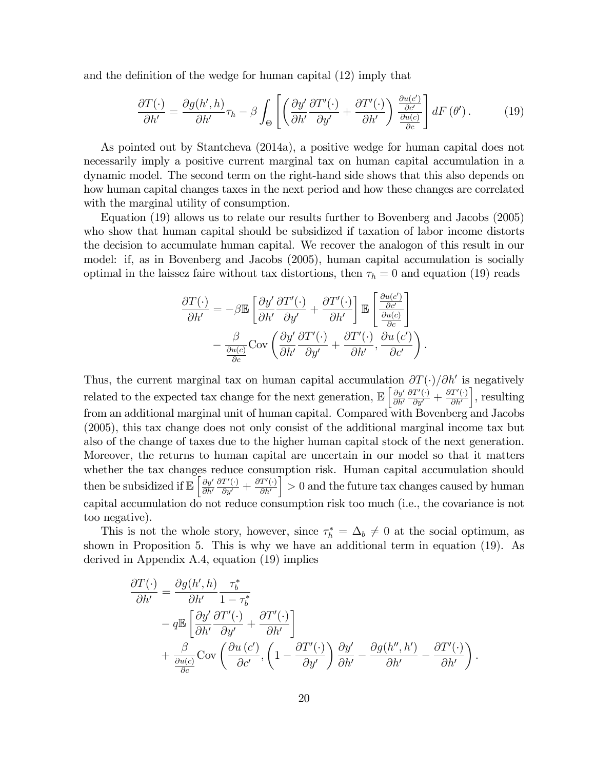and the definition of the wedge for human capital  $(12)$  imply that

$$
\frac{\partial T(\cdot)}{\partial h'} = \frac{\partial g(h',h)}{\partial h'} \tau_h - \beta \int_{\Theta} \left[ \left( \frac{\partial y'}{\partial h'} \frac{\partial T'(\cdot)}{\partial y'} + \frac{\partial T'(\cdot)}{\partial h'} \right) \frac{\frac{\partial u(c')}{\partial c'}}{\frac{\partial u(c)}{\partial c}} \right] dF(\theta'). \tag{19}
$$

As pointed out by Stantcheva (2014a), a positive wedge for human capital does not necessarily imply a positive current marginal tax on human capital accumulation in a dynamic model. The second term on the right-hand side shows that this also depends on how human capital changes taxes in the next period and how these changes are correlated with the marginal utility of consumption.

Equation (19) allows us to relate our results further to Bovenberg and Jacobs (2005) who show that human capital should be subsidized if taxation of labor income distorts the decision to accumulate human capital. We recover the analogon of this result in our model: if, as in Bovenberg and Jacobs (2005), human capital accumulation is socially optimal in the laissez faire without tax distortions, then  $\tau_h = 0$  and equation (19) reads

$$
\frac{\partial T(\cdot)}{\partial h'} = -\beta \mathbb{E} \left[ \frac{\partial y'}{\partial h'} \frac{\partial T'(\cdot)}{\partial y'} + \frac{\partial T'(\cdot)}{\partial h'} \right] \mathbb{E} \left[ \frac{\frac{\partial u(c')}{\partial c'}}{\frac{\partial u(c)}{\partial c}} \right] - \frac{\beta}{\frac{\partial u(c)}{\partial c}} \text{Cov} \left( \frac{\partial y'}{\partial h'} \frac{\partial T'(\cdot)}{\partial y'} + \frac{\partial T'(\cdot)}{\partial h'}, \frac{\partial u(c')}{\partial c'} \right).
$$

Thus, the current marginal tax on human capital accumulation  $\partial T(\cdot)/\partial h'$  is negatively related to the expected tax change for the next generation,  $\mathbb{E}\left[\frac{\partial y'}{\partial h'}\right]$  $\partial h'$  $\frac{\partial T'(\cdot)}{\partial y'} + \frac{\partial T'(\cdot)}{\partial h'}$ |, resulting from an additional marginal unit of human capital. Compared with Bovenberg and Jacobs (2005), this tax change does not only consist of the additional marginal income tax but also of the change of taxes due to the higher human capital stock of the next generation. Moreover, the returns to human capital are uncertain in our model so that it matters whether the tax changes reduce consumption risk. Human capital accumulation should then be subsidized if  $\mathbb{E}\left[\frac{\partial y'}{\partial h'}\right]$  $\partial h'$  $\frac{\partial T'(\cdot)}{\partial y'} + \frac{\partial T'(\cdot)}{\partial h'}$  $\left( \frac{1}{2} \right) > 0$  and the future tax changes caused by human capital accumulation do not reduce consumption risk too much (i.e., the covariance is not too negative).

This is not the whole story, however, since  $\tau_h^* = \Delta_b \neq 0$  at the social optimum, as shown in Proposition 5. This is why we have an additional term in equation (19). As derived in Appendix A.4, equation (19) implies

$$
\frac{\partial T(\cdot)}{\partial h'} = \frac{\partial g(h', h)}{\partial h'} \frac{\tau_b^*}{1 - \tau_b^*} \n- q \mathbb{E} \left[ \frac{\partial y'}{\partial h'} \frac{\partial T'(\cdot)}{\partial y'} + \frac{\partial T'(\cdot)}{\partial h'} \right] \n+ \frac{\beta}{\frac{\partial u(c)}{\partial c}} \text{Cov} \left( \frac{\partial u(c')}{\partial c'}, \left( 1 - \frac{\partial T'(\cdot)}{\partial y'} \right) \frac{\partial y'}{\partial h'} - \frac{\partial g(h'', h')}{\partial h'} - \frac{\partial T'(\cdot)}{\partial h'} \right).
$$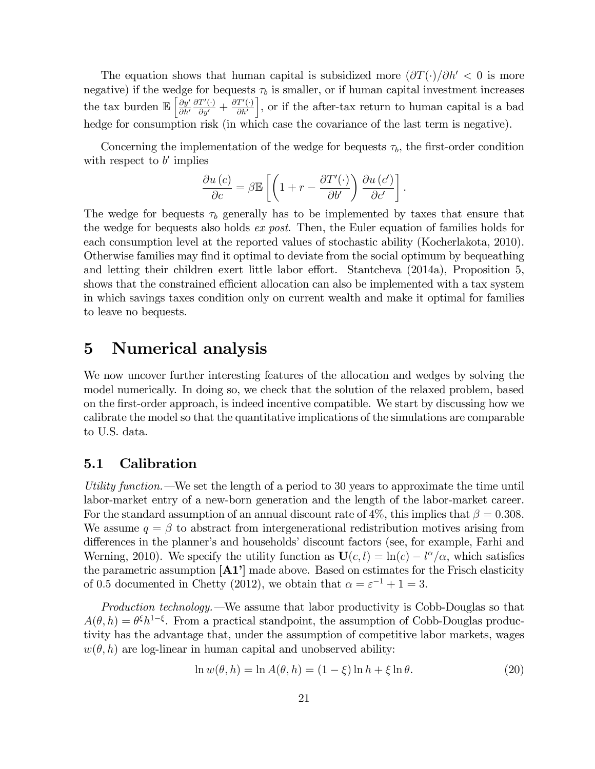The equation shows that human capital is subsidized more  $(\partial T(\cdot)/\partial h' < 0$  is more negative) if the wedge for bequests  $\tau_b$  is smaller, or if human capital investment increases the tax burden  $\mathbb{E}\left[\frac{\partial y'}{\partial h'}\right]$  $\partial h'$  $\frac{\partial T'(\cdot)}{\partial y'} + \frac{\partial T'(\cdot)}{\partial h'}$ i , or if the after-tax return to human capital is a bad hedge for consumption risk (in which case the covariance of the last term is negative).

Concerning the implementation of the wedge for bequests  $\tau_b$ , the first-order condition with respect to  $b'$  implies

$$
\frac{\partial u(c)}{\partial c} = \beta \mathbb{E}\left[\left(1 + r - \frac{\partial T'(\cdot)}{\partial b'}\right) \frac{\partial u(c')}{\partial c'}\right]
$$

.

The wedge for bequests  $\tau_b$  generally has to be implemented by taxes that ensure that the wedge for bequests also holds ex post. Then, the Euler equation of families holds for each consumption level at the reported values of stochastic ability (Kocherlakota, 2010). Otherwise families may find it optimal to deviate from the social optimum by bequeathing and letting their children exert little labor effort. Stantcheva  $(2014a)$ , Proposition 5, shows that the constrained efficient allocation can also be implemented with a tax system in which savings taxes condition only on current wealth and make it optimal for families to leave no bequests.

## 5 Numerical analysis

We now uncover further interesting features of the allocation and wedges by solving the model numerically. In doing so, we check that the solution of the relaxed problem, based on the Örst-order approach, is indeed incentive compatible. We start by discussing how we calibrate the model so that the quantitative implications of the simulations are comparable to U.S. data.

#### 5.1 Calibration

Utility function.  $-\text{We set}$  the length of a period to 30 years to approximate the time until labor-market entry of a new-born generation and the length of the labor-market career. For the standard assumption of an annual discount rate of 4\%, this implies that  $\beta = 0.308$ . We assume  $q = \beta$  to abstract from intergenerational redistribution motives arising from differences in the planner's and households' discount factors (see, for example, Farhi and Werning, 2010). We specify the utility function as  $U(c, l) = \ln(c) - l^{\alpha}/\alpha$ , which satisfies the parametric assumption  $[A1']$  made above. Based on estimates for the Frisch elasticity of 0.5 documented in Chetty (2012), we obtain that  $\alpha = \varepsilon^{-1} + 1 = 3$ .

*Production technology.*  $\rightarrow$  We assume that labor productivity is Cobb-Douglas so that  $A(\theta, h) = \theta^{\xi} h^{1-\xi}$ . From a practical standpoint, the assumption of Cobb-Douglas productivity has the advantage that, under the assumption of competitive labor markets, wages  $w(\theta, h)$  are log-linear in human capital and unobserved ability:

$$
\ln w(\theta, h) = \ln A(\theta, h) = (1 - \xi) \ln h + \xi \ln \theta.
$$
\n(20)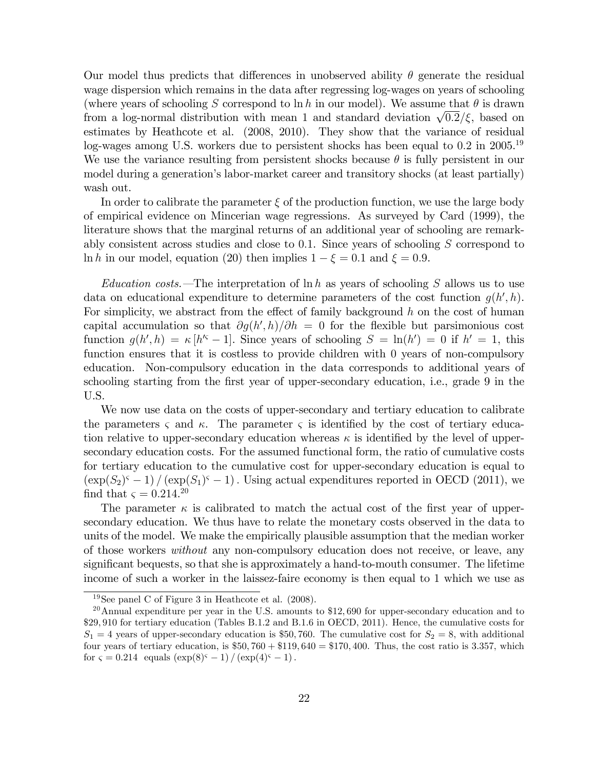Our model thus predicts that differences in unobserved ability  $\theta$  generate the residual wage dispersion which remains in the data after regressing log-wages on years of schooling (where years of schooling S correspond to ln h in our model). We assume that  $\theta$  is drawn from a log-normal distribution with mean 1 and standard deviation  $\sqrt{0.2}/\xi$ , based on estimates by Heathcote et al. (2008, 2010). They show that the variance of residual log-wages among U.S. workers due to persistent shocks has been equal to  $0.2$  in  $2005.^{19}$ We use the variance resulting from persistent shocks because  $\theta$  is fully persistent in our model during a generation's labor-market career and transitory shocks (at least partially) wash out.

In order to calibrate the parameter  $\xi$  of the production function, we use the large body of empirical evidence on Mincerian wage regressions. As surveyed by Card (1999), the literature shows that the marginal returns of an additional year of schooling are remarkably consistent across studies and close to 0.1. Since years of schooling  $S$  correspond to ln h in our model, equation (20) then implies  $1 - \xi = 0.1$  and  $\xi = 0.9$ .

*Education costs.*—The interpretation of ln h as years of schooling S allows us to use data on educational expenditure to determine parameters of the cost function  $g(h', h)$ . For simplicity, we abstract from the effect of family background  $h$  on the cost of human capital accumulation so that  $\partial g(h',h)/\partial h = 0$  for the flexible but parsimonious cost function  $g(h', h) = \kappa [h^{\prime\varsigma} - 1]$ . Since years of schooling  $S = \ln(h') = 0$  if  $h' = 1$ , this function ensures that it is costless to provide children with 0 years of non-compulsory education. Non-compulsory education in the data corresponds to additional years of schooling starting from the first year of upper-secondary education, i.e., grade 9 in the U.S.

We now use data on the costs of upper-secondary and tertiary education to calibrate the parameters  $\varsigma$  and  $\kappa$ . The parameter  $\varsigma$  is identified by the cost of tertiary education relative to upper-secondary education whereas  $\kappa$  is identified by the level of uppersecondary education costs. For the assumed functional form, the ratio of cumulative costs for tertiary education to the cumulative cost for upper-secondary education is equal to  $(\exp(S_2)^{\varsigma} - 1)/(\exp(S_1)^{\varsigma} - 1)$ . Using actual expenditures reported in OECD (2011), we find that  $\varsigma = 0.214$ <sup>20</sup>

The parameter  $\kappa$  is calibrated to match the actual cost of the first year of uppersecondary education. We thus have to relate the monetary costs observed in the data to units of the model. We make the empirically plausible assumption that the median worker of those workers without any non-compulsory education does not receive, or leave, any significant bequests, so that she is approximately a hand-to-mouth consumer. The lifetime income of such a worker in the laissez-faire economy is then equal to 1 which we use as

<sup>19</sup>See panel C of Figure 3 in Heathcote et al. (2008).

<sup>&</sup>lt;sup>20</sup>Annual expenditure per year in the U.S. amounts to \$12,690 for upper-secondary education and to \$29,910 for tertiary education (Tables B.1.2 and B.1.6 in OECD, 2011). Hence, the cumulative costs for  $S_1 = 4$  years of upper-secondary education is \$50,760. The cumulative cost for  $S_2 = 8$ , with additional four years of tertiary education, is  $$50,760 + $119,640 = $170,400$ . Thus, the cost ratio is 3.357, which for  $\varsigma = 0.214$  equals  $(\exp(8)^{\varsigma} - 1) / (\exp(4)^{\varsigma} - 1)$ .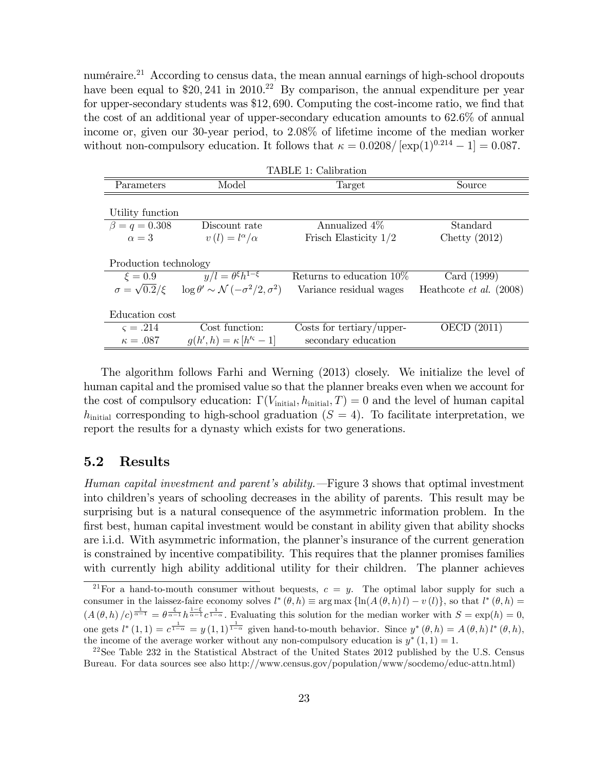numéraire.<sup>21</sup> According to census data, the mean annual earnings of high-school dropouts have been equal to  $\$20$ , 241 in 2010.<sup>22</sup> By comparison, the annual expenditure per year for upper-secondary students was  $$12,690$ . Computing the cost-income ratio, we find that the cost of an additional year of upper-secondary education amounts to 62:6% of annual income or, given our 30-year period, to 2:08% of lifetime income of the median worker without non-compulsory education. It follows that  $\kappa = 0.0208/[\exp(1)^{0.214} - 1] = 0.087$ .

| TABLE 1: Calibration      |                                                        |                             |                                  |
|---------------------------|--------------------------------------------------------|-----------------------------|----------------------------------|
| Parameters                | Model                                                  | Target                      | Source                           |
|                           |                                                        |                             |                                  |
| Utility function          |                                                        |                             |                                  |
| $\beta = q = 0.308$       | Discount rate                                          | Annualized 4\%              | Standard                         |
| $\alpha = 3$              | $v(l) = l^{\alpha}/\alpha$                             | Frisch Elasticity $1/2$     | Chetty $(2012)$                  |
|                           |                                                        |                             |                                  |
| Production technology     |                                                        |                             |                                  |
| $\xi = 0.9$               | $y/l = \theta^{\xi}h^{1-\xi}$                          | Returns to education $10\%$ | Card (1999)                      |
| $\sigma = \sqrt{0.2}/\xi$ | $\log \theta' \sim \mathcal{N}(-\sigma^2/2, \sigma^2)$ | Variance residual wages     | Heathcote <i>et al.</i> $(2008)$ |
|                           |                                                        |                             |                                  |
| Education cost            |                                                        |                             |                                  |
| $\varsigma = .214$        | Cost function:                                         | Costs for tertiary/upper-   | OECD (2011)                      |
| $\kappa = .087$           | $g(h', h) = \kappa [h'^{c} - 1]$                       | secondary education         |                                  |

The algorithm follows Farhi and Werning (2013) closely. We initialize the level of human capital and the promised value so that the planner breaks even when we account for the cost of compulsory education:  $\Gamma(V_{\text{initial}}, h_{\text{initial}}, T) = 0$  and the level of human capital  $h_{\text{initial}}$  corresponding to high-school graduation ( $S = 4$ ). To facilitate interpretation, we report the results for a dynasty which exists for two generations.

#### 5.2 Results

Human capital investment and parent's ability.  $\equiv$  Figure 3 shows that optimal investment into children's years of schooling decreases in the ability of parents. This result may be surprising but is a natural consequence of the asymmetric information problem. In the first best, human capital investment would be constant in ability given that ability shocks are i.i.d. With asymmetric information, the planner's insurance of the current generation is constrained by incentive compatibility. This requires that the planner promises families with currently high ability additional utility for their children. The planner achieves

<sup>&</sup>lt;sup>21</sup>For a hand-to-mouth consumer without bequests,  $c = y$ . The optimal labor supply for such a consumer in the laissez-faire economy solves  $l^*(\theta, h) \equiv \arg \max \{\ln(A(\theta, h)l) - v(l)\}\)$ , so that  $l^*(\theta, h) =$  $\left(A\left(\theta,h\right)/c\right)^{\frac{1}{\alpha-1}}=\theta^{\frac{\xi}{\alpha-1}}h^{\frac{1-\xi}{\alpha-1}}c^{\frac{1}{1-\alpha}}$ . Evaluating this solution for the median worker with  $S=\exp(h)=0$ , one gets  $l^*(1,1) = c^{\frac{1}{1-\alpha}} = y(1,1)^{\frac{1}{1-\alpha}}$  given hand-to-mouth behavior. Since  $y^*(\theta,h) = A(\theta,h) l^*(\theta,h)$ , the income of the average worker without any non-compulsory education is  $y^*(1,1)=1$ .

<sup>&</sup>lt;sup>22</sup>See Table 232 in the Statistical Abstract of the United States 2012 published by the U.S. Census Bureau. For data sources see also http://www.census.gov/population/www/socdemo/educ-attn.html)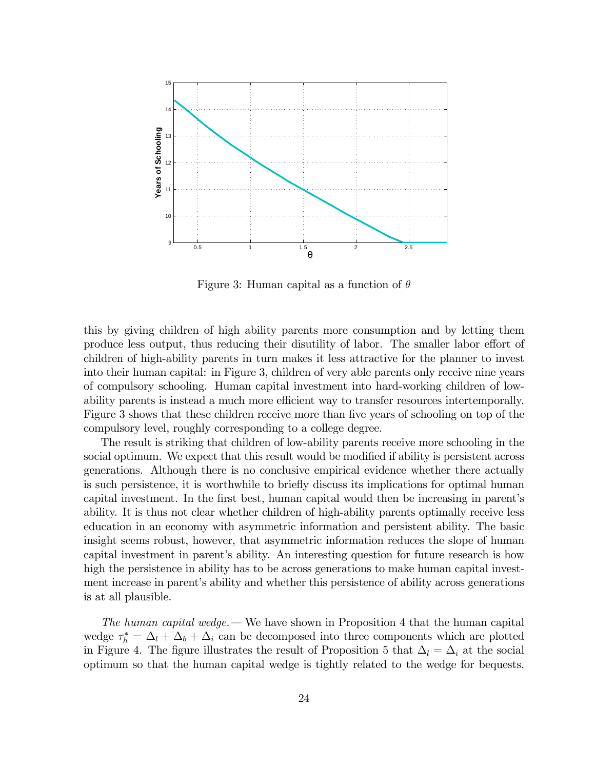

Figure 3: Human capital as a function of  $\theta$ 

this by giving children of high ability parents more consumption and by letting them produce less output, thus reducing their disutility of labor. The smaller labor effort of children of high-ability parents in turn makes it less attractive for the planner to invest into their human capital: in Figure 3, children of very able parents only receive nine years of compulsory schooling. Human capital investment into hard-working children of lowability parents is instead a much more efficient way to transfer resources intertemporally. Figure 3 shows that these children receive more than five years of schooling on top of the compulsory level, roughly corresponding to a college degree.

The result is striking that children of low-ability parents receive more schooling in the social optimum. We expect that this result would be modified if ability is persistent across generations. Although there is no conclusive empirical evidence whether there actually is such persistence, it is worthwhile to briefly discuss its implications for optimal human capital investment. In the first best, human capital would then be increasing in parent's ability. It is thus not clear whether children of high-ability parents optimally receive less education in an economy with asymmetric information and persistent ability. The basic insight seems robust, however, that asymmetric information reduces the slope of human capital investment in parent's ability. An interesting question for future research is how high the persistence in ability has to be across generations to make human capital investment increase in parent's ability and whether this persistence of ability across generations is at all plausible.

The human capital wedge.  $\sim$  We have shown in Proposition 4 that the human capital wedge  $\tau_h^* = \Delta_l + \Delta_b + \Delta_i$  can be decomposed into three components which are plotted in Figure 4. The figure illustrates the result of Proposition 5 that  $\Delta_l = \Delta_i$  at the social optimum so that the human capital wedge is tightly related to the wedge for bequests.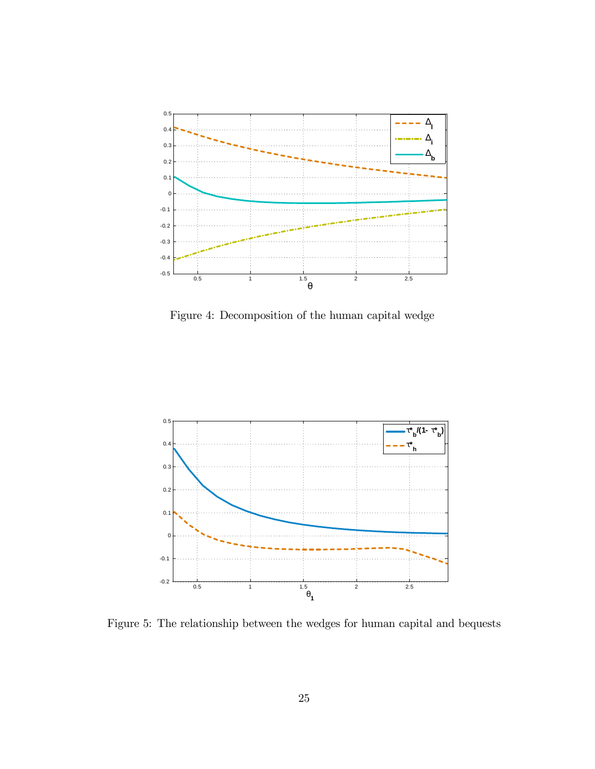

Figure 4: Decomposition of the human capital wedge



Figure 5: The relationship between the wedges for human capital and bequests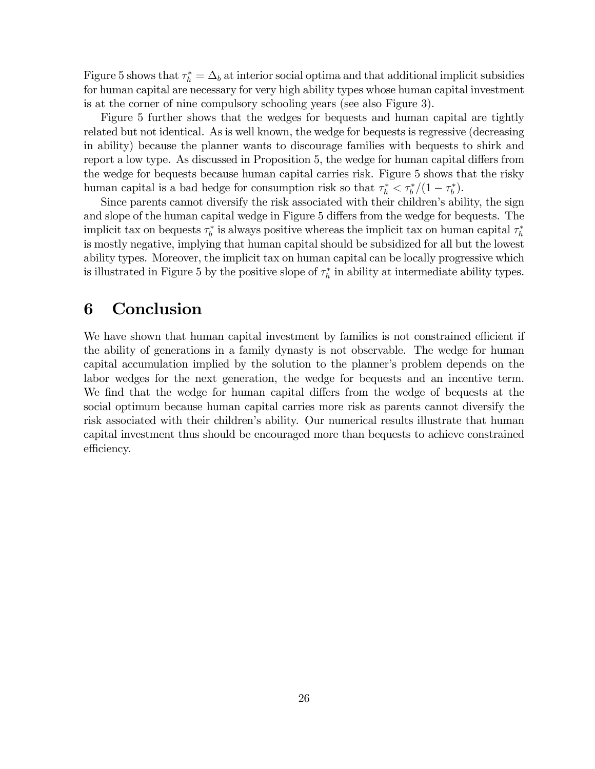Figure 5 shows that  $\tau_h^* = \Delta_b$  at interior social optima and that additional implicit subsidies for human capital are necessary for very high ability types whose human capital investment is at the corner of nine compulsory schooling years (see also Figure 3).

Figure 5 further shows that the wedges for bequests and human capital are tightly related but not identical. As is well known, the wedge for bequests is regressive (decreasing in ability) because the planner wants to discourage families with bequests to shirk and report a low type. As discussed in Proposition 5, the wedge for human capital differs from the wedge for bequests because human capital carries risk. Figure 5 shows that the risky human capital is a bad hedge for consumption risk so that  $\tau_h^* < \tau_b^*/(1 - \tau_b^*)$ .

Since parents cannot diversify the risk associated with their children's ability, the sign and slope of the human capital wedge in Figure 5 differs from the wedge for bequests. The implicit tax on bequests  $\tau_b^*$  is always positive whereas the implicit tax on human capital  $\tau_h^*$ is mostly negative, implying that human capital should be subsidized for all but the lowest ability types. Moreover, the implicit tax on human capital can be locally progressive which is illustrated in Figure 5 by the positive slope of  $\tau_h^*$  in ability at intermediate ability types.

## 6 Conclusion

We have shown that human capital investment by families is not constrained efficient if the ability of generations in a family dynasty is not observable. The wedge for human capital accumulation implied by the solution to the planner's problem depends on the labor wedges for the next generation, the wedge for bequests and an incentive term. We find that the wedge for human capital differs from the wedge of bequests at the social optimum because human capital carries more risk as parents cannot diversify the risk associated with their children's ability. Our numerical results illustrate that human capital investment thus should be encouraged more than bequests to achieve constrained efficiency.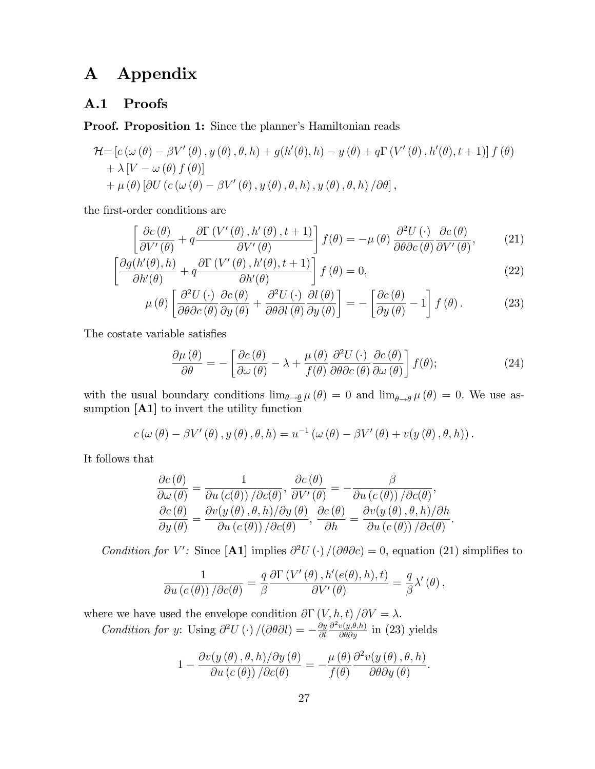## A Appendix

### A.1 Proofs

Proof. Proposition 1: Since the planner's Hamiltonian reads

$$
\mathcal{H} = [c(\omega(\theta) - \beta V'(\theta), y(\theta), \theta, h) + g(h'(\theta), h) - y(\theta) + q\Gamma(V'(\theta), h'(\theta), t + 1)] f(\theta) + \lambda [V - \omega(\theta) f(\theta)] + \mu(\theta) [\partial U (c(\omega(\theta) - \beta V'(\theta), y(\theta), \theta, h), y(\theta), \theta, h) / \partial \theta],
$$

the first-order conditions are

$$
\left[\frac{\partial c(\theta)}{\partial V'(\theta)} + q \frac{\partial \Gamma\left(V'(\theta), h'(\theta), t+1\right)}{\partial V'(\theta)}\right] f(\theta) = -\mu(\theta) \frac{\partial^2 U(\cdot)}{\partial \theta \partial c(\theta)} \frac{\partial c(\theta)}{\partial V'(\theta)},\tag{21}
$$

$$
\left[\frac{\partial g(h'(\theta),h)}{\partial h'(\theta)} + q \frac{\partial \Gamma\left(V'(\theta),h'(\theta),t+1\right)}{\partial h'(\theta)}\right] f(\theta) = 0, \tag{22}
$$

$$
\mu(\theta) \left[ \frac{\partial^2 U(\cdot)}{\partial \theta \partial c(\theta)} \frac{\partial c(\theta)}{\partial y(\theta)} + \frac{\partial^2 U(\cdot)}{\partial \theta \partial l(\theta)} \frac{\partial l(\theta)}{\partial y(\theta)} \right] = - \left[ \frac{\partial c(\theta)}{\partial y(\theta)} - 1 \right] f(\theta).
$$
 (23)

The costate variable satisfies

$$
\frac{\partial \mu(\theta)}{\partial \theta} = -\left[ \frac{\partial c(\theta)}{\partial \omega(\theta)} - \lambda + \frac{\mu(\theta)}{f(\theta)} \frac{\partial^2 U(\cdot)}{\partial \theta \partial c(\theta)} \frac{\partial c(\theta)}{\partial \omega(\theta)} \right] f(\theta); \tag{24}
$$

with the usual boundary conditions  $\lim_{\theta \to \theta} \mu(\theta) = 0$  and  $\lim_{\theta \to \overline{\theta}} \mu(\theta) = 0$ . We use assumption [A1] to invert the utility function

$$
c(\omega(\theta) - \beta V'(\theta), y(\theta), \theta, h) = u^{-1}(\omega(\theta) - \beta V'(\theta) + v(y(\theta), \theta, h)).
$$

It follows that

$$
\frac{\partial c(\theta)}{\partial \omega(\theta)} = \frac{1}{\partial u(c(\theta)) / \partial c(\theta)}, \frac{\partial c(\theta)}{\partial V'(\theta)} = -\frac{\beta}{\partial u(c(\theta)) / \partial c(\theta)}, \frac{\partial c(\theta)}{\partial y(\theta)} = \frac{\partial v(y(\theta), \theta, h) / \partial y(\theta)}{\partial u(c(\theta)) / \partial c(\theta)}, \frac{\partial c(\theta)}{\partial h} = \frac{\partial v(y(\theta), \theta, h) / \partial h}{\partial u(c(\theta)) / \partial c(\theta)}.
$$

Condition for V': Since [A1] implies  $\partial^2 U(\cdot) / (\partial \theta \partial c) = 0$ , equation (21) simplifies to

$$
\frac{1}{\partial u\left(c\left(\theta\right)\right)/\partial c(\theta)}=\frac{q}{\beta}\frac{\partial \Gamma\left(V'\left(\theta\right),h'\left(e(\theta),h\right),t\right)}{\partial V'\left(\theta\right)}=\frac{q}{\beta}\lambda'\left(\theta\right),\,
$$

where we have used the envelope condition  $\partial \Gamma(V, h, t)/\partial V = \lambda$ . Condition for y: Using  $\partial^2 U(\cdot) /(\partial \theta \partial l) = -\frac{\partial y}{\partial l}$  $\partial l$  $\frac{\partial^2 v(y,\theta,h)}{\partial \theta \partial y}$  in (23) yields

$$
1 - \frac{\partial v(y(\theta), \theta, h)/\partial y(\theta)}{\partial u(c(\theta)) / \partial c(\theta)} = -\frac{\mu(\theta)}{f(\theta)} \frac{\partial^2 v(y(\theta), \theta, h)}{\partial \theta \partial y(\theta)}.
$$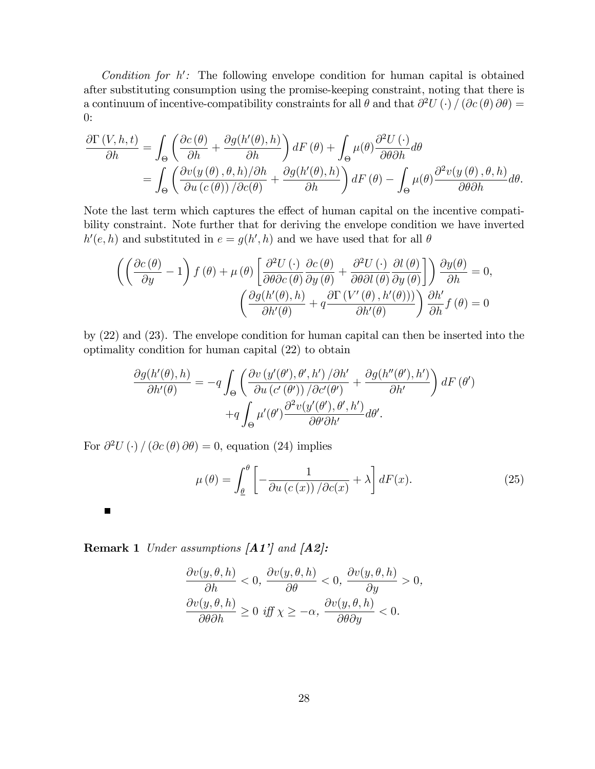Condition for  $h'$ : The following envelope condition for human capital is obtained after substituting consumption using the promise-keeping constraint, noting that there is a continuum of incentive-compatibility constraints for all  $\theta$  and that  $\partial^2 U(\cdot) / (\partial c(\theta) \partial \theta) =$ 0:

$$
\frac{\partial \Gamma\left(V,h,t\right)}{\partial h} = \int_{\Theta} \left( \frac{\partial c(\theta)}{\partial h} + \frac{\partial g(h'(\theta),h)}{\partial h} \right) dF(\theta) + \int_{\Theta} \mu(\theta) \frac{\partial^2 U(\cdot)}{\partial \theta \partial h} d\theta \n= \int_{\Theta} \left( \frac{\partial v(y(\theta),\theta,h)/\partial h}{\partial u(c(\theta))}/\frac{\partial g(h'(\theta),h)}{\partial h} \right) dF(\theta) - \int_{\Theta} \mu(\theta) \frac{\partial^2 v(y(\theta),\theta,h)}{\partial \theta \partial h} d\theta.
$$

Note the last term which captures the effect of human capital on the incentive compatibility constraint. Note further that for deriving the envelope condition we have inverted  $h'(e, h)$  and substituted in  $e = g(h', h)$  and we have used that for all  $\theta$ 

$$
\left( \left( \frac{\partial c(\theta)}{\partial y} - 1 \right) f(\theta) + \mu(\theta) \left[ \frac{\partial^2 U(\cdot)}{\partial \theta \partial c(\theta)} \frac{\partial c(\theta)}{\partial y(\theta)} + \frac{\partial^2 U(\cdot)}{\partial \theta \partial l(\theta)} \frac{\partial l(\theta)}{\partial y(\theta)} \right] \right) \frac{\partial y(\theta)}{\partial h} = 0,
$$

$$
\left( \frac{\partial g(h'(\theta), h)}{\partial h'(\theta)} + q \frac{\partial \Gamma(V'(\theta), h'(\theta)))}{\partial h'(\theta)} \right) \frac{\partial h'}{\partial h} f(\theta) = 0
$$

by (22) and (23). The envelope condition for human capital can then be inserted into the optimality condition for human capital (22) to obtain

$$
\frac{\partial g(h'(\theta),h)}{\partial h'(\theta)} = -q \int_{\Theta} \left( \frac{\partial v (y'(\theta'), \theta', h') / \partial h'}{\partial u (c'(\theta')) / \partial c'(\theta')} + \frac{\partial g(h''(\theta'), h')}{\partial h'} \right) dF(\theta') +q \int_{\Theta} \mu'(\theta') \frac{\partial^2 v(y'(\theta'), \theta', h')}{\partial \theta' \partial h'} d\theta'.
$$

For  $\partial^2 U(\cdot) / (\partial c(\theta) \partial \theta) = 0$ , equation (24) implies

$$
\mu(\theta) = \int_{\underline{\theta}}^{\theta} \left[ -\frac{1}{\partial u \left( c \left( x \right) \right) / \partial c \left( x \right)} + \lambda \right] dF(x). \tag{25}
$$

Remark 1 Under assumptions  $[A1']$  and  $[A2]$ :

 $\blacksquare$ 

$$
\frac{\partial v(y, \theta, h)}{\partial h} < 0, \frac{\partial v(y, \theta, h)}{\partial \theta} < 0, \frac{\partial v(y, \theta, h)}{\partial y} > 0, \\
\frac{\partial v(y, \theta, h)}{\partial \theta \partial h} \ge 0 \text{ iff } \chi \ge -\alpha, \frac{\partial v(y, \theta, h)}{\partial \theta \partial y} < 0.
$$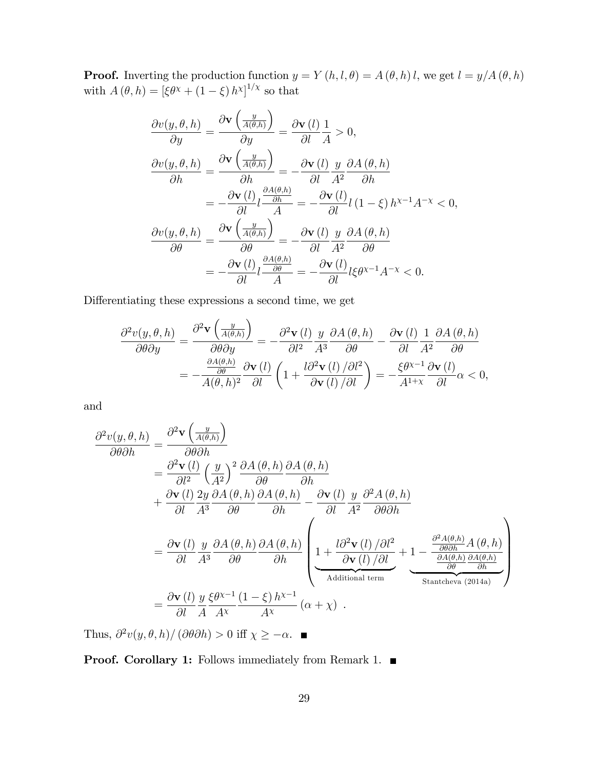**Proof.** Inverting the production function  $y = Y(h, l, \theta) = A(\theta, h)l$ , we get  $l = y/A(\theta, h)$ with  $A(\theta, h) = [\xi \theta^{\chi} + (1 - \xi) h^{\chi}]^{1/\chi}$  so that

$$
\frac{\partial v(y,\theta,h)}{\partial y} = \frac{\partial \mathbf{v} \left(\frac{y}{A(\theta,h)}\right)}{\partial y} = \frac{\partial \mathbf{v} (l)}{\partial l} \frac{1}{A} > 0,
$$
\n
$$
\frac{\partial v(y,\theta,h)}{\partial h} = \frac{\partial \mathbf{v} \left(\frac{y}{A(\theta,h)}\right)}{\partial h} = -\frac{\partial \mathbf{v} (l)}{\partial l} \frac{y}{A^2} \frac{\partial A(\theta,h)}{\partial h}
$$
\n
$$
= -\frac{\partial \mathbf{v} (l)}{\partial l} \frac{\partial A(\theta,h)}{A} = -\frac{\partial \mathbf{v} (l)}{\partial l} (1-\xi) h^{\chi-1} A^{-\chi} < 0,
$$
\n
$$
\frac{\partial v(y,\theta,h)}{\partial \theta} = \frac{\partial \mathbf{v} \left(\frac{y}{A(\theta,h)}\right)}{\partial \theta} = -\frac{\partial \mathbf{v} (l)}{\partial l} \frac{y}{A^2} \frac{\partial A(\theta,h)}{\partial \theta}
$$
\n
$$
= -\frac{\partial \mathbf{v} (l)}{\partial l} \frac{\partial A(\theta,h)}{A} = -\frac{\partial \mathbf{v} (l)}{\partial l} \xi \theta^{\chi-1} A^{-\chi} < 0.
$$

Differentiating these expressions a second time, we get

$$
\frac{\partial^2 v(y,\theta,h)}{\partial \theta \partial y} = \frac{\partial^2 \mathbf{v} \left( \frac{y}{A(\theta,h)} \right)}{\partial \theta \partial y} = -\frac{\partial^2 \mathbf{v}(l)}{\partial l^2} \frac{y}{A^3} \frac{\partial A(\theta,h)}{\partial \theta} - \frac{\partial \mathbf{v}(l)}{\partial l} \frac{1}{A^2} \frac{\partial A(\theta,h)}{\partial \theta}
$$

$$
= -\frac{\frac{\partial A(\theta,h)}{\partial \theta}}{A(\theta,h)^2} \frac{\partial \mathbf{v}(l)}{\partial l} \left( 1 + \frac{l \partial^2 \mathbf{v}(l)/\partial l^2}{\partial \mathbf{v}(l)/\partial l} \right) = -\frac{\xi \theta^{x-1}}{A^{1+x}} \frac{\partial \mathbf{v}(l)}{\partial l} \alpha < 0,
$$

and

$$
\frac{\partial^2 v(y,\theta,h)}{\partial \theta \partial h} = \frac{\partial^2 \mathbf{v} \left(\frac{y}{A(\theta,h)}\right)}{\partial \theta \partial h} \n= \frac{\partial^2 \mathbf{v} (l)}{\partial l^2} \left(\frac{y}{A^2}\right)^2 \frac{\partial A(\theta,h)}{\partial \theta} \frac{\partial A(\theta,h)}{\partial h} \n+ \frac{\partial \mathbf{v} (l)}{\partial l} \frac{2y}{A^3} \frac{\partial A(\theta,h)}{\partial \theta} \frac{\partial A(\theta,h)}{\partial h} - \frac{\partial \mathbf{v} (l)}{\partial l} \frac{y}{A^2} \frac{\partial^2 A(\theta,h)}{\partial \theta \partial h} \n= \frac{\partial \mathbf{v} (l)}{\partial l} \frac{y}{A^3} \frac{\partial A(\theta,h)}{\partial \theta} \frac{\partial A(\theta,h)}{\partial h} \left(\frac{1}{2} + \frac{l \partial^2 \mathbf{v} (l)}{\partial l} \frac{\partial l^2}{\partial h} + \frac{1}{2} - \frac{\frac{\partial^2 A(\theta,h)}{\partial \theta h} A(\theta,h)}{\frac{\partial A(\theta,h)}{\partial h}} \frac{\partial A(\theta,h)}{\partial h}\right) \n= \frac{\partial \mathbf{v} (l)}{\partial l} \frac{y}{A} \frac{\xi \theta^{x-1}}{A^2} \frac{(1-\xi)h^{x-1}}{A^x} (\alpha + \chi).
$$

Thus,  $\frac{\partial^2 v(y, \theta, h)}{\partial \theta h} > 0$  iff  $\chi \geq -\alpha$ .

Proof. Corollary 1: Follows immediately from Remark 1. ■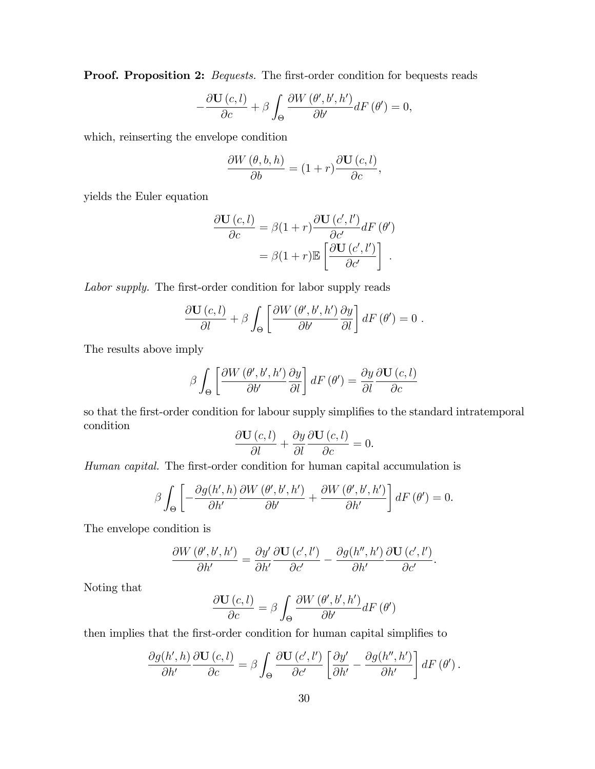**Proof. Proposition 2:** Bequests. The first-order condition for bequests reads

$$
-\frac{\partial \mathbf{U}(c,l)}{\partial c} + \beta \int_{\Theta} \frac{\partial W(\theta',b',h')}{\partial b'} dF(\theta') = 0,
$$

which, reinserting the envelope condition

$$
\frac{\partial W(\theta, b, h)}{\partial b} = (1+r) \frac{\partial \mathbf{U}(c, l)}{\partial c},
$$

yields the Euler equation

$$
\frac{\partial \mathbf{U}(c,l)}{\partial c} = \beta(1+r) \frac{\partial \mathbf{U}(c',l')}{\partial c'} dF(\theta')
$$

$$
= \beta(1+r) \mathbb{E}\left[\frac{\partial \mathbf{U}(c',l')}{\partial c'}\right].
$$

Labor supply. The first-order condition for labor supply reads

$$
\frac{\partial \mathbf{U}(c,l)}{\partial l} + \beta \int_{\Theta} \left[ \frac{\partial W(\theta',b',h')}{\partial b'} \frac{\partial y}{\partial l} \right] dF(\theta') = 0.
$$

The results above imply

$$
\beta \int_{\Theta} \left[ \frac{\partial W\left(\theta', b', h'\right)}{\partial b'} \frac{\partial y}{\partial l} \right] dF\left(\theta'\right) = \frac{\partial y}{\partial l} \frac{\partial \mathbf{U}\left(c, l\right)}{\partial c}
$$

so that the first-order condition for labour supply simplifies to the standard intratemporal condition

$$
\frac{\partial \mathbf{U}(c,l)}{\partial l} + \frac{\partial y}{\partial l} \frac{\partial \mathbf{U}(c,l)}{\partial c} = 0.
$$

Human capital. The first-order condition for human capital accumulation is

$$
\beta \int_{\Theta} \left[ -\frac{\partial g(h',h)}{\partial h'} \frac{\partial W(\theta',b',h')}{\partial b'} + \frac{\partial W(\theta',b',h')}{\partial h'} \right] dF(\theta') = 0.
$$

The envelope condition is

$$
\frac{\partial W\left(\theta',b',h'\right)}{\partial h'}=\frac{\partial y'}{\partial h'}\frac{\partial \mathbf{U}\left(c',l'\right)}{\partial c'}-\frac{\partial g(h'',h')}{\partial h'}\frac{\partial \mathbf{U}\left(c',l'\right)}{\partial c'}.
$$

Noting that

$$
\frac{\partial \mathbf{U}(c,l)}{\partial c} = \beta \int_{\Theta} \frac{\partial W(\theta',b',h')}{\partial b'} dF(\theta')
$$

then implies that the first-order condition for human capital simplifies to

$$
\frac{\partial g(h',h)}{\partial h'}\frac{\partial \mathbf{U}(c,l)}{\partial c} = \beta \int_{\Theta} \frac{\partial \mathbf{U}(c',l')}{\partial c'} \left[ \frac{\partial y'}{\partial h'} - \frac{\partial g(h'',h')}{\partial h'} \right] dF(\theta').
$$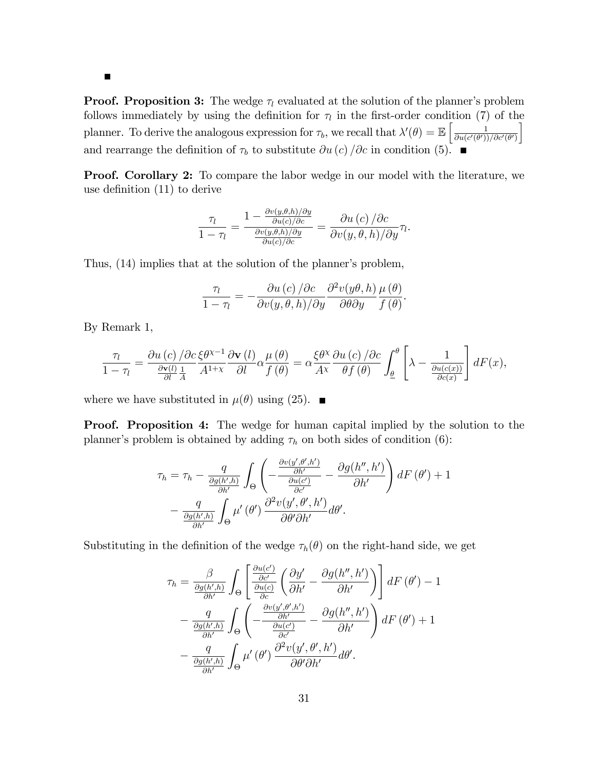$\blacksquare$ 

**Proof. Proposition 3:** The wedge  $\tau_l$  evaluated at the solution of the planner's problem follows immediately by using the definition for  $\tau_l$  in the first-order condition (7) of the planner. To derive the analogous expression for  $\tau_b$ , we recall that  $\lambda'(\theta) = \mathbb{E}\left[\frac{1}{\partial u(c'(\theta))}\right]$  $\partial u (c'(\theta'))/\partial c'(\theta')$ i and rearrange the definition of  $\tau_b$  to substitute  $\partial u (c) / \partial c$  in condition (5).

Proof. Corollary 2: To compare the labor wedge in our model with the literature, we use definition  $(11)$  to derive

$$
\frac{\tau_l}{1-\tau_l} = \frac{1 - \frac{\partial v(y,\theta,h)/\partial y}{\partial u(c)/\partial c}}{\frac{\partial v(y,\theta,h)/\partial y}{\partial u(c)/\partial c}} = \frac{\partial u(c)/\partial c}{\partial v(y,\theta,h)/\partial y}\tau_l
$$

.

Thus, (14) implies that at the solution of the planner's problem,

$$
\frac{\tau_l}{1-\tau_l} = -\frac{\partial u\left(c\right)/\partial c}{\partial v(y,\theta,h)/\partial y} \frac{\partial^2 v(y\theta,h)}{\partial \theta \partial y} \frac{\mu(\theta)}{f(\theta)}.
$$

By Remark 1,

$$
\frac{\tau_l}{1-\tau_l} = \frac{\partial u\left(c\right)/\partial c}{\frac{\partial \mathbf{v}(l)}{\partial l}\frac{1}{A}} \frac{\partial \mathbf{v}\left(l\right)}{A^{1+\chi}} \frac{\partial \mathbf{v}\left(l\right)}{\partial l} \alpha \frac{\mu\left(\theta\right)}{f\left(\theta\right)} = \alpha \frac{\xi \theta^{\chi}}{A^{\chi}} \frac{\partial u\left(c\right)/\partial c}{\theta f\left(\theta\right)} \int_{\underline{\theta}}^{\theta} \left[\lambda - \frac{1}{\frac{\partial u(c(x))}{\partial c(x)}}\right] dF(x),
$$

where we have substituted in  $\mu(\theta)$  using (25).

**Proof.** Proposition 4: The wedge for human capital implied by the solution to the planner's problem is obtained by adding  $\tau_h$  on both sides of condition (6):

$$
\tau_{h} = \tau_{h} - \frac{q}{\frac{\partial g(h',h)}{\partial h'}} \int_{\Theta} \left( -\frac{\frac{\partial v(y',\theta',h')}{\partial h'}}{\frac{\partial u(c')}{\partial c'}} - \frac{\partial g(h'',h')}{\partial h'} \right) dF(\theta') + 1 - \frac{q}{\frac{\partial g(h',h)}{\partial h'}} \int_{\Theta} \mu'(\theta') \frac{\partial^{2} v(y',\theta',h')}{\partial \theta' \partial h'} d\theta'.
$$

Substituting in the definition of the wedge  $\tau_h(\theta)$  on the right-hand side, we get

$$
\tau_{h} = \frac{\beta}{\frac{\partial g(h',h)}{\partial h'}} \int_{\Theta} \left[ \frac{\frac{\partial u(c')}{\partial c'}}{\frac{\partial u(c)}{\partial c}} \left( \frac{\partial y'}{\partial h'} - \frac{\partial g(h'',h')}{\partial h'} \right) \right] dF(\theta') - 1 \n- \frac{q}{\frac{\partial g(h',h)}{\partial h'}} \int_{\Theta} \left( -\frac{\frac{\partial v(y',\theta',h')}{\partial h'}}{\frac{\partial u(c')}{\partial c'}} - \frac{\partial g(h'',h')}{\partial h'} \right) dF(\theta') + 1 \n- \frac{q}{\frac{\partial g(h',h)}{\partial h'}} \int_{\Theta} \mu'(\theta') \frac{\partial^{2} v(y',\theta',h')}{\partial \theta' \partial h'} d\theta'.
$$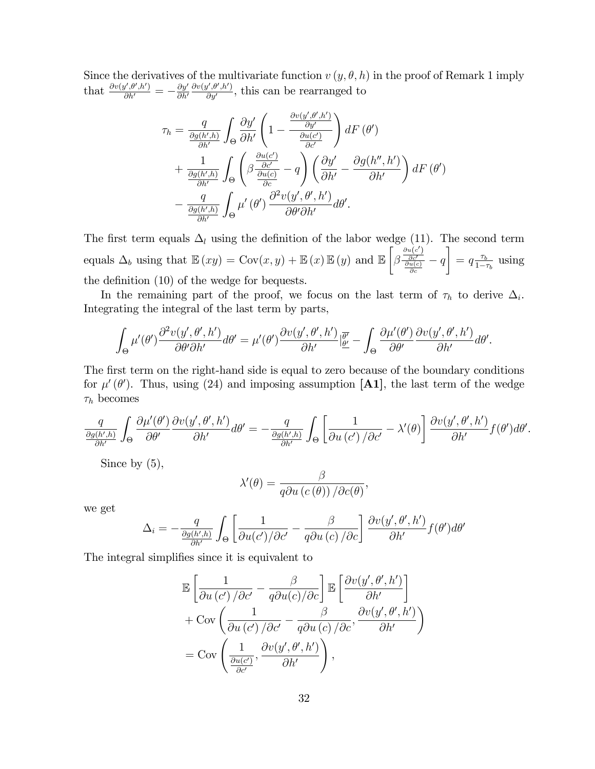Since the derivatives of the multivariate function  $v(y, \theta, h)$  in the proof of Remark 1 imply that  $\frac{\partial v(y', \theta', h')}{\partial h'} = -\frac{\partial y'}{\partial h'}$  $\partial h'$  $\partial v(y',\theta',h')$  $\frac{f,\theta',h'}{\partial y'}$ , this can be rearranged to

$$
\tau_{h} = \frac{q}{\frac{\partial g(h',h)}{\partial h'}} \int_{\Theta} \frac{\partial y'}{\partial h'} \left( 1 - \frac{\frac{\partial v(y',\theta',h')}{\partial y'}}{\frac{\partial u(c')}{\partial c'}} \right) dF(\theta')
$$
  
+ 
$$
\frac{1}{\frac{\partial g(h',h)}{\partial h'}} \int_{\Theta} \left( \beta \frac{\frac{\partial u(c')}{\partial c'}}{\frac{\partial u(c)}{\partial c}} - q \right) \left( \frac{\partial y'}{\partial h'} - \frac{\partial g(h'',h')}{\partial h'} \right) dF(\theta')
$$
  
- 
$$
\frac{q}{\frac{\partial g(h',h)}{\partial h'}} \int_{\Theta} \mu'(\theta') \frac{\partial^{2} v(y',\theta',h')}{\partial \theta' \partial h'} d\theta'.
$$

The first term equals  $\Delta_l$  using the definition of the labor wedge (11). The second term equals  $\Delta_b$  using that  $\mathbb{E}(xy) = \text{Cov}(x, y) + \mathbb{E}(x)\mathbb{E}(y)$  and  $\mathbb{E}(y)$  $\sqrt{ }$  $\beta$  $\frac{\frac{\partial u(c')}{\partial c'} }{\frac{\partial u(c)}{\partial c}} - q$  $\overline{1}$  $= q \frac{\tau_b}{1 - \tau_a^2}$  $rac{\tau_b}{1-\tau_b}$  using the definition  $(10)$  of the wedge for bequests.

In the remaining part of the proof, we focus on the last term of  $\tau_h$  to derive  $\Delta_i$ . Integrating the integral of the last term by parts,

$$
\int_{\Theta} \mu'(\theta') \frac{\partial^2 v(y', \theta', h')}{\partial \theta' \partial h'} d\theta' = \mu'(\theta') \frac{\partial v(y', \theta', h')}{\partial h'} \Big|_{\underline{\theta'}}^{\overline{\theta'}} - \int_{\Theta} \frac{\partial \mu'(\theta')}{\partial \theta'} \frac{\partial v(y', \theta', h')}{\partial h'} d\theta'.
$$

The first term on the right-hand side is equal to zero because of the boundary conditions for  $\mu'(\theta')$ . Thus, using (24) and imposing assumption [A1], the last term of the wedge  $\tau_h$  becomes

$$
\frac{q}{\frac{\partial g(h',h)}{\partial h'}} \int_{\Theta} \frac{\partial \mu'(\theta')}{\partial \theta'} \frac{\partial v(y',\theta',h')}{\partial h'} d\theta' = -\frac{q}{\frac{\partial g(h',h)}{\partial h'}} \int_{\Theta} \left[ \frac{1}{\partial u(c')/\partial c'} - \lambda'(\theta) \right] \frac{\partial v(y',\theta',h')}{\partial h'} f(\theta') d\theta'.
$$

Since by (5),

$$
\lambda'(\theta) = \frac{\beta}{q \partial u \left(c\left(\theta\right)\right) / \partial c(\theta)}
$$

,

we get

$$
\Delta_i = -\frac{q}{\frac{\partial g(h',h)}{\partial h'}} \int_{\Theta} \left[ \frac{1}{\partial u(c')/\partial c'} - \frac{\beta}{q \partial u(c)/\partial c} \right] \frac{\partial v(y', \theta', h')}{\partial h'} f(\theta') d\theta'
$$

The integral simplifies since it is equivalent to

$$
\mathbb{E}\left[\frac{1}{\partial u\left(c'\right)/\partial c'} - \frac{\beta}{q\partial u(c)/\partial c}\right] \mathbb{E}\left[\frac{\partial v(y',\theta',h')}{\partial h'}\right] \n+ \text{Cov}\left(\frac{1}{\partial u\left(c'\right)/\partial c'} - \frac{\beta}{q\partial u\left(c\right)/\partial c}, \frac{\partial v(y',\theta',h')}{\partial h'}\right) \n= \text{Cov}\left(\frac{1}{\frac{\partial u(c')}{\partial c'}}, \frac{\partial v(y',\theta',h')}{\partial h'}\right),
$$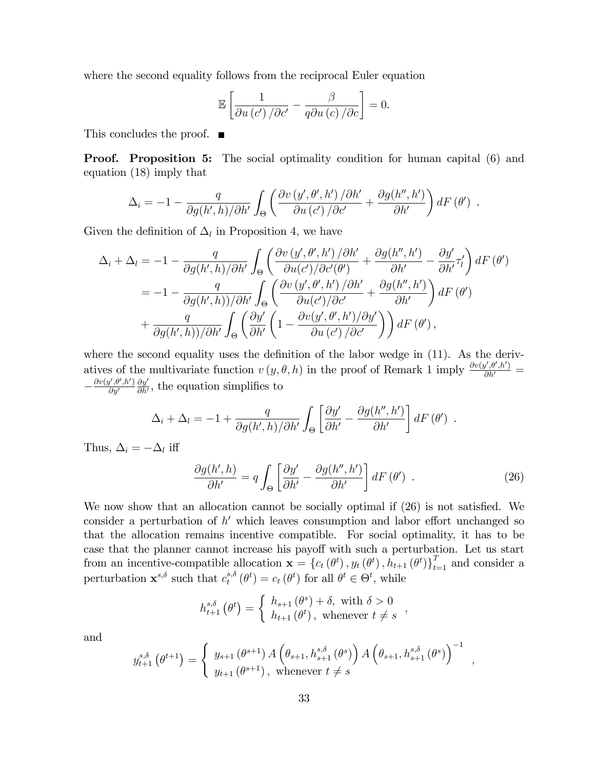where the second equality follows from the reciprocal Euler equation

$$
\mathbb{E}\left[\frac{1}{\partial u\left(c'\right)/\partial c'}-\frac{\beta}{q\partial u\left(c\right)/\partial c}\right]=0.
$$

This concludes the proof. ■

**Proof.** Proposition 5: The social optimality condition for human capital (6) and equation (18) imply that

$$
\Delta_i = -1 - \frac{q}{\partial g(h',h)/\partial h'} \int_{\Theta} \left( \frac{\partial v(y',\theta',h')/\partial h'}{\partial u(c')/\partial c'} + \frac{\partial g(h'',h')}{\partial h'} \right) dF(\theta') .
$$

Given the definition of  $\Delta_l$  in Proposition 4, we have

$$
\Delta_{i} + \Delta_{l} = -1 - \frac{q}{\partial g(h',h)/\partial h'} \int_{\Theta} \left( \frac{\partial v(y',\theta',h')/\partial h'}{\partial u(c')/\partial c'(\theta')} + \frac{\partial g(h'',h')}{\partial h'} - \frac{\partial y'}{\partial h'} \tau'_{l} \right) dF(\theta')
$$
  
= 
$$
-1 - \frac{q}{\partial g(h',h)/\partial h'} \int_{\Theta} \left( \frac{\partial v(y',\theta',h')/\partial h'}{\partial u(c')/\partial c'} + \frac{\partial g(h'',h')}{\partial h'} \right) dF(\theta')
$$
  
+ 
$$
\frac{q}{\partial g(h',h)/\partial h'} \int_{\Theta} \left( \frac{\partial y'}{\partial h'} \left( 1 - \frac{\partial v(y',\theta',h')/\partial y'}{\partial u(c')/\partial c'} \right) \right) dF(\theta'),
$$

where the second equality uses the definition of the labor wedge in  $(11)$ . As the derivatives of the multivariate function  $v(y, \theta, h)$  in the proof of Remark 1 imply  $\frac{\partial v(y', \theta', h')}{\partial h'}$  $-\frac{\partial v(y',\theta',h')}{\partial y'}$  $\partial y'$  $\partial y'$  $\frac{\partial y'}{\partial h'}$ , the equation simplifies to

$$
\Delta_i + \Delta_l = -1 + \frac{q}{\partial g(h',h)/\partial h'} \int_{\Theta} \left[ \frac{\partial y'}{\partial h'} - \frac{\partial g(h'',h')}{\partial h'} \right] dF(\theta') .
$$

Thus,  $\Delta_i = -\Delta_l$  iff

$$
\frac{\partial g(h',h)}{\partial h'} = q \int_{\Theta} \left[ \frac{\partial y'}{\partial h'} - \frac{\partial g(h'',h')}{\partial h'} \right] dF(\theta') . \tag{26}
$$

We now show that an allocation cannot be socially optimal if  $(26)$  is not satisfied. We consider a perturbation of  $h'$  which leaves consumption and labor effort unchanged so that the allocation remains incentive compatible. For social optimality, it has to be case that the planner cannot increase his payoff with such a perturbation. Let us start from an incentive-compatible allocation  $\mathbf{x} = \{c_t(\theta^t), y_t(\theta^t), h_{t+1}(\theta^t)\}_{t=1}^T$  and consider a perturbation  $\mathbf{x}^{s,\delta}$  such that  $c_t^{s,\delta}$  $t^{s,\delta}(\theta^t) = c_t(\theta^t)$  for all  $\theta^t \in \Theta^t$ , while

$$
h_{t+1}^{s,\delta}(\theta^t) = \begin{cases} h_{s+1}(\theta^s) + \delta, & \text{with } \delta > 0 \\ h_{t+1}(\theta^t), & \text{whenever } t \neq s \end{cases}
$$

and

$$
y_{t+1}^{s,\delta}(\theta^{t+1}) = \begin{cases} y_{s+1}(\theta^{s+1}) A\left(\theta_{s+1}, h_{s+1}^{s,\delta}(\theta^s)\right) A\left(\theta_{s+1}, h_{s+1}^{s,\delta}(\theta^s)\right)^{-1} ,\\ y_{t+1}(\theta^{s+1}), \text{ whenever } t \neq s \end{cases}
$$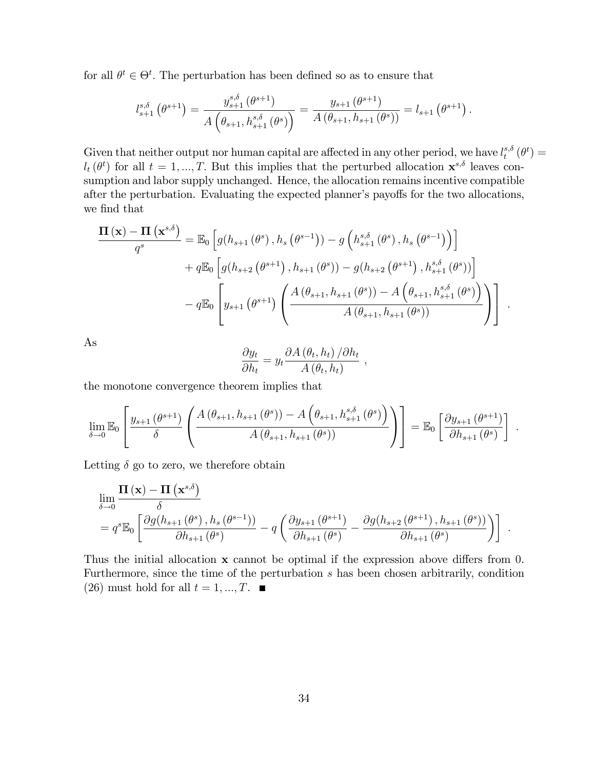for all  $\theta^t \in \Theta^t$ . The perturbation has been defined so as to ensure that

$$
l_{s+1}^{s,\delta}(\theta^{s+1}) = \frac{y_{s+1}^{s,\delta}(\theta^{s+1})}{A(\theta_{s+1},h_{s+1}^{s,\delta}(\theta^s))} = \frac{y_{s+1}(\theta^{s+1})}{A(\theta_{s+1},h_{s+1}(\theta^s))} = l_{s+1}(\theta^{s+1}).
$$

Given that neither output nor human capital are affected in any other period, we have  $l_t^{s,\delta}$  $_{t}^{s,\delta }\left( \theta ^{t}\right) =% \frac{1}{s}\left( t\right) \left( t\right) ^{s-\delta }\left( 0\right)$  $l_t(\theta^t)$  for all  $t = 1, ..., T$ . But this implies that the perturbed allocation  $\mathbf{x}^{s,\delta}$  leaves consumption and labor supply unchanged. Hence, the allocation remains incentive compatible after the perturbation. Evaluating the expected planner's payoffs for the two allocations, we find that

$$
\frac{\Pi\left(\mathbf{x}\right) - \Pi\left(\mathbf{x}^{s,\delta}\right)}{q^s} = \mathbb{E}_0\left[g(h_{s+1}\left(\theta^s\right), h_s\left(\theta^{s-1}\right)) - g\left(h_{s+1}^{s,\delta}\left(\theta^s\right), h_s\left(\theta^{s-1}\right)\right)\right] \n+ q\mathbb{E}_0\left[g(h_{s+2}\left(\theta^{s+1}\right), h_{s+1}\left(\theta^s\right)) - g(h_{s+2}\left(\theta^{s+1}\right), h_{s+1}^{s,\delta}\left(\theta^s\right))\right] \n- q\mathbb{E}_0\left[y_{s+1}\left(\theta^{s+1}\right)\left(\frac{A\left(\theta_{s+1}, h_{s+1}\left(\theta^s\right)\right) - A\left(\theta_{s+1}, h_{s+1}^{s,\delta}\left(\theta^s\right)\right)}{A\left(\theta_{s+1}, h_{s+1}\left(\theta^s\right)\right)}\right)\right].
$$

As

$$
\frac{\partial y_t}{\partial h_t} = y_t \frac{\partial A(\theta_t, h_t) / \partial h_t}{A(\theta_t, h_t)},
$$

the monotone convergence theorem implies that

$$
\lim_{\delta \to 0} \mathbb{E}_0 \left[ \frac{y_{s+1}(\theta^{s+1})}{\delta} \left( \frac{A(\theta_{s+1}, h_{s+1}(\theta^s)) - A(\theta_{s+1}, h_{s+1}^{s, \delta}(\theta^s))}{A(\theta_{s+1}, h_{s+1}(\theta^s))} \right) \right] = \mathbb{E}_0 \left[ \frac{\partial y_{s+1}(\theta^{s+1})}{\partial h_{s+1}(\theta^s)} \right]
$$

:

Letting  $\delta$  go to zero, we therefore obtain

$$
\lim_{\delta \to 0} \frac{\Pi(\mathbf{x}) - \Pi(\mathbf{x}^{s,\delta})}{\delta} = q^{s} \mathbb{E}_{0} \left[ \frac{\partial g(h_{s+1}(\theta^{s}), h_{s}(\theta^{s-1}))}{\partial h_{s+1}(\theta^{s})} - q \left( \frac{\partial y_{s+1}(\theta^{s+1})}{\partial h_{s+1}(\theta^{s})} - \frac{\partial g(h_{s+2}(\theta^{s+1}), h_{s+1}(\theta^{s}))}{\partial h_{s+1}(\theta^{s})} \right) \right].
$$

Thus the initial allocation  $x$  cannot be optimal if the expression above differs from 0. Furthermore, since the time of the perturbation s has been chosen arbitrarily, condition (26) must hold for all  $t = 1, ..., T$ .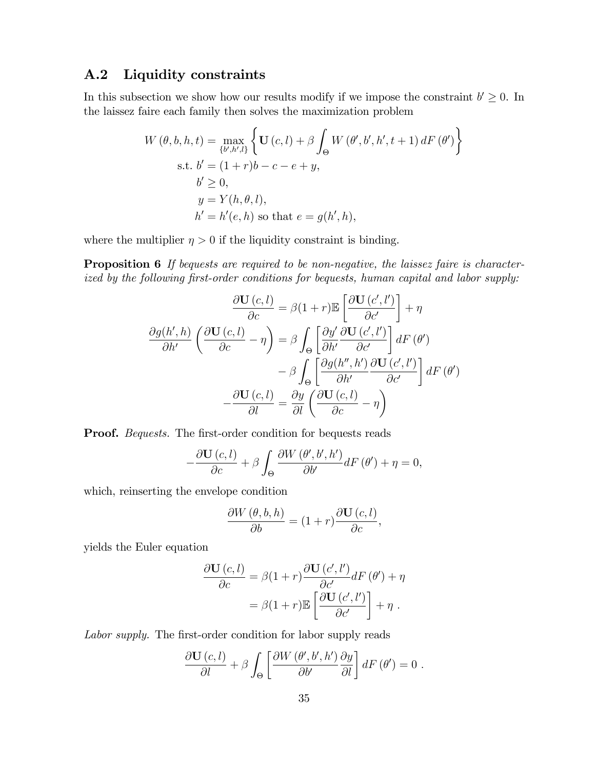#### A.2 Liquidity constraints

In this subsection we show how our results modify if we impose the constraint  $b' \geq 0$ . In the laissez faire each family then solves the maximization problem

$$
W(\theta, b, h, t) = \max_{\{b', h', l\}} \left\{ \mathbf{U}(c, l) + \beta \int_{\Theta} W(\theta', b', h', t + 1) dF(\theta') \right\}
$$
  
s.t.  $b' = (1 + r)b - c - e + y$ ,  
 $b' \ge 0$ ,  
 $y = Y(h, \theta, l)$ ,  
 $h' = h'(e, h)$  so that  $e = g(h', h)$ ,

where the multiplier  $\eta > 0$  if the liquidity constraint is binding.

**Proposition 6** If bequests are required to be non-negative, the laissez faire is characterized by the following first-order conditions for bequests, human capital and labor supply:

$$
\frac{\partial \mathbf{U}(c,l)}{\partial c} = \beta(1+r)\mathbb{E}\left[\frac{\partial \mathbf{U}(c',l')}{\partial c'}\right] + \eta
$$

$$
\frac{\partial g(h',h)}{\partial h'} \left(\frac{\partial \mathbf{U}(c,l)}{\partial c} - \eta\right) = \beta \int_{\Theta} \left[\frac{\partial y'}{\partial h'} \frac{\partial \mathbf{U}(c',l')}{\partial c'}\right] dF(\theta')
$$

$$
- \beta \int_{\Theta} \left[\frac{\partial g(h'',h')}{\partial h'} \frac{\partial \mathbf{U}(c',l')}{\partial c'}\right] dF(\theta')
$$

$$
-\frac{\partial \mathbf{U}(c,l)}{\partial l} = \frac{\partial y}{\partial l} \left(\frac{\partial \mathbf{U}(c,l)}{\partial c} - \eta\right)
$$

**Proof.** Bequests. The first-order condition for bequests reads

$$
-\frac{\partial \mathbf{U}(c,l)}{\partial c} + \beta \int_{\Theta} \frac{\partial W(\theta',b',h')}{\partial b'} dF(\theta') + \eta = 0,
$$

which, reinserting the envelope condition

 $\overline{a}$ 

$$
\frac{\partial W(\theta, b, h)}{\partial b} = (1+r) \frac{\partial \mathbf{U}(c, l)}{\partial c},
$$

yields the Euler equation

$$
\frac{\partial \mathbf{U}(c,l)}{\partial c} = \beta(1+r) \frac{\partial \mathbf{U}(c',l')}{\partial c'} dF(\theta') + \eta
$$

$$
= \beta(1+r) \mathbb{E}\left[\frac{\partial \mathbf{U}(c',l')}{\partial c'}\right] + \eta.
$$

Labor supply. The first-order condition for labor supply reads

$$
\frac{\partial \mathbf{U}(c,l)}{\partial l} + \beta \int_{\Theta} \left[ \frac{\partial W(\theta',b',h')}{\partial b'} \frac{\partial y}{\partial l} \right] dF(\theta') = 0.
$$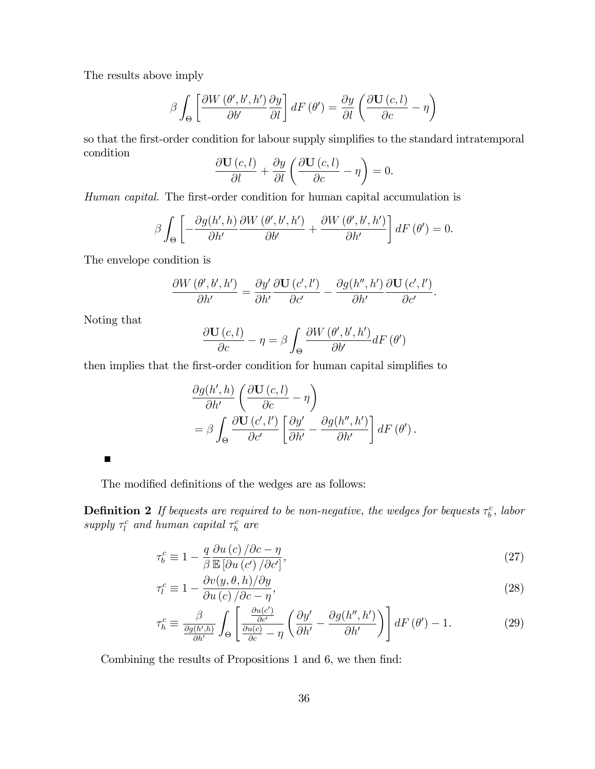The results above imply

$$
\beta \int_{\Theta} \left[ \frac{\partial W\left(\theta', b', h'\right)}{\partial b'} \frac{\partial y}{\partial l} \right] dF\left(\theta'\right) = \frac{\partial y}{\partial l} \left( \frac{\partial \mathbf{U}\left(c, l\right)}{\partial c} - \eta \right)
$$

so that the first-order condition for labour supply simplifies to the standard intratemporal condition

$$
\frac{\partial \mathbf{U}(c,l)}{\partial l} + \frac{\partial y}{\partial l} \left( \frac{\partial \mathbf{U}(c,l)}{\partial c} - \eta \right) = 0.
$$

Human capital. The first-order condition for human capital accumulation is

$$
\beta \int_{\Theta} \left[ -\frac{\partial g(h',h)}{\partial h'} \frac{\partial W(\theta',b',h')}{\partial b'} + \frac{\partial W(\theta',b',h')}{\partial h'} \right] dF(\theta') = 0.
$$

The envelope condition is

$$
\frac{\partial W\left(\theta',b',h'\right)}{\partial h'}=\frac{\partial y'}{\partial h'}\frac{\partial \mathbf{U}\left(c',l'\right)}{\partial c'}-\frac{\partial g(h'',h')}{\partial h'}\frac{\partial \mathbf{U}\left(c',l'\right)}{\partial c'}.
$$

Noting that

$$
\frac{\partial \mathbf{U}(c,l)}{\partial c} - \eta = \beta \int_{\Theta} \frac{\partial W(\theta',b',h')}{\partial b'} dF(\theta')
$$

then implies that the first-order condition for human capital simplifies to

$$
\frac{\partial g(h',h)}{\partial h'} \left( \frac{\partial \mathbf{U}(c,l)}{\partial c} - \eta \right) \n= \beta \int_{\Theta} \frac{\partial \mathbf{U}(c',l')}{\partial c'} \left[ \frac{\partial y'}{\partial h'} - \frac{\partial g(h'',h')}{\partial h'} \right] dF(\theta').
$$

 $\qquad \qquad \blacksquare$ 

The modified definitions of the wedges are as follows:

**Definition 2** If bequests are required to be non-negative, the wedges for bequests  $\tau_b^c$ , labor supply  $\tau_l^c$  and human capital  $\tau_h^c$  are

$$
\tau_b^c \equiv 1 - \frac{q}{\beta} \frac{\partial u\left(c\right)}{\mathbb{E}\left[\partial u\left(c'\right)/\partial c'\right]},\tag{27}
$$

$$
\tau_l^c \equiv 1 - \frac{\partial v(y, \theta, h)/\partial y}{\partial u(c)/\partial c - \eta},\tag{28}
$$

$$
\tau_h^c \equiv \frac{\beta}{\frac{\partial g(h',h)}{\partial h'}} \int_{\Theta} \left[ \frac{\frac{\partial u(c')}{\partial c'}}{\frac{\partial u(c)}{\partial c} - \eta} \left( \frac{\partial y'}{\partial h'} - \frac{\partial g(h'',h')}{\partial h'} \right) \right] dF(\theta') - 1.
$$
 (29)

Combining the results of Propositions 1 and 6, we then find: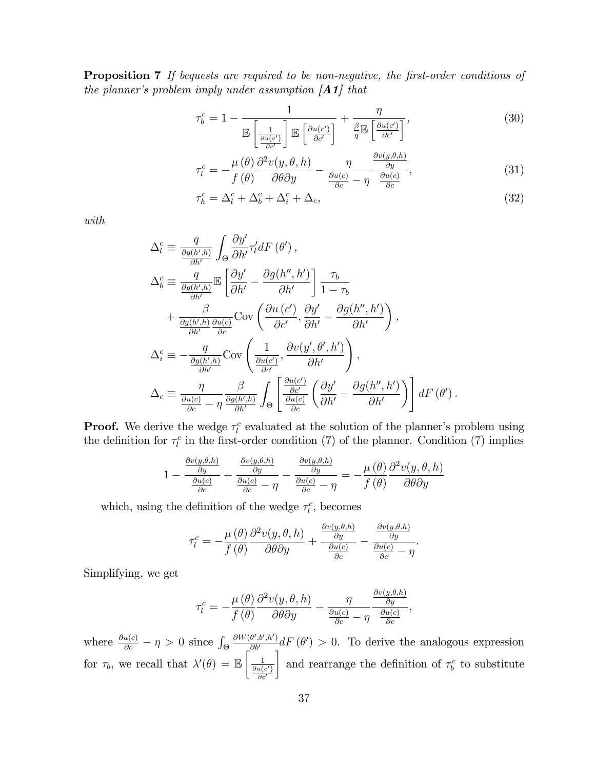**Proposition 7** If bequests are required to be non-negative, the first-order conditions of the planner's problem imply under assumption  $[A1]$  that

$$
\tau_b^c = 1 - \frac{1}{\mathbb{E}\left[\frac{1}{\frac{\partial u(c')}{\partial c'}}\right] \mathbb{E}\left[\frac{\partial u(c')}{\partial c'}\right]} + \frac{\eta}{q \mathbb{E}\left[\frac{\partial u(c')}{\partial c'}\right]},
$$
\n(30)

$$
\tau_l^c = -\frac{\mu(\theta)}{f(\theta)} \frac{\partial^2 v(y, \theta, h)}{\partial \theta \partial y} - \frac{\eta}{\frac{\partial u(c)}{\partial c} - \eta} \frac{\frac{\partial v(y, \theta, h)}{\partial y}}{\frac{\partial u(c)}{\partial c}},
$$
(31)

$$
\tau_h^c = \Delta_l^c + \Delta_b^c + \Delta_i^c + \Delta_c,\tag{32}
$$

with

$$
\Delta_{l}^{c} \equiv \frac{q}{\frac{\partial g(h',h)}{\partial h'}} \int_{\Theta} \frac{\partial y'}{\partial h'} \tau'_{l} dF(\theta'),
$$
\n
$$
\Delta_{b}^{c} \equiv \frac{q}{\frac{\partial g(h',h)}{\partial h'}} \mathbb{E} \left[ \frac{\partial y'}{\partial h'} - \frac{\partial g(h'',h')}{\partial h'} \right] \frac{\tau_{b}}{1-\tau_{b}}
$$
\n
$$
+ \frac{\beta}{\frac{\partial g(h',h)}{\partial h'} \frac{\partial u(c)}{\partial c}} \text{Cov} \left( \frac{\partial u(c')}{\partial c'}, \frac{\partial y'}{\partial h'} - \frac{\partial g(h'',h')}{\partial h'} \right),
$$
\n
$$
\Delta_{i}^{c} \equiv -\frac{q}{\frac{\partial g(h',h)}{\partial h'}} \text{Cov} \left( \frac{1}{\frac{\partial u(c')}{\partial c'}}, \frac{\partial v(y', \theta', h')}{\partial h'} \right),
$$
\n
$$
\Delta_{c} \equiv \frac{\eta}{\frac{\partial u(c)}{\partial c} - \eta} \frac{\beta}{\frac{\partial g(h',h)}{\partial h'}} \int_{\Theta} \left[ \frac{\frac{\partial u(c')}{\partial c'}}{\frac{\partial v(c')}{\partial c}} \left( \frac{\partial y'}{\partial h'} - \frac{\partial g(h'',h')}{\partial h'} \right) \right] dF(\theta').
$$

**Proof.** We derive the wedge  $\tau_l^c$  evaluated at the solution of the planner's problem using the definition for  $\tau_l^c$  in the first-order condition (7) of the planner. Condition (7) implies

$$
1 - \frac{\frac{\partial v(y,\theta,h)}{\partial y}}{\frac{\partial u(c)}{\partial c}} + \frac{\frac{\partial v(y,\theta,h)}{\partial y}}{\frac{\partial u(c)}{\partial c} - \eta} - \frac{\frac{\partial v(y,\theta,h)}{\partial y}}{\frac{\partial u(c)}{\partial c} - \eta} = -\frac{\mu(\theta)}{f(\theta)} \frac{\partial^2 v(y,\theta,h)}{\partial \theta \partial y}
$$

which, using the definition of the wedge  $\tau_l^c$ , becomes

$$
\tau_l^c = -\frac{\mu(\theta)}{f(\theta)} \frac{\partial^2 v(y, \theta, h)}{\partial \theta \partial y} + \frac{\frac{\partial v(y, \theta, h)}{\partial y}}{\frac{\partial u(c)}{\partial c}} - \frac{\frac{\partial v(y, \theta, h)}{\partial y}}{\frac{\partial u(c)}{\partial c} - \eta}.
$$

Simplifying, we get

$$
\tau_l^c = -\frac{\mu(\theta)}{f(\theta)} \frac{\partial^2 v(y, \theta, h)}{\partial \theta \partial y} - \frac{\eta}{\frac{\partial u(c)}{\partial c} - \eta} \frac{\frac{\partial v(y, \theta, h)}{\partial y}}{\frac{\partial u(c)}{\partial c}},
$$

where  $\frac{\partial u(c)}{\partial c} - \eta > 0$  since  $\int_{\Theta}$  $\frac{\partial W(\theta',b',h')}{\partial b'} dF(\theta') > 0$ . To derive the analogous expression for  $\tau_b$ , we recall that  $\lambda'(\theta) = \mathbb{E}$  $\begin{bmatrix} 0 & 1 \\ 1 & 1 \end{bmatrix}$  $\frac{\partial u(c')}{\partial c'}$ 1 and rearrange the definition of  $\tau_b^c$  to substitute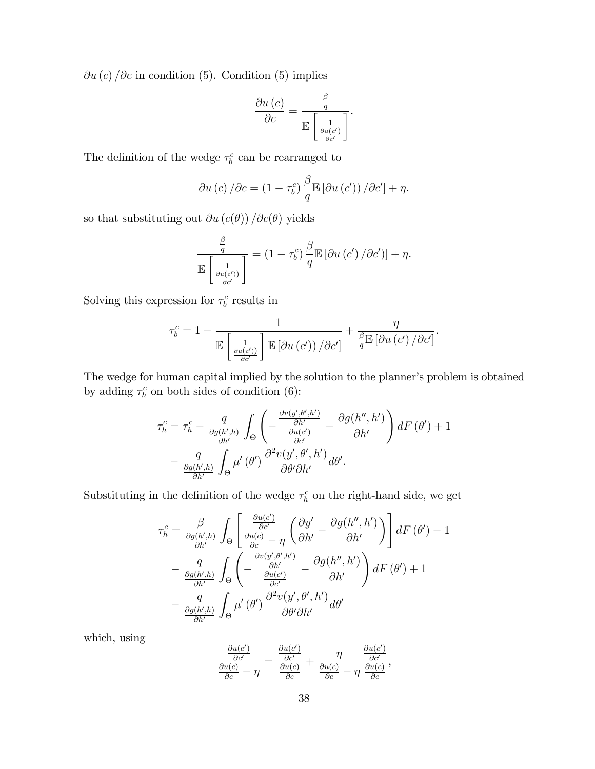$\partial u(c)$  / $\partial c$  in condition (5). Condition (5) implies

$$
\frac{\partial u\left(c\right)}{\partial c} = \frac{\frac{\beta}{q}}{\mathbb{E}\left[\frac{1}{\frac{\partial u\left(c'\right)}{\partial c'}}\right]}.
$$

The definition of the wedge  $\tau_b^c$  can be rearranged to

$$
\partial u(c) / \partial c = (1 - \tau_b^c) \frac{\beta}{q} \mathbb{E} [\partial u(c')) / \partial c'] + \eta.
$$

so that substituting out  $\partial u(c(\theta)) / \partial c(\theta)$  yields

$$
\frac{\frac{\beta}{q}}{\mathbb{E}\left[\frac{1}{\frac{\partial u(c')}{\partial c'}}\right]} = (1-\tau_b^c)\frac{\beta}{q}\mathbb{E}\left[\partial u\left(c'\right)/\partial c'\right)] + \eta.
$$

Solving this expression for  $\tau_b^c$  results in

$$
\tau_b^c = 1 - \frac{1}{\mathbb{E}\left[\frac{1}{\frac{\partial u(c')}{\partial c'}}\right] \mathbb{E}\left[\partial u\left(c'\right)\right)/\partial c'\right]} + \frac{\eta}{\frac{\beta}{q}\mathbb{E}\left[\partial u\left(c'\right)/\partial c'\right]}.
$$

The wedge for human capital implied by the solution to the planner's problem is obtained by adding  $\tau_h^c$  on both sides of condition (6):

$$
\tau_h^c = \tau_h^c - \frac{q}{\frac{\partial g(h',h)}{\partial h'}} \int_{\Theta} \left( -\frac{\frac{\partial v(y',\theta',h')}{\partial h'}}{\frac{\partial u(c')}{\partial c'}} - \frac{\partial g(h'',h')}{\partial h'} \right) dF(\theta') + 1 - \frac{q}{\frac{\partial g(h',h)}{\partial h'}} \int_{\Theta} \mu'(\theta') \frac{\partial^2 v(y',\theta',h')}{\partial \theta' \partial h'} d\theta'.
$$

Substituting in the definition of the wedge  $\tau_h^c$  on the right-hand side, we get

$$
\tau_h^c = \frac{\beta}{\frac{\partial g(h',h)}{\partial h'}} \int_{\Theta} \left[ \frac{\frac{\partial u(c')}{\partial c'}}{\frac{\partial u(c)}{\partial c} - \eta} \left( \frac{\partial y'}{\partial h'} - \frac{\partial g(h'',h')}{\partial h'} \right) \right] dF(\theta') - 1 \n- \frac{q}{\frac{\partial g(h',h)}{\partial h'}} \int_{\Theta} \left( -\frac{\frac{\partial v(y',\theta',h')}{\partial h'}}{\frac{\partial u(c')}{\partial c'}} - \frac{\partial g(h'',h')}{\partial h'} \right) dF(\theta') + 1 \n- \frac{q}{\frac{\partial g(h',h)}{\partial h'}} \int_{\Theta} \mu'(\theta') \frac{\partial^2 v(y',\theta',h')}{\partial \theta' \partial h'} d\theta'
$$

which, using

$$
\frac{\frac{\partial u(c')}{\partial c'}}{\frac{\partial u(c)}{\partial c}} - \eta = \frac{\frac{\partial u(c')}{\partial c'}}{\frac{\partial u(c)}{\partial c}} + \frac{\eta}{\frac{\partial u(c)}{\partial c}} - \eta \frac{\frac{\partial u(c')}{\partial c'}}{\frac{\partial u(c)}{\partial c}},
$$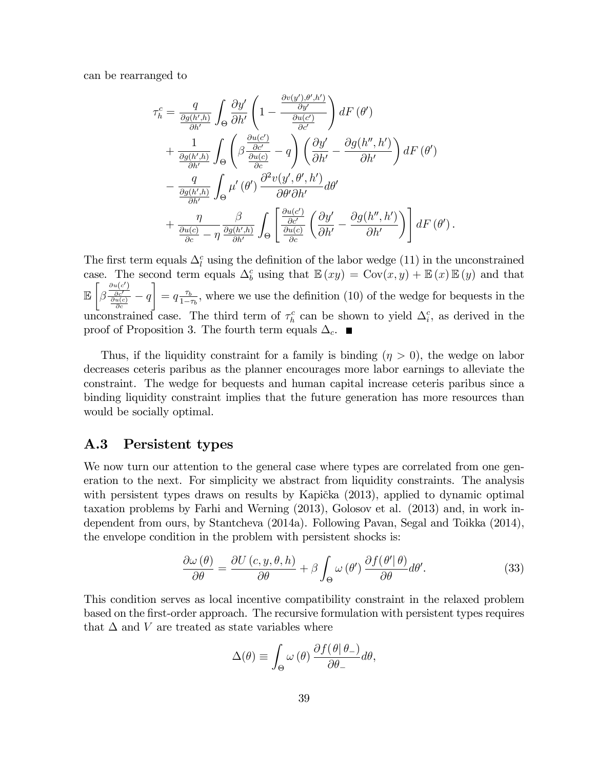can be rearranged to

$$
\tau_h^c = \frac{q}{\frac{\partial g(h',h)}{\partial h'}} \int_{\Theta} \frac{\partial y'}{\partial h'} \left( 1 - \frac{\frac{\partial v(y'),\theta',h'}{\partial y'}}{\frac{\partial u(c')}{\partial c'}} \right) dF(\theta')
$$
  
+ 
$$
\frac{1}{\frac{\partial g(h',h)}{\partial h'}} \int_{\Theta} \left( \beta \frac{\frac{\partial u(c')}{\partial c'}}{\frac{\partial u(c)}{\partial c}} - q \right) \left( \frac{\partial y'}{\partial h'} - \frac{\partial g(h'',h')}{\partial h'} \right) dF(\theta')
$$
  
- 
$$
\frac{q}{\frac{\partial g(h',h)}{\partial h'}} \int_{\Theta} \mu'(\theta') \frac{\partial^2 v(y',\theta',h')}{\partial \theta' \partial h'} d\theta'
$$
  
+ 
$$
\frac{\eta}{\frac{\partial u(c)}{\partial c}} - \eta \frac{\beta}{\frac{\partial g(h',h)}{\partial h'}} \int_{\Theta} \left[ \frac{\frac{\partial u(c')}{\partial c'}}{\frac{\partial c'}{\partial c}} \left( \frac{\partial y'}{\partial h'} - \frac{\partial g(h'',h')}{\partial h'} \right) \right] dF(\theta').
$$

The first term equals  $\Delta_l^c$  using the definition of the labor wedge (11) in the unconstrained case. The second term equals  $\Delta_b^c$  using that  $\mathbb{E}(xy) = \text{Cov}(x, y) + \mathbb{E}(x)\mathbb{E}(y)$  and that E  $\sqrt{ }$ β  $\frac{\frac{\partial u(c')}{\partial c'} }{\frac{\partial u(c)}{\partial c}} - q$ 1  $= q \frac{\tau_b}{1 - \tau_a^2}$  $\frac{\tau_b}{1-\tau_b}$ , where we use the definition (10) of the wedge for bequests in the unconstrained case. The third term of  $\tau_h^c$  can be shown to yield  $\Delta_i^c$ , as derived in the proof of Proposition 3. The fourth term equals  $\Delta_c$ .

Thus, if the liquidity constraint for a family is binding  $(\eta > 0)$ , the wedge on labor decreases ceteris paribus as the planner encourages more labor earnings to alleviate the constraint. The wedge for bequests and human capital increase ceteris paribus since a binding liquidity constraint implies that the future generation has more resources than would be socially optimal.

#### A.3 Persistent types

We now turn our attention to the general case where types are correlated from one generation to the next. For simplicity we abstract from liquidity constraints. The analysis with persistent types draws on results by Kapička  $(2013)$ , applied to dynamic optimal taxation problems by Farhi and Werning (2013), Golosov et al. (2013) and, in work independent from ours, by Stantcheva (2014a). Following Pavan, Segal and Toikka (2014), the envelope condition in the problem with persistent shocks is:

$$
\frac{\partial \omega(\theta)}{\partial \theta} = \frac{\partial U(c, y, \theta, h)}{\partial \theta} + \beta \int_{\Theta} \omega(\theta') \frac{\partial f(\theta'|\theta)}{\partial \theta} d\theta'. \tag{33}
$$

This condition serves as local incentive compatibility constraint in the relaxed problem based on the Örst-order approach. The recursive formulation with persistent types requires that  $\Delta$  and V are treated as state variables where

$$
\Delta(\theta) \equiv \int_{\Theta} \omega(\theta) \frac{\partial f(\theta | \theta_{-})}{\partial \theta_{-}} d\theta,
$$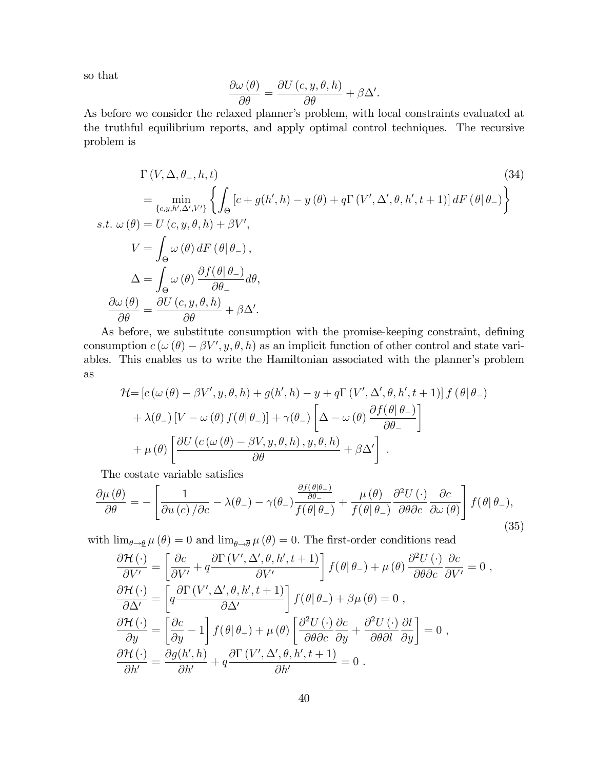so that

$$
\frac{\partial \omega(\theta)}{\partial \theta} = \frac{\partial U(c, y, \theta, h)}{\partial \theta} + \beta \Delta'.
$$

As before we consider the relaxed planner's problem, with local constraints evaluated at the truthful equilibrium reports, and apply optimal control techniques. The recursive problem is

$$
\Gamma(V, \Delta, \theta_-, h, t)
$$
\n
$$
= \min_{\{c, y, h', \Delta', V'\}} \left\{ \int_{\Theta} \left[ c + g(h', h) - y(\theta) + q \Gamma(V', \Delta', \theta, h', t + 1) \right] dF(\theta | \theta_-) \right\}
$$
\n*s.t.*  $\omega(\theta) = U(c, y, \theta, h) + \beta V'$ ,\n
$$
V = \int_{\Theta} \omega(\theta) dF(\theta | \theta_-, t)
$$
\n
$$
\Delta = \int_{\Theta} \omega(\theta) \frac{\partial f(\theta | \theta_-, t)}{\partial \theta_+} d\theta,
$$
\n
$$
\frac{\partial \omega(\theta)}{\partial \theta} = \frac{\partial U(c, y, \theta, h)}{\partial \theta} + \beta \Delta'.
$$
\n(34)

As before, we substitute consumption with the promise-keeping constraint, defining consumption  $c(\omega(\theta) - \beta V', y, \theta, h)$  as an implicit function of other control and state variables. This enables us to write the Hamiltonian associated with the planner's problem as

$$
\mathcal{H} = \left[c\left(\omega\left(\theta\right) - \beta V', y, \theta, h\right) + g(h', h) - y + q\Gamma\left(V', \Delta', \theta, h', t+1\right)\right]f\left(\theta\right|\theta_{-}\right) \n+ \lambda(\theta_{-})\left[V - \omega\left(\theta\right)f(\theta\right|\theta_{-})\right] + \gamma(\theta_{-})\left[\Delta - \omega\left(\theta\right)\frac{\partial f(\theta\right|\theta_{-})}{\partial\theta_{-}}\right] \n+ \mu(\theta)\left[\frac{\partial U\left(c\left(\omega\left(\theta\right) - \beta V, y, \theta, h\right), y, \theta, h\right)}{\partial\theta} + \beta\Delta'\right].
$$

The costate variable satisfies

$$
\frac{\partial \mu(\theta)}{\partial \theta} = -\left[\frac{1}{\partial u(c)/\partial c} - \lambda(\theta_{-}) - \gamma(\theta_{-}) \frac{\frac{\partial f(\theta|\theta_{-})}{\partial \theta_{-}}}{f(\theta|\theta_{-})} + \frac{\mu(\theta)}{f(\theta|\theta_{-})} \frac{\partial^2 U(\cdot)}{\partial \theta \partial c} \frac{\partial c}{\partial \omega(\theta)}\right] f(\theta|\theta_{-}),
$$
\n(35)

with  $\lim_{\theta \to \theta} \mu(\theta) = 0$  and  $\lim_{\theta \to \overline{\theta}} \mu(\theta) = 0$ . The first-order conditions read

$$
\frac{\partial \mathcal{H}(\cdot)}{\partial V'} = \left[ \frac{\partial c}{\partial V'} + q \frac{\partial \Gamma(V', \Delta', \theta, h', t+1)}{\partial V'} \right] f(\theta | \theta_{-}) + \mu(\theta) \frac{\partial^2 U(\cdot)}{\partial \theta \partial c} \frac{\partial c}{\partial V'} = 0 ,
$$
  

$$
\frac{\partial \mathcal{H}(\cdot)}{\partial \Delta'} = \left[ q \frac{\partial \Gamma(V', \Delta', \theta, h', t+1)}{\partial \Delta'} \right] f(\theta | \theta_{-}) + \beta \mu(\theta) = 0 ,
$$
  

$$
\frac{\partial \mathcal{H}(\cdot)}{\partial y} = \left[ \frac{\partial c}{\partial y} - 1 \right] f(\theta | \theta_{-}) + \mu(\theta) \left[ \frac{\partial^2 U(\cdot)}{\partial \theta \partial c} \frac{\partial c}{\partial y} + \frac{\partial^2 U(\cdot)}{\partial \theta \partial l} \frac{\partial l}{\partial y} \right] = 0 ,
$$
  

$$
\frac{\partial \mathcal{H}(\cdot)}{\partial h'} = \frac{\partial g(h', h)}{\partial h'} + q \frac{\partial \Gamma(V', \Delta', \theta, h', t+1)}{\partial h'} = 0 .
$$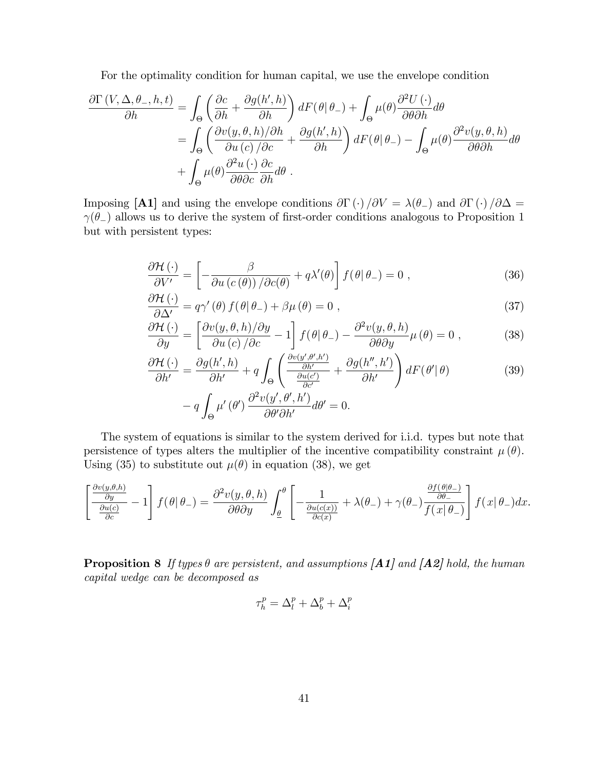For the optimality condition for human capital, we use the envelope condition

$$
\frac{\partial \Gamma(V, \Delta, \theta_-, h, t)}{\partial h} = \int_{\Theta} \left( \frac{\partial c}{\partial h} + \frac{\partial g(h', h)}{\partial h} \right) dF(\theta | \theta_-) + \int_{\Theta} \mu(\theta) \frac{\partial^2 U(\cdot)}{\partial \theta \partial h} d\theta \n= \int_{\Theta} \left( \frac{\partial v(y, \theta, h)/\partial h}{\partial u(c)/\partial c} + \frac{\partial g(h', h)}{\partial h} \right) dF(\theta | \theta_-) - \int_{\Theta} \mu(\theta) \frac{\partial^2 v(y, \theta, h)}{\partial \theta \partial h} d\theta \n+ \int_{\Theta} \mu(\theta) \frac{\partial^2 u(\cdot)}{\partial \theta \partial c} \frac{\partial c}{\partial h} d\theta.
$$

Imposing [A1] and using the envelope conditions  $\partial \Gamma(\cdot)/\partial V = \lambda(\theta_-)$  and  $\partial \Gamma(\cdot)/\partial \Delta =$  $\gamma(\theta)$  allows us to derive the system of first-order conditions analogous to Proposition 1 but with persistent types:

$$
\frac{\partial \mathcal{H}(\cdot)}{\partial V'} = \left[ -\frac{\beta}{\partial u \left( c\left( \theta \right) \right) / \partial c(\theta)} + q \lambda'(\theta) \right] f(\theta | \theta_{-}) = 0 , \qquad (36)
$$

$$
\frac{\partial \mathcal{H}\left(\cdot\right)}{\partial \Delta'} = q\gamma'\left(\theta\right)f\left(\theta|\theta_{-}\right) + \beta\mu\left(\theta\right) = 0\tag{37}
$$

$$
\frac{\partial \mathcal{H}(\cdot)}{\partial y} = \left[ \frac{\partial v(y, \theta, h)/\partial y}{\partial u(c)/\partial c} - 1 \right] f(\theta|\theta_{-}) - \frac{\partial^2 v(y, \theta, h)}{\partial \theta \partial y} \mu(\theta) = 0 , \qquad (38)
$$

$$
\frac{\partial \mathcal{H}(\cdot)}{\partial h'} = \frac{\partial g(h',h)}{\partial h'} + q \int_{\Theta} \left( \frac{\frac{\partial v(y',\theta',h')}{\partial h'}}{\frac{\partial u(c')}{\partial c'}} + \frac{\partial g(h'',h')}{\partial h'} \right) dF(\theta'|\theta)
$$
(39)

$$
- q \int_{\Theta} \mu'(\theta') \frac{\partial^2 v(y', \theta', h')}{\partial \theta' \partial h'} d\theta' = 0.
$$

The system of equations is similar to the system derived for i.i.d. types but note that persistence of types alters the multiplier of the incentive compatibility constraint  $\mu(\theta)$ . Using (35) to substitute out  $\mu(\theta)$  in equation (38), we get

$$
\left[\frac{\frac{\partial v(y,\theta,h)}{\partial y}}{\frac{\partial u(c)}{\partial c}}-1\right]f(\theta|\theta_{-})=\frac{\partial^2 v(y,\theta,h)}{\partial \theta \partial y}\int_{\underline{\theta}}^{\theta}\left[-\frac{1}{\frac{\partial u(c(x))}{\partial c(x)}}+\lambda(\theta_{-})+\gamma(\theta_{-})\frac{\frac{\partial f(\theta|\theta_{-})}{\partial \theta_{-}}}{f(x|\theta_{-})}\right]f(x|\theta_{-})dx.
$$

**Proposition 8** If types  $\theta$  are persistent, and assumptions [A1] and [A2] hold, the human capital wedge can be decomposed as

$$
\tau_h^p = \Delta_l^p + \Delta_b^p + \Delta_i^p
$$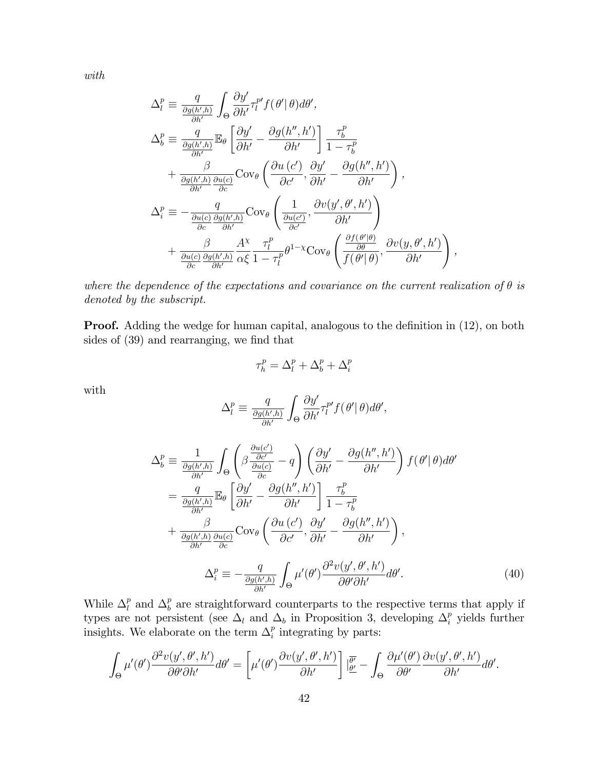with

$$
\Delta_l^p \equiv \frac{q}{\frac{\partial g(h',h)}{\partial h'}} \int_{\Theta} \frac{\partial y'}{\partial h'} \tau_l^{p'} f(\theta' | \theta) d\theta',
$$
\n
$$
\Delta_b^p \equiv \frac{q}{\frac{\partial g(h',h)}{\partial h'}} \mathbb{E}_{\theta} \left[ \frac{\partial y'}{\partial h'} - \frac{\partial g(h'',h')}{\partial h'} \right] \frac{\tau_b^p}{1 - \tau_b^p}
$$
\n
$$
+ \frac{\beta}{\frac{\partial g(h',h)}{\partial h'} \frac{\partial u(c)}{\partial c}} \text{Cov}_{\theta} \left( \frac{\partial u(c')}{\partial c'}, \frac{\partial y'}{\partial h'} - \frac{\partial g(h'',h')}{\partial h'} \right),
$$
\n
$$
\Delta_i^p \equiv -\frac{q}{\frac{\partial u(c)}{\partial c} \frac{\partial g(h',h)}{\partial h'}} \text{Cov}_{\theta} \left( \frac{1}{\frac{\partial u(c')}{\partial c'}}, \frac{\partial v(y', \theta', h')}{\partial h'} \right)
$$
\n
$$
+ \frac{\beta}{\frac{\partial u(c)}{\partial c} \frac{\partial g(h',h)}{\partial h'}} \frac{A^{\chi}}{\alpha \xi} \frac{\tau_l^p}{1 - \tau_l^p} \theta^{1 - \chi} \text{Cov}_{\theta} \left( \frac{\frac{\partial f(\theta' | \theta)}{\partial \theta}}{f(\theta' | \theta)}, \frac{\partial v(y, \theta', h')}{\partial h'} \right)
$$

where the dependence of the expectations and covariance on the current realization of  $\theta$  is denoted by the subscript.

,

**Proof.** Adding the wedge for human capital, analogous to the definition in (12), on both sides of  $(39)$  and rearranging, we find that

$$
\tau_h^p = \Delta_l^p + \Delta_b^p + \Delta_i^p
$$

with

$$
\Delta_l^p \equiv \frac{q}{\frac{\partial g(h',h)}{\partial h'}} \int_{\Theta} \frac{\partial y'}{\partial h'} \tau_l^{p'} f(\theta' | \theta) d\theta',
$$

$$
\Delta_b^p \equiv \frac{1}{\frac{\partial g(h',h)}{\partial h'}} \int_{\Theta} \left( \beta \frac{\frac{\partial u(c')}{\partial c'}}{\frac{\partial u(c)}{\partial c}} - q \right) \left( \frac{\partial y'}{\partial h'} - \frac{\partial g(h'',h')}{\partial h'} \right) f(\theta'|\theta) d\theta'
$$
  

$$
= \frac{q}{\frac{\partial g(h',h)}{\partial h'}} \mathbb{E}_{\theta} \left[ \frac{\partial y'}{\partial h'} - \frac{\partial g(h'',h')}{\partial h'} \right] \frac{\tau_b^p}{1 - \tau_b^p}
$$
  

$$
+ \frac{\beta}{\frac{\partial g(h',h)}{\partial h'} \frac{\partial u(c)}{\partial c}} \text{Cov}_{\theta} \left( \frac{\partial u(c')}{\partial c'}, \frac{\partial y'}{\partial h'} - \frac{\partial g(h'',h')}{\partial h'} \right),
$$
  

$$
\Delta_i^p \equiv -\frac{q}{\frac{\partial g(h',h)}{\partial h'}} \int_{\Theta} \mu'(\theta') \frac{\partial^2 v(y', \theta', h')}{\partial \theta' \partial h'} d\theta'.
$$
(40)

While  $\Delta_l^p$  $_{l}^{p}$  and  $\Delta_{b}^{p}$  $\frac{p}{b}$  are straightforward counterparts to the respective terms that apply if types are not persistent (see  $\Delta_l$  and  $\Delta_b$  in Proposition 3, developing  $\Delta_i^p$  yields further insights. We elaborate on the term  $\Delta_i^p$  $_i^p$  integrating by parts:

$$
\int_{\Theta} \mu'(\theta') \frac{\partial^2 v(y', \theta', h')}{\partial \theta' \partial h'} d\theta' = \left[ \mu'(\theta') \frac{\partial v(y', \theta', h')}{\partial h'} \right] \left| \frac{\overline{\theta'}}{\underline{\theta'}} - \int_{\Theta} \frac{\partial \mu'(\theta')}{\partial \theta'} \frac{\partial v(y', \theta', h')}{\partial h'} d\theta'.
$$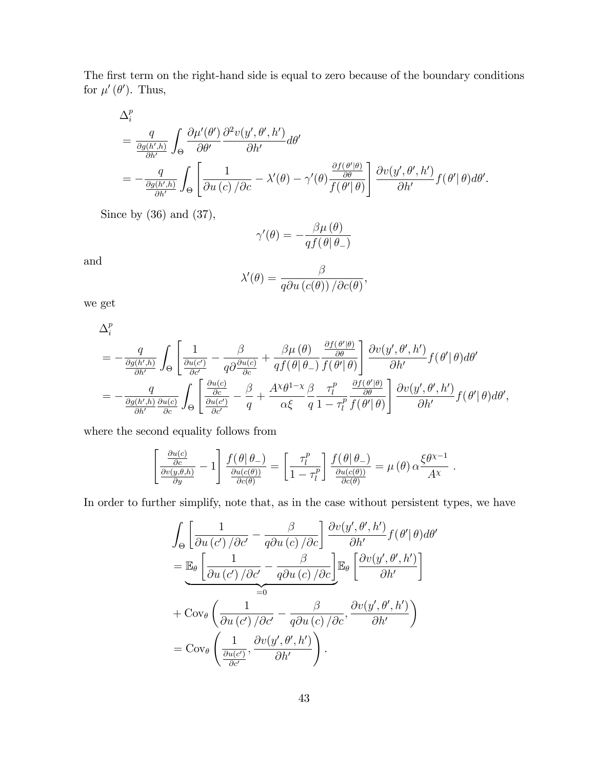The first term on the right-hand side is equal to zero because of the boundary conditions for  $\mu'(\theta')$ . Thus,

$$
\Delta_i^p = \frac{q}{\frac{\partial g(h',h)}} \int_{\Theta} \frac{\partial \mu'(\theta')}{\partial \theta'} \frac{\partial^2 v(y', \theta', h')}{\partial h'} d\theta' \n= -\frac{q}{\frac{\partial g(h',h)}{\partial h'}} \int_{\Theta} \left[ \frac{1}{\partial u(c)/\partial c} - \lambda'(\theta) - \gamma'(\theta) \frac{\frac{\partial f(\theta'\mid\theta)}{\partial \theta}}{f(\theta'\mid\theta)} \right] \frac{\partial v(y', \theta', h')}{\partial h'} f(\theta' \mid \theta) d\theta'.
$$

Since by (36) and (37),

$$
\gamma'(\theta) = -\frac{\beta \mu(\theta)}{q f(\theta|\theta_{-})}
$$

and

$$
\lambda'(\theta) = \frac{\beta}{q\partial u\left(c(\theta)\right)/\partial c(\theta)},
$$

we get

$$
\Delta_i^p = -\frac{q}{\frac{\partial g(h',h)}{\partial h'}} \int_{\Theta} \left[ \frac{1}{\frac{\partial u(c')}{\partial c'}} - \frac{\beta}{q \partial \frac{\partial u(c)}{\partial c}} + \frac{\beta \mu(\theta)}{q f(\theta | \theta_{-})} \frac{\frac{\partial f(\theta' | \theta)}{\partial \theta}}{f(\theta' | \theta)} \right] \frac{\partial v(y', \theta', h')}{\partial h'} f(\theta' | \theta) d\theta' \n= -\frac{q}{\frac{\partial g(h',h)}{\partial h'}} \int_{\Theta} \left[ \frac{\frac{\partial u(c)}{\partial c}}{\frac{\partial v}{\partial c'}} - \frac{\beta}{q} + \frac{A^{\chi} \theta^{1-\chi}}{\alpha \xi} \frac{\beta}{q} \frac{\tau_l^p}{1 - \tau_l^p} \frac{\frac{\partial f(\theta' | \theta)}{\partial \theta}}{f(\theta' | \theta)} \right] \frac{\partial v(y', \theta', h')}{\partial h'} f(\theta' | \theta) d\theta',
$$

where the second equality follows from

$$
\left[\frac{\frac{\partial u(c)}{\partial c}}{\frac{\partial v(y,\theta,h)}{\partial y}}-1\right]\frac{f(\theta|\theta_{-})}{\frac{\partial u(c(\theta))}{\partial c(\theta)}}=\left[\frac{\tau_{l}^{p}}{1-\tau_{l}^{p}}\right]\frac{f(\theta|\theta_{-})}{\frac{\partial u(c(\theta))}{\partial c(\theta)}}=\mu(\theta)\alpha\frac{\xi\theta^{\chi-1}}{Ax}.
$$

In order to further simplify, note that, as in the case without persistent types, we have

$$
\int_{\Theta} \left[ \frac{1}{\partial u \left( c' \right) / \partial c'} - \frac{\beta}{q \partial u \left( c \right) / \partial c} \right] \frac{\partial v(y', \theta', h')}{\partial h'} f(\theta' | \theta) d\theta'
$$
\n
$$
= \mathbb{E}_{\theta} \left[ \frac{1}{\partial u \left( c' \right) / \partial c'} - \frac{\beta}{q \partial u \left( c \right) / \partial c} \right] \mathbb{E}_{\theta} \left[ \frac{\partial v(y', \theta', h')}{\partial h'} \right]
$$
\n
$$
+ \text{Cov}_{\theta} \left( \frac{1}{\partial u \left( c' \right) / \partial c'} - \frac{\beta}{q \partial u \left( c \right) / \partial c}, \frac{\partial v(y', \theta', h')}{\partial h'} \right)
$$
\n
$$
= \text{Cov}_{\theta} \left( \frac{1}{\frac{\partial u(c')}{\partial c'}}, \frac{\partial v(y', \theta', h')}{\partial h'} \right).
$$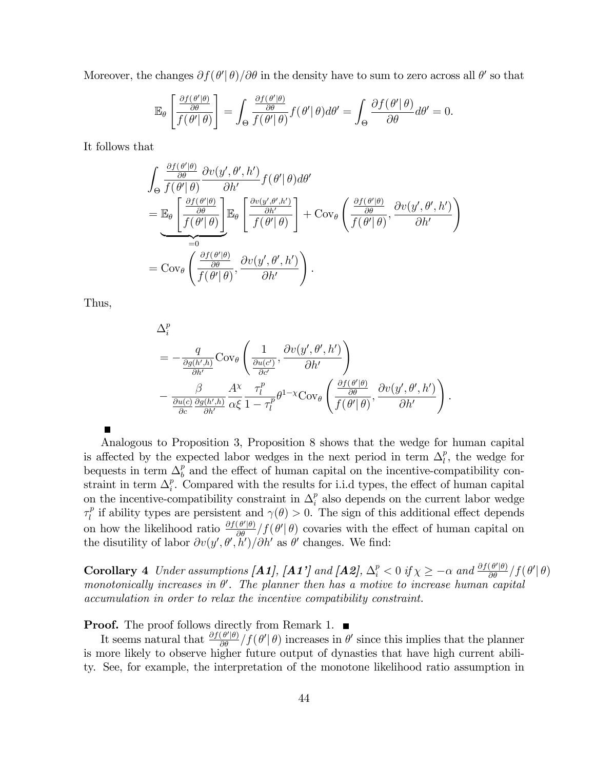Moreover, the changes  $\partial f(\theta'|\theta)/\partial \theta$  in the density have to sum to zero across all  $\theta'$  so that

$$
\mathbb{E}_{\theta}\left[\frac{\frac{\partial f(\theta'|\theta)}{\partial \theta}}{f(\theta'|\theta)}\right] = \int_{\Theta}\frac{\frac{\partial f(\theta'|\theta)}{\partial \theta}}{f(\theta'|\theta)}f(\theta'|\theta)d\theta' = \int_{\Theta}\frac{\partial f(\theta'|\theta)}{\partial \theta}d\theta' = 0.
$$

It follows that

$$
\int_{\Theta} \frac{\frac{\partial f(\theta'|\theta)}{\partial \theta}}{f(\theta'|\theta)} \frac{\partial v(y', \theta', h')}{\partial h'} f(\theta'|\theta) d\theta'
$$
\n
$$
= \mathbb{E}_{\theta} \left[ \frac{\frac{\partial f(\theta'|\theta)}{\partial \theta}}{f(\theta'|\theta)} \right] \mathbb{E}_{\theta} \left[ \frac{\frac{\partial v(y', \theta', h')}{\partial h'}}{f(\theta'|\theta)} \right] + \text{Cov}_{\theta} \left( \frac{\frac{\partial f(\theta'|\theta)}{\partial \theta}}{f(\theta'|\theta)} , \frac{\partial v(y', \theta', h')}{\partial h'} \right)
$$
\n
$$
= \text{Cov}_{\theta} \left( \frac{\frac{\partial f(\theta'|\theta)}{\partial \theta}}{f(\theta'|\theta)} , \frac{\partial v(y', \theta', h')}{\partial h'} \right).
$$

Thus,

 $\blacksquare$ 

$$
\Delta_i^p = -\frac{q}{\frac{\partial g(h',h)}{\partial h'}} \text{Cov}_{\theta} \left( \frac{1}{\frac{\partial u(c')}{\partial c'}}, \frac{\partial v(y', \theta', h')}{\partial h'} \right) \n- \frac{\beta}{\frac{\partial u(c)}{\partial c} \frac{\partial g(h',h)}{\partial h'}} \frac{A^{\chi}}{\alpha \xi} \frac{\tau_l^p}{1 - \tau_l^p} \theta^{1-\chi} \text{Cov}_{\theta} \left( \frac{\frac{\partial f(\theta'|\theta)}{\partial \theta}}{f(\theta'|\theta)}, \frac{\partial v(y', \theta', h')}{\partial h'} \right).
$$

Analogous to Proposition 3, Proposition 8 shows that the wedge for human capital is affected by the expected labor wedges in the next period in term  $\Delta_l^p$  $\binom{p}{l}$ , the wedge for bequests in term  $\Delta_h^p$  $\frac{p}{b}$  and the effect of human capital on the incentive-compatibility constraint in term  $\Delta_i^p$  $i<sup>p</sup>$ . Compared with the results for i.i.d types, the effect of human capital on the incentive-compatibility constraint in  $\Delta_i^p$  $i<sub>i</sub><sup>p</sup>$  also depends on the current labor wedge  $\tau_l^p$ <sup>*p*</sup> if ability types are persistent and  $\gamma(\theta) > 0$ . The sign of this additional effect depends on how the likelihood ratio  $\frac{\partial f(\theta'|\theta)}{\partial \theta} / f(\theta'|\theta)$  covaries with the effect of human capital on the disutility of labor  $\partial v(y', \theta', h') / \partial h'$  as  $\theta'$  changes. We find:

**Corollary 4** Under assumptions [**A1**], [**A1**'] and [**A2**],  $\Delta_i^p < 0$  if  $\chi \geq -\alpha$  and  $\frac{\partial f(\theta'|\theta)}{\partial \theta} / f(\theta'|\theta)$ monotonically increases in  $\theta'$ . The planner then has a motive to increase human capital accumulation in order to relax the incentive compatibility constraint.

**Proof.** The proof follows directly from Remark 1.  $\blacksquare$ 

It seems natural that  $\frac{\partial f(\theta'|\theta)}{\partial \theta}/f(\theta'|\theta)$  increases in  $\theta'$  since this implies that the planner is more likely to observe higher future output of dynasties that have high current ability. See, for example, the interpretation of the monotone likelihood ratio assumption in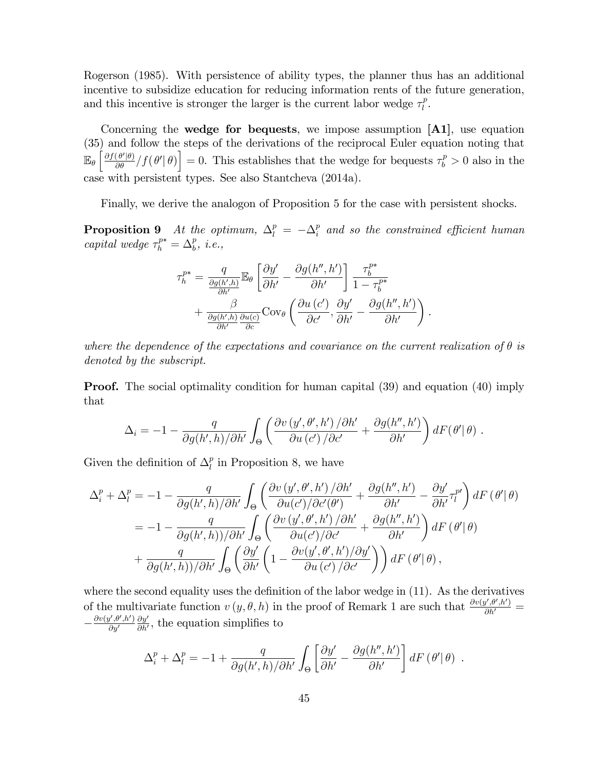Rogerson (1985). With persistence of ability types, the planner thus has an additional incentive to subsidize education for reducing information rents of the future generation, and this incentive is stronger the larger is the current labor wedge  $\tau_l^p$  $\frac{p}{l}$ .

Concerning the **wedge for bequests**, we impose assumption  $[A1]$ , use equation (35) and follow the steps of the derivations of the reciprocal Euler equation noting that  $\mathbb{E}_{\theta}$  $\left[\frac{\partial f(\theta'|\theta)}{\partial \theta}/f(\theta'|\theta)\right] = 0$ . This establishes that the wedge for bequests  $\tau_b^p > 0$  also in the case with persistent types. See also Stantcheva (2014a).

Finally, we derive the analogon of Proposition 5 for the case with persistent shocks.

**Proposition 9** At the optimum,  $\Delta_l^p = -\Delta_i^p$  $\frac{p}{i}$  and so the constrained efficient human capital wedge  $\tau_h^{p*} = \Delta_b^p$ , *i.e.*,

$$
\tau_h^{p*} = \frac{q}{\frac{\partial g(h',h)}{\partial h'}} \mathbb{E}_{\theta} \left[ \frac{\partial y'}{\partial h'} - \frac{\partial g(h'',h')}{\partial h'} \right] \frac{\tau_b^{p*}}{1 - \tau_b^{p*}} + \frac{\beta}{\frac{\partial g(h',h)}{\partial h'} \frac{\partial u(c)}{\partial c}} \text{Cov}_{\theta} \left( \frac{\partial u(c')}{\partial c'}, \frac{\partial y'}{\partial h'} - \frac{\partial g(h'',h')}{\partial h'} \right).
$$

where the dependence of the expectations and covariance on the current realization of  $\theta$  is denoted by the subscript.

**Proof.** The social optimality condition for human capital (39) and equation (40) imply that

$$
\Delta_i = -1 - \frac{q}{\partial g(h',h)/\partial h'} \int_{\Theta} \left( \frac{\partial v(y',\theta',h')/\partial h'}{\partial u(c')/\partial c'} + \frac{\partial g(h'',h')}{\partial h'} \right) dF(\theta'|\theta) .
$$

Given the definition of  $\Delta_l^p$  $\ell$ <sup>*n*</sup> in Proposition 8, we have

$$
\Delta_i^p + \Delta_l^p = -1 - \frac{q}{\partial g(h',h)/\partial h'} \int_{\Theta} \left( \frac{\partial v(y',\theta',h')/\partial h'}{\partial u(c')/\partial c'(\theta')} + \frac{\partial g(h'',h')}{\partial h'} - \frac{\partial y'}{\partial h'} \tau_l^{p'} \right) dF(\theta'|\theta)
$$
  

$$
= -1 - \frac{q}{\partial g(h',h)/\partial h'} \int_{\Theta} \left( \frac{\partial v(y',\theta',h')/\partial h'}{\partial u(c')/\partial c'} + \frac{\partial g(h'',h')}{\partial h'} \right) dF(\theta'|\theta)
$$
  

$$
+ \frac{q}{\partial g(h',h)/\partial h'} \int_{\Theta} \left( \frac{\partial y'}{\partial h'} \left( 1 - \frac{\partial v(y',\theta',h')/\partial y'}{\partial u(c')/\partial c'} \right) \right) dF(\theta'|\theta),
$$

where the second equality uses the definition of the labor wedge in  $(11)$ . As the derivatives of the multivariate function  $v(y, \theta, h)$  in the proof of Remark 1 are such that  $\frac{\partial v(y', \theta', h')}{\partial h'} =$  $-\frac{\partial v(y',\theta',h')}{\partial y'}$  $\partial y'$  $\partial y'$  $\frac{\partial y'}{\partial h'}$ , the equation simplifies to

$$
\Delta_i^p + \Delta_l^p = -1 + \frac{q}{\partial g(h',h)/\partial h'} \int_{\Theta} \left[ \frac{\partial y'}{\partial h'} - \frac{\partial g(h'',h')}{\partial h'} \right] dF(\theta'|\theta) .
$$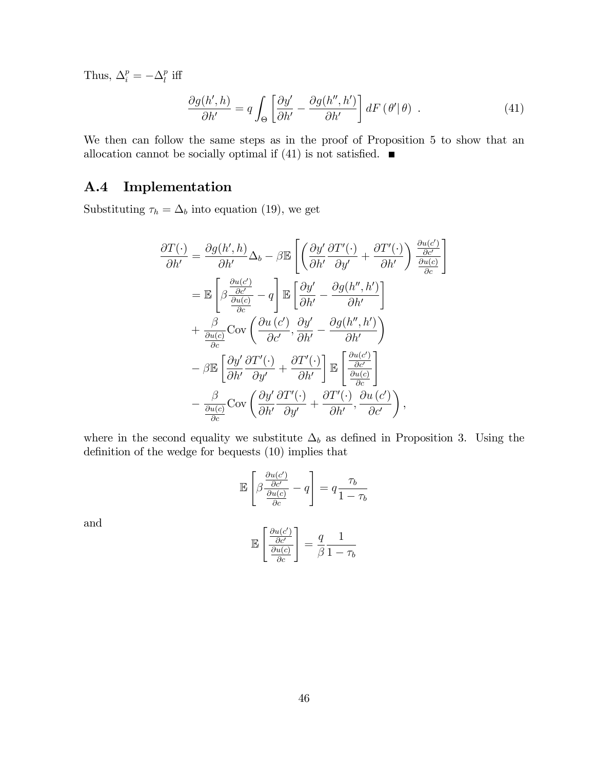Thus,  $\Delta_i^p = -\Delta_l^p$  $_{l}^{p}$  iff

$$
\frac{\partial g(h',h)}{\partial h'} = q \int_{\Theta} \left[ \frac{\partial y'}{\partial h'} - \frac{\partial g(h'',h')}{\partial h'} \right] dF(\theta'|\theta) . \tag{41}
$$

We then can follow the same steps as in the proof of Proposition 5 to show that an allocation cannot be socially optimal if (41) is not satisfied.  $\blacksquare$ 

#### A.4 Implementation

Substituting  $\tau_h = \Delta_b$  into equation (19), we get

$$
\frac{\partial T(\cdot)}{\partial h'} = \frac{\partial g(h', h)}{\partial h'} \Delta_b - \beta \mathbb{E} \left[ \left( \frac{\partial y'}{\partial h'} \frac{\partial T'(\cdot)}{\partial y'} + \frac{\partial T'(\cdot)}{\partial h'} \right) \frac{\frac{\partial u(c')}{\partial c'}}{\frac{\partial u(c)}{\partial c}} \right]
$$
  
\n
$$
= \mathbb{E} \left[ \beta \frac{\frac{\partial u(c')}{\partial c'}}{\frac{\partial u(c)}{\partial c}} - q \right] \mathbb{E} \left[ \frac{\partial y'}{\partial h'} - \frac{\partial g(h'', h')}{\partial h'} \right]
$$
  
\n
$$
+ \frac{\beta}{\frac{\partial u(c)}{\partial c}} \text{Cov} \left( \frac{\partial u(c')}{\partial c'}, \frac{\partial y'}{\partial h'} - \frac{\partial g(h'', h')}{\partial h'} \right)
$$
  
\n
$$
- \beta \mathbb{E} \left[ \frac{\partial y'}{\partial h'} \frac{\partial T'(\cdot)}{\partial y'} + \frac{\partial T'(\cdot)}{\partial h'} \right] \mathbb{E} \left[ \frac{\frac{\partial u(c')}{\partial c'}}{\frac{\partial u(c)}{\partial c}} \right]
$$
  
\n
$$
- \frac{\beta}{\frac{\partial u(c)}{\partial c}} \text{Cov} \left( \frac{\partial y'}{\partial h'} \frac{\partial T'(\cdot)}{\partial y'} + \frac{\partial T'(\cdot)}{\partial h'}, \frac{\partial u(c')}{\partial c'} \right),
$$

where in the second equality we substitute  $\Delta_b$  as defined in Proposition 3. Using the definition of the wedge for bequests  $(10)$  implies that

$$
\mathbb{E}\left[\beta \frac{\frac{\partial u(c')}{\partial c'}}{\frac{\partial u(c)}{\partial c}} - q\right] = q \frac{\tau_b}{1 - \tau_b}
$$

and

$$
\mathbb{E}\left[\frac{\frac{\partial u(c')}{\partial c'}}{\frac{\partial u(c)}{\partial c}}\right] = \frac{q}{\beta}\frac{1}{1-\tau_b}
$$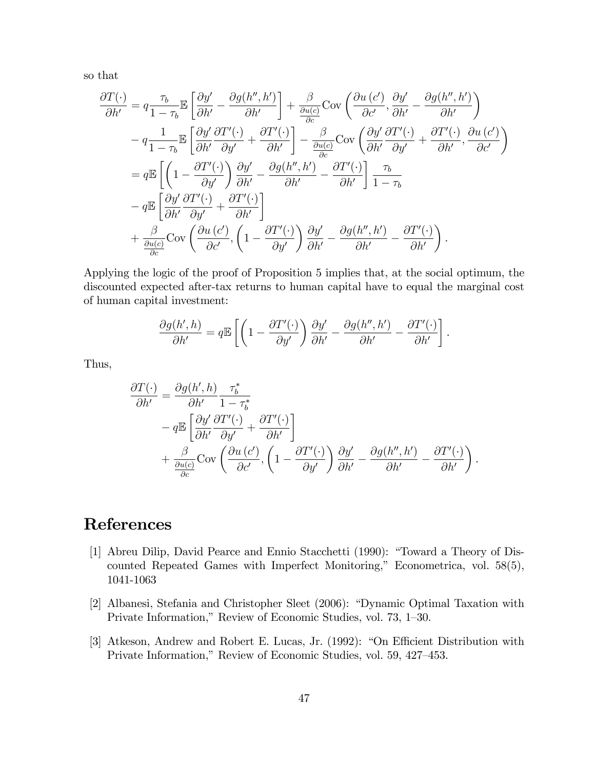so that

$$
\frac{\partial T(\cdot)}{\partial h'} = q \frac{\tau_b}{1 - \tau_b} \mathbb{E} \left[ \frac{\partial y'}{\partial h'} - \frac{\partial g(h'', h')}{\partial h'} \right] + \frac{\beta}{\frac{\partial u(c)}{\partial c}} \text{Cov} \left( \frac{\partial u(c')}{\partial c'}, \frac{\partial y'}{\partial h'} - \frac{\partial g(h'', h')}{\partial h'} \right) \n- q \frac{1}{1 - \tau_b} \mathbb{E} \left[ \frac{\partial y'}{\partial h'} \frac{\partial T'(\cdot)}{\partial y'} + \frac{\partial T'(\cdot)}{\partial h'} \right] - \frac{\beta}{\frac{\partial u(c)}{\partial c}} \text{Cov} \left( \frac{\partial y'}{\partial h'} \frac{\partial T'(\cdot)}{\partial y'} + \frac{\partial T'(\cdot)}{\partial h'}, \frac{\partial u(c')}{\partial c'} \right) \n= q \mathbb{E} \left[ \left( 1 - \frac{\partial T'(\cdot)}{\partial y'} \right) \frac{\partial y'}{\partial h'} - \frac{\partial g(h'', h')}{\partial h'} - \frac{\partial T'(\cdot)}{\partial h'} \right] \frac{\tau_b}{1 - \tau_b} \n- q \mathbb{E} \left[ \frac{\partial y'}{\partial h'} \frac{\partial T'(\cdot)}{\partial y'} + \frac{\partial T'(\cdot)}{\partial h'} \right] \n+ \frac{\beta}{\frac{\partial u(c)}{\partial c}} \text{Cov} \left( \frac{\partial u(c')}{\partial c'}, \left( 1 - \frac{\partial T'(\cdot)}{\partial y'} \right) \frac{\partial y'}{\partial h'} - \frac{\partial g(h'', h')}{\partial h'} - \frac{\partial T'(\cdot)}{\partial h'} \right).
$$

Applying the logic of the proof of Proposition 5 implies that, at the social optimum, the discounted expected after-tax returns to human capital have to equal the marginal cost of human capital investment:

$$
\frac{\partial g(h',h)}{\partial h'} = q \mathbb{E}\left[ \left( 1 - \frac{\partial T'(\cdot)}{\partial y'} \right) \frac{\partial y'}{\partial h'} - \frac{\partial g(h'',h')}{\partial h'} - \frac{\partial T'(\cdot)}{\partial h'} \right].
$$

Thus,

$$
\frac{\partial T(\cdot)}{\partial h'} = \frac{\partial g(h', h)}{\partial h'} \frac{\tau_b^*}{1 - \tau_b^*} \n- q \mathbb{E} \left[ \frac{\partial y'}{\partial h'} \frac{\partial T'(\cdot)}{\partial y'} + \frac{\partial T'(\cdot)}{\partial h'} \right] \n+ \frac{\beta}{\frac{\partial u(c)}{\partial c}} \text{Cov} \left( \frac{\partial u(c')}{\partial c'}, \left( 1 - \frac{\partial T'(\cdot)}{\partial y'} \right) \frac{\partial y'}{\partial h'} - \frac{\partial g(h'', h')}{\partial h'} - \frac{\partial T'(\cdot)}{\partial h'} \right).
$$

## References

- [1] Abreu Dilip, David Pearce and Ennio Stacchetti (1990): "Toward a Theory of Discounted Repeated Games with Imperfect Monitoring," Econometrica, vol.  $58(5)$ , 1041-1063
- [2] Albanesi, Stefania and Christopher Sleet (2006): "Dynamic Optimal Taxation with Private Information," Review of Economic Studies, vol. 73, 1–30.
- [3] Atkeson, Andrew and Robert E. Lucas, Jr. (1992): "On Efficient Distribution with Private Information," Review of Economic Studies, vol. 59, 427-453.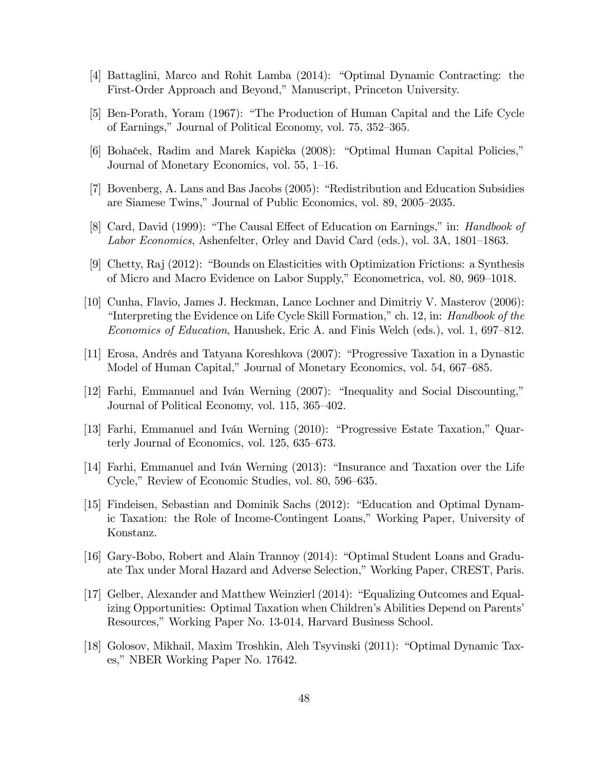- [4] Battaglini, Marco and Rohit Lamba (2014): "Optimal Dynamic Contracting: the First-Order Approach and Beyond," Manuscript, Princeton University.
- [5] Ben-Porath, Yoram (1967): "The Production of Human Capital and the Life Cycle of Earnings," Journal of Political Economy, vol. 75, 352–365.
- [6] Bohaček, Radim and Marek Kapička (2008): "Optimal Human Capital Policies," Journal of Monetary Economics, vol. 55, 1–16.
- [7] Bovenberg, A. Lans and Bas Jacobs (2005): "Redistribution and Education Subsidies are Siamese Twins," Journal of Public Economics, vol. 89, 2005–2035.
- [8] Card, David (1999): "The Causal Effect of Education on Earnings," in: *Handbook of* Labor Economics, Ashenfelter, Orley and David Card (eds.), vol.  $3A$ ,  $1801-1863$ .
- [9] Chetty, Raj  $(2012)$ : "Bounds on Elasticities with Optimization Frictions: a Synthesis of Micro and Macro Evidence on Labor Supply," Econometrica, vol. 80, 969–1018.
- [10] Cunha, Flavio, James J. Heckman, Lance Lochner and Dimitriy V. Masterov (2006): "Interpreting the Evidence on Life Cycle Skill Formation," ch. 12, in: Handbook of the Economics of Education, Hanushek, Eric A. and Finis Welch (eds.), vol. 1, 697–812.
- [11] Erosa, Andrés and Tatyana Koreshkova (2007): "Progressive Taxation in a Dynastic Model of Human Capital," Journal of Monetary Economics, vol. 54, 667–685.
- [12] Farhi, Emmanuel and Iván Werning (2007): "Inequality and Social Discounting," Journal of Political Economy, vol. 115, 365–402.
- [13] Farhi, Emmanuel and Iván Werning (2010): "Progressive Estate Taxation," Quarterly Journal of Economics, vol.  $125, 635-673$ .
- [14] Farhi, Emmanuel and Iván Werning (2013): "Insurance and Taxation over the Life Cycle," Review of Economic Studies, vol. 80, 596–635.
- [15] Findeisen, Sebastian and Dominik Sachs (2012): "Education and Optimal Dynamic Taxation: the Role of Income-Contingent Loans," Working Paper, University of Konstanz.
- [16] Gary-Bobo, Robert and Alain Trannoy (2014): "Optimal Student Loans and Graduate Tax under Moral Hazard and Adverse Selection," Working Paper, CREST, Paris.
- [17] Gelber, Alexander and Matthew Weinzierl (2014): "Equalizing Outcomes and Equalizing Opportunities: Optimal Taxation when Children's Abilities Depend on Parents' Resources," Working Paper No. 13-014, Harvard Business School.
- [18] Golosov, Mikhail, Maxim Troshkin, Aleh Tsyvinski (2011): "Optimal Dynamic Taxes," NBER Working Paper No. 17642.